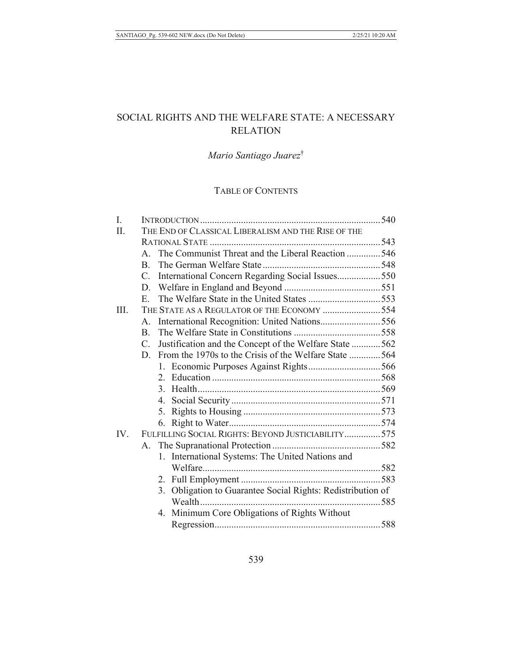# SOCIAL RIGHTS AND THE WELFARE STATE: A NECESSARY **RELATION**

# Mario Santiago Juarez<sup>†</sup>

# TABLE OF CONTENTS

| I.   |                                                     |                                                          |  |
|------|-----------------------------------------------------|----------------------------------------------------------|--|
| II.  | THE END OF CLASSICAL LIBERALISM AND THE RISE OF THE |                                                          |  |
|      |                                                     |                                                          |  |
|      | $A_{-}$                                             | The Communist Threat and the Liberal Reaction 546        |  |
|      | $\mathbf{B}$                                        |                                                          |  |
|      | $C_{\cdot}$                                         | International Concern Regarding Social Issues550         |  |
|      | D.                                                  |                                                          |  |
|      | $E_{\rm{c}}$                                        |                                                          |  |
| III. | THE STATE AS A REGULATOR OF THE ECONOMY 554         |                                                          |  |
|      | $\mathsf{A}$ .                                      | International Recognition: United Nations556             |  |
|      | $\mathbf{B}$                                        |                                                          |  |
|      | $C_{\cdot}$                                         | Justification and the Concept of the Welfare State 562   |  |
|      | D.                                                  | From the 1970s to the Crisis of the Welfare State 564    |  |
|      |                                                     |                                                          |  |
|      |                                                     |                                                          |  |
|      |                                                     |                                                          |  |
|      | 4.                                                  |                                                          |  |
|      | 5.                                                  |                                                          |  |
|      | 6.                                                  |                                                          |  |
| IV.  | FULFILLING SOCIAL RIGHTS: BEYOND JUSTICIABILITY 575 |                                                          |  |
|      | А.                                                  |                                                          |  |
|      |                                                     | 1. International Systems: The United Nations and         |  |
|      |                                                     |                                                          |  |
|      |                                                     |                                                          |  |
|      | 3.                                                  | Obligation to Guarantee Social Rights: Redistribution of |  |
|      |                                                     |                                                          |  |
|      |                                                     | 4. Minimum Core Obligations of Rights Without            |  |
|      |                                                     |                                                          |  |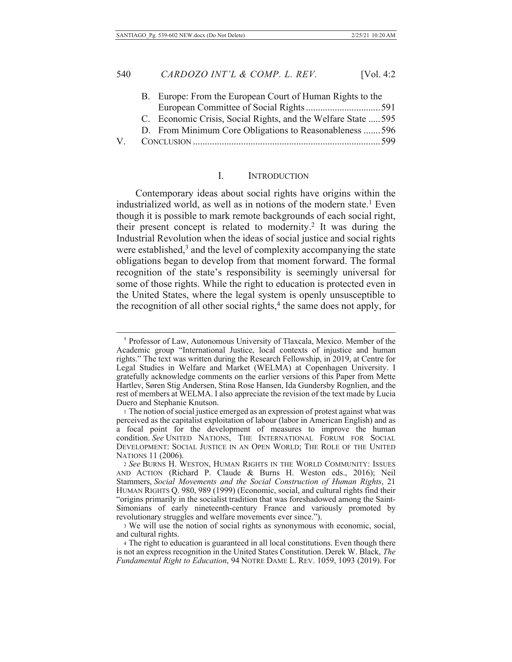J

|  | B. Europe: From the European Court of Human Rights to the     |  |
|--|---------------------------------------------------------------|--|
|  |                                                               |  |
|  | C. Economic Crisis, Social Rights, and the Welfare State  595 |  |
|  | D. From Minimum Core Obligations to Reasonableness 596        |  |
|  |                                                               |  |
|  |                                                               |  |

#### L. **INTRODUCTION**

Contemporary ideas about social rights have origins within the industrialized world, as well as in notions of the modern state.<sup>1</sup> Even though it is possible to mark remote backgrounds of each social right, their present concept is related to modernity.<sup>2</sup> It was during the Industrial Revolution when the ideas of social justice and social rights were established, $3$  and the level of complexity accompanying the state obligations began to develop from that moment forward. The formal recognition of the state's responsibility is seemingly universal for some of those rights. While the right to education is protected even in the United States, where the legal system is openly unsusceptible to the recognition of all other social rights,<sup>4</sup> the same does not apply, for

<sup>&</sup>lt;sup>†</sup> Professor of Law, Autonomous University of Tlaxcala, Mexico. Member of the Academic group "International Justice, local contexts of injustice and human rights." The text was written during the Research Fellowship, in 2019, at Centre for Legal Studies in Welfare and Market (WELMA) at Copenhagen University. I gratefully acknowledge comments on the earlier versions of this Paper from Mette Hartlev, Søren Stig Andersen, Stina Rose Hansen, Ida Gundersby Rognlien, and the rest of members at WELMA. I also appreciate the revision of the text made by Lucia Duero and Stephanie Knutson.

<sup>&</sup>lt;sup>1</sup> The notion of social justice emerged as an expression of protest against what was perceived as the capitalist exploitation of labour (labor in American English) and as a focal point for the development of measures to improve the human condition. See UNITED NATIONS, THE INTERNATIONAL FORUM FOR SOCIAL DEVELOPMENT: SOCIAL JUSTICE IN AN OPEN WORLD; THE ROLE OF THE UNITED NATIONS 11 (2006).

<sup>2</sup> See BURNS H. WESTON, HUMAN RIGHTS IN THE WORLD COMMUNITY: ISSUES AND ACTION (Richard P. Claude & Burns H. Weston eds., 2016); Neil Stammers, Social Movements and the Social Construction of Human Rights, 21 HUMAN RIGHTS Q. 980, 989 (1999) (Economic, social, and cultural rights find their "origins primarily in the socialist tradition that was foreshadowed among the Saint-Simonians of early nineteenth-century France and variously promoted by revolutionary struggles and welfare movements ever since.").

<sup>3</sup> We will use the notion of social rights as synonymous with economic, social, and cultural rights.

<sup>4</sup> The right to education is guaranteed in all local constitutions. Even though there is not an express recognition in the United States Constitution. Derek W. Black, The Fundamental Right to Education, 94 NOTRE DAME L. REV. 1059, 1093 (2019). For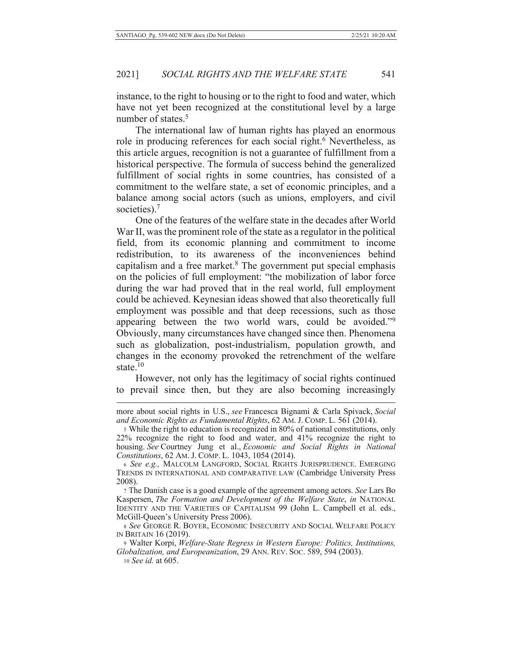instance, to the right to housing or to the right to food and water, which have not yet been recognized at the constitutional level by a large number of states.<sup>5</sup>

The international law of human rights has played an enormous role in producing references for each social right.<sup>6</sup> Nevertheless, as this article argues, recognition is not a guarantee of fulfillment from a historical perspective. The formula of success behind the generalized fulfillment of social rights in some countries, has consisted of a commitment to the welfare state, a set of economic principles, and a balance among social actors (such as unions, employers, and civil societies). $<sup>7</sup>$ </sup>

One of the features of the welfare state in the decades after World War II, was the prominent role of the state as a regulator in the political field, from its economic planning and commitment to income redistribution, to its awareness of the inconveniences behind capitalism and a free market.<sup>8</sup> The government put special emphasis on the policies of full employment: "the mobilization of labor force during the war had proved that in the real world, full employment could be achieved. Keynesian ideas showed that also theoretically full employment was possible and that deep recessions, such as those appearing between the two world wars, could be avoided."<sup>9</sup> Obviously, many circumstances have changed since then. Phenomena such as globalization, post-industrialism, population growth, and changes in the economy provoked the retrenchment of the welfare state. $10$ 

However, not only has the legitimacy of social rights continued to prevail since then, but they are also becoming increasingly

7 The Danish case is a good example of the agreement among actors. See Lars Bo Kaspersen, The Formation and Development of the Welfare State, in NATIONAL IDENTITY AND THE VARIETIES OF CAPITALISM 99 (John L. Campbell et al. eds., McGill-Queen's University Press 2006).

8 See GEORGE R. BOYER, ECONOMIC INSECURITY AND SOCIAL WELFARE POLICY IN BRITAIN 16 (2019).

9 Walter Korpi, Welfare-State Regress in Western Europe: Politics, Institutions, Globalization, and Europeanization, 29 ANN. REV. Soc. 589, 594 (2003).

10 See id. at 605.

more about social rights in U.S., see Francesca Bignami & Carla Spivack, Social and Economic Rights as Fundamental Rights, 62 AM. J. COMP. L. 561 (2014).

<sup>5</sup> While the right to education is recognized in 80% of national constitutions, only 22% recognize the right to food and water, and 41% recognize the right to housing. See Courtney Jung et al., Economic and Social Rights in National Constitutions, 62 AM. J. COMP. L. 1043, 1054 (2014).

<sup>6</sup> See e.g., MALCOLM LANGFORD, SOCIAL RIGHTS JURISPRUDENCE. EMERGING TRENDS IN INTERNATIONAL AND COMPARATIVE LAW (Cambridge University Press 2008).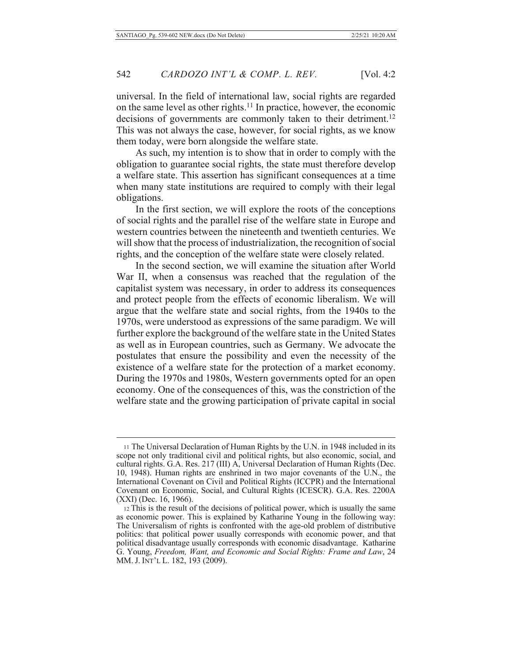universal. In the field of international law, social rights are regarded on the same level as other rights.<sup>11</sup> In practice, however, the economic decisions of governments are commonly taken to their detriment.<sup>12</sup> This was not always the case, however, for social rights, as we know them today, were born alongside the welfare state.

As such, my intention is to show that in order to comply with the obligation to guarantee social rights, the state must therefore develop a welfare state. This assertion has significant consequences at a time when many state institutions are required to comply with their legal obligations.

In the first section, we will explore the roots of the conceptions of social rights and the parallel rise of the welfare state in Europe and western countries between the nineteenth and twentieth centuries. We will show that the process of industrialization, the recognition of social rights, and the conception of the welfare state were closely related.

In the second section, we will examine the situation after World War II, when a consensus was reached that the regulation of the capitalist system was necessary, in order to address its consequences and protect people from the effects of economic liberalism. We will argue that the welfare state and social rights, from the 1940s to the 1970s, were understood as expressions of the same paradigm. We will further explore the background of the welfare state in the United States as well as in European countries, such as Germany. We advocate the postulates that ensure the possibility and even the necessity of the existence of a welfare state for the protection of a market economy. During the 1970s and 1980s, Western governments opted for an open economy. One of the consequences of this, was the constriction of the welfare state and the growing participation of private capital in social

<sup>&</sup>lt;sup>11</sup> The Universal Declaration of Human Rights by the U.N. in 1948 included in its scope not only traditional civil and political rights, but also economic, social, and cultural rights. G.A. Res. 217 (III) A, Universal Declaration of Human Rights (Dec. 10, 1948). Human rights are enshrined in two major covenants of the U.N., the International Covenant on Civil and Political Rights (ICCPR) and the International Covenant on Economic, Social, and Cultural Rights (ICESCR). G.A. Res. 2200A  $(XXI)$  (Dec. 16, 1966).

<sup>12</sup> This is the result of the decisions of political power, which is usually the same as economic power. This is explained by Katharine Young in the following way: The Universalism of rights is confronted with the age-old problem of distributive politics: that political power usually corresponds with economic power, and that political disadvantage usually corresponds with economic disadvantage. Katharine G. Young, Freedom, Want, and Economic and Social Rights: Frame and Law, 24 MM. J. INT'L L. 182, 193 (2009).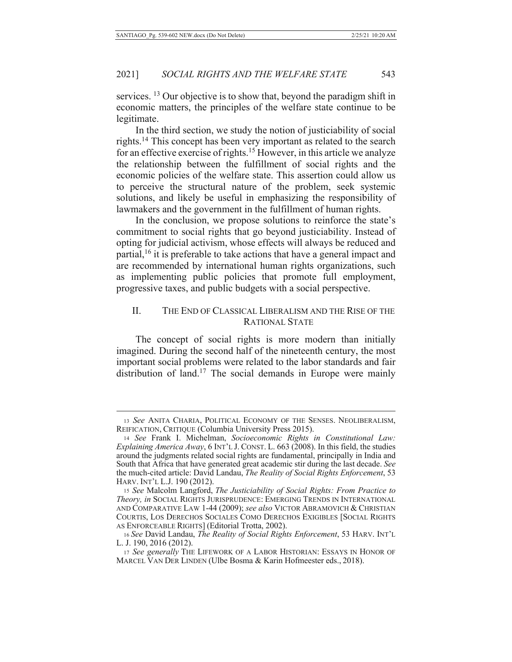services. <sup>13</sup> Our objective is to show that, beyond the paradigm shift in economic matters, the principles of the welfare state continue to be legitimate.

In the third section, we study the notion of justiciability of social rights.<sup>14</sup> This concept has been very important as related to the search for an effective exercise of rights.<sup>15</sup> However, in this article we analyze the relationship between the fulfillment of social rights and the economic policies of the welfare state. This assertion could allow us to perceive the structural nature of the problem, seek systemic solutions, and likely be useful in emphasizing the responsibility of lawmakers and the government in the fulfillment of human rights.

In the conclusion, we propose solutions to reinforce the state's commitment to social rights that go beyond justiciability. Instead of opting for judicial activism, whose effects will always be reduced and partial, <sup>16</sup> it is preferable to take actions that have a general impact and are recommended by international human rights organizations, such as implementing public policies that promote full employment, progressive taxes, and public budgets with a social perspective.

# II. THE END OF CLASSICAL LIBERALISM AND THE RISE OF THE RATIONAL STATE

The concept of social rights is more modern than initially imagined. During the second half of the nineteenth century, the most important social problems were related to the labor standards and fair distribution of land.<sup>17</sup> The social demands in Europe were mainly

<sup>13</sup> See ANITA CHARIA, POLITICAL ECONOMY OF THE SENSES. NEOLIBERALISM, REIFICATION, CRITIQUE (Columbia University Press 2015).

<sup>14</sup> See Frank I. Michelman, Socioeconomic Rights in Constitutional Law: *Explaining America Away*, 6 INT'L J. CONST. L. 663 (2008). In this field, the studies around the judgments related social rights are fundamental, principally in India and South that Africa that have generated great academic stir during the last decade. See the much-cited article: David Landau, The Reality of Social Rights Enforcement, 53 HARV. INT'L L.J. 190 (2012).

<sup>15</sup> See Malcolm Langford, The Justiciability of Social Rights: From Practice to *Theory, in* SOCIAL RIGHTS JURISPRUDENCE: EMERGING TRENDS IN INTERNATIONAL AND COMPARATIVE LAW 1-44 (2009); see also Victor Abramovich & Christian COURTIS, LOS DERECHOS SOCIALES COMO DERECHOS EXIGIBLES [SOCIAL RIGHTS AS ENFORCEABLE RIGHTS] (Editorial Trotta, 2002).

<sup>16</sup> See David Landau, *The Reality of Social Rights Enforcement*, 53 HARV. INT'L L. J. 190, 2016 (2012).

<sup>17</sup> See generally THE LIFEWORK OF A LABOR HISTORIAN: ESSAYS IN HONOR OF MARCEL VAN DER LINDEN (Ulbe Bosma & Karin Hofmeester eds., 2018).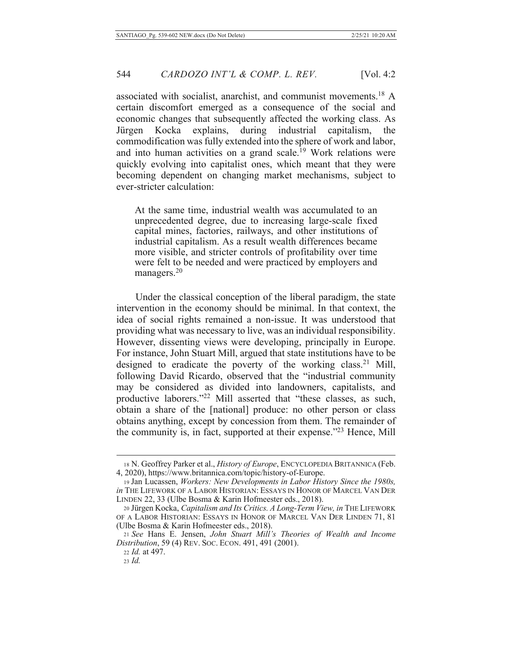associated with socialist, anarchist, and communist movements.<sup>18</sup> A certain discomfort emerged as a consequence of the social and economic changes that subsequently affected the working class. As Jürgen Kocka explains, during industrial capitalism, the commodification was fully extended into the sphere of work and labor, and into human activities on a grand scale.<sup>19</sup> Work relations were quickly evolving into capitalist ones, which meant that they were becoming dependent on changing market mechanisms, subject to ever-stricter calculation:

At the same time, industrial wealth was accumulated to an unprecedented degree, due to increasing large-scale fixed capital mines, factories, railways, and other institutions of industrial capitalism. As a result wealth differences became more visible, and stricter controls of profitability over time were felt to be needed and were practiced by employers and managers. $20$ 

Under the classical conception of the liberal paradigm, the state intervention in the economy should be minimal. In that context, the idea of social rights remained a non-issue. It was understood that providing what was necessary to live, was an individual responsibility. However, dissenting views were developing, principally in Europe. For instance, John Stuart Mill, argued that state institutions have to be designed to eradicate the poverty of the working class.<sup>21</sup> Mill, following David Ricardo, observed that the "industrial community may be considered as divided into landowners, capitalists, and productive laborers."<sup>22</sup> Mill asserted that "these classes, as such, obtain a share of the [national] produce: no other person or class obtains anything, except by concession from them. The remainder of the community is, in fact, supported at their expense."<sup>23</sup> Hence, Mill

22 *Id.* at 497.

<sup>18</sup> N. Geoffrey Parker et al., *History of Europe*, ENCYCLOPEDIA BRITANNICA (Feb. 4, 2020), https://www.britannica.com/topic/history-of-Europe.

<sup>19</sup> Jan Lucassen, *Workers: New Developments in Labor History Since the 1980s*, in THE LIFEWORK OF A LABOR HISTORIAN: ESSAYS IN HONOR OF MARCEL VAN DER LINDEN 22, 33 (Ulbe Bosma & Karin Hofmeester eds., 2018).

<sup>20</sup> Jürgen Kocka, Capitalism and Its Critics. A Long-Term View, in THE LIFEWORK OF A LABOR HISTORIAN: ESSAYS IN HONOR OF MARCEL VAN DER LINDEN 71, 81 (Ulbe Bosma & Karin Hofmeester eds., 2018).

<sup>21</sup> See Hans E. Jensen, John Stuart Mill's Theories of Wealth and Income Distribution, 59 (4) REV. Soc. ECON. 491, 491 (2001).

 $23$  *Id.*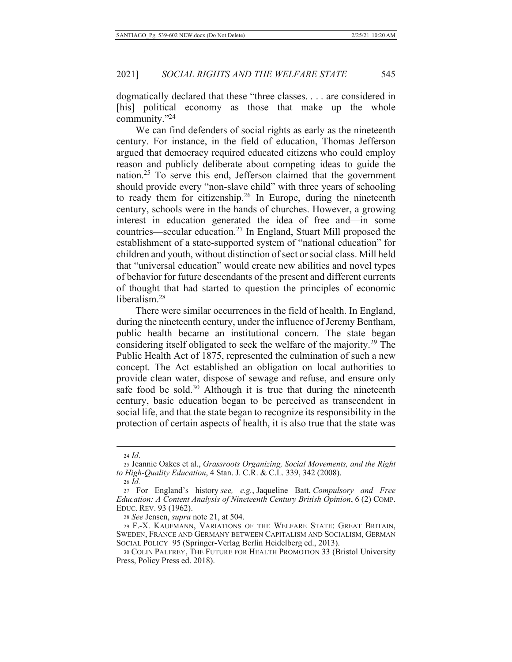dogmatically declared that these "three classes.... are considered in [his] political economy as those that make up the whole community. $"^{24}$ 

We can find defenders of social rights as early as the nineteenth century. For instance, in the field of education, Thomas Jefferson argued that democracy required educated citizens who could employ reason and publicly deliberate about competing ideas to guide the nation.<sup>25</sup> To serve this end, Jefferson claimed that the government should provide every "non-slave child" with three years of schooling to ready them for citizenship.<sup>26</sup> In Europe, during the nineteenth century, schools were in the hands of churches. However, a growing interest in education generated the idea of free and—in some countries—secular education.<sup>27</sup> In England, Stuart Mill proposed the establishment of a state-supported system of "national education" for children and youth, without distinction of sect or social class. Mill held that "universal education" would create new abilities and novel types of behavior for future descendants of the present and different currents of thought that had started to question the principles of economic liberalism.<sup>28</sup>

There were similar occurrences in the field of health. In England, during the nineteenth century, under the influence of Jeremy Bentham, public health became an institutional concern. The state began considering itself obligated to seek the welfare of the majority.<sup>29</sup> The Public Health Act of 1875, represented the culmination of such a new concept. The Act established an obligation on local authorities to provide clean water, dispose of sewage and refuse, and ensure only safe food be sold.<sup>30</sup> Although it is true that during the nineteenth century, basic education began to be perceived as transcendent in social life, and that the state began to recognize its responsibility in the protection of certain aspects of health, it is also true that the state was

 $26$  *Id.* 

28 See Jensen, *supra* note 21, at 504.

29 F.-X. KAUFMANN, VARIATIONS OF THE WELFARE STATE: GREAT BRITAIN, SWEDEN, FRANCE AND GERMANY BETWEEN CAPITALISM AND SOCIALISM, GERMAN SOCIAL POLICY 95 (Springer-Verlag Berlin Heidelberg ed., 2013).

 $24$  *Id.* 

<sup>25</sup> Jeannie Oakes et al., Grassroots Organizing, Social Movements, and the Right to High-Quality Education, 4 Stan. J. C.R. & C.L. 339, 342 (2008).

<sup>27</sup> For England's history see, e.g., Jaqueline Batt, Compulsory and Free *Education: A Content Analysis of Nineteenth Century British Opinion, 6 (2) COMP.* EDUC. REV. 93 (1962).

<sup>30</sup> COLIN PALFREY, THE FUTURE FOR HEALTH PROMOTION 33 (Bristol University Press, Policy Press ed. 2018).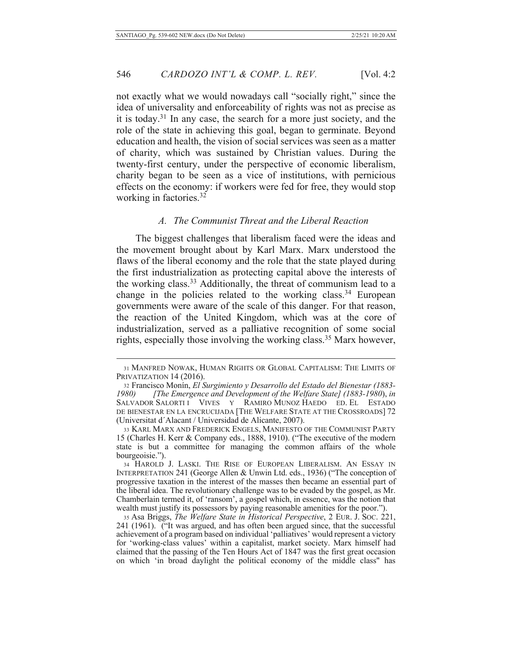not exactly what we would nowadays call "socially right," since the idea of universality and enforceability of rights was not as precise as it is today.<sup>31</sup> In any case, the search for a more just society, and the role of the state in achieving this goal, began to germinate. Beyond education and health, the vision of social services was seen as a matter of charity, which was sustained by Christian values. During the twenty-first century, under the perspective of economic liberalism, charity began to be seen as a vice of institutions, with pernicious effects on the economy: if workers were fed for free, they would stop working in factories.<sup>32</sup>

# A. The Communist Threat and the Liberal Reaction

The biggest challenges that liberalism faced were the ideas and the movement brought about by Karl Marx. Marx understood the flaws of the liberal economy and the role that the state played during the first industrialization as protecting capital above the interests of the working class.<sup>33</sup> Additionally, the threat of communism lead to a change in the policies related to the working class.<sup>34</sup> European governments were aware of the scale of this danger. For that reason, the reaction of the United Kingdom, which was at the core of industrialization, served as a palliative recognition of some social rights, especially those involving the working class.<sup>35</sup> Marx however,

<sup>31</sup> MANFRED NOWAK, HUMAN RIGHTS OR GLOBAL CAPITALISM: THE LIMITS OF PRIVATIZATION 14 (2016).

<sup>32</sup> Francisco Monín, El Surgimiento y Desarrollo del Estado del Bienestar (1883-1980) [The Emergence and Development of the Welfare State] (1883-1980), in SALVADOR SALORTI I VIVES Y RAMIRO MUNOZ HAEDO ED. EL ESTADO DE BIENESTAR EN LA ENCRUCIJADA [THE WELFARE STATE AT THE CROSSROADS] 72 (Universitat d'Alacant / Universidad de Alicante, 2007).

<sup>33</sup> KARL MARX AND FREDERICK ENGELS, MANIFESTO OF THE COMMUNIST PARTY 15 (Charles H. Kerr & Company eds., 1888, 1910). ("The executive of the modern state is but a committee for managing the common affairs of the whole bourgeoisie.").

<sup>34</sup> HAROLD J. LASKI. THE RISE OF EUROPEAN LIBERALISM. AN ESSAY IN INTERPRETATION 241 (George Allen & Unwin Ltd. eds., 1936) ("The conception of progressive taxation in the interest of the masses then became an essential part of the liberal idea. The revolutionary challenge was to be evaded by the gospel, as Mr. Chamberlain termed it, of 'ransom', a gospel which, in essence, was the notion that wealth must justify its possessors by paying reasonable amenities for the poor.").

<sup>35</sup> Asa Briggs, The Welfare State in Historical Perspective, 2 EUR. J. Soc. 221, 241 (1961). <sup>"</sup>It was argued, and has often been argued since, that the successful achievement of a program based on individual 'palliatives' would represent a victory for 'working-class values' within a capitalist, market society. Marx himself had claimed that the passing of the Ten Hours Act of 1847 was the first great occasion on which 'in broad daylight the political economy of the middle class" has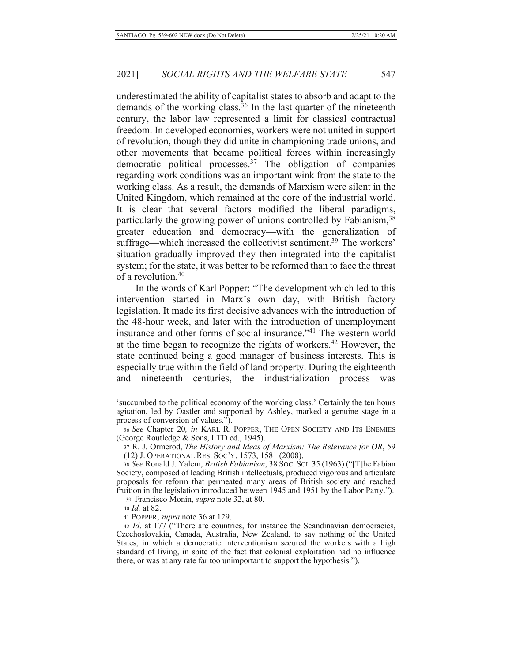underestimated the ability of capitalist states to absorb and adapt to the demands of the working class.<sup>36</sup> In the last quarter of the nineteenth century, the labor law represented a limit for classical contractual freedom. In developed economies, workers were not united in support of revolution, though they did unite in championing trade unions, and other movements that became political forces within increasingly democratic political processes.<sup>37</sup> The obligation of companies regarding work conditions was an important wink from the state to the working class. As a result, the demands of Marxism were silent in the United Kingdom, which remained at the core of the industrial world. It is clear that several factors modified the liberal paradigms, particularly the growing power of unions controlled by Fabianism,<sup>38</sup> greater education and democracy—with the generalization of suffrage—which increased the collectivist sentiment.<sup>39</sup> The workers' situation gradually improved they then integrated into the capitalist system; for the state, it was better to be reformed than to face the threat of a revolution.<sup>40</sup>

In the words of Karl Popper: "The development which led to this intervention started in Marx's own day, with British factory legislation. It made its first decisive advances with the introduction of the 48-hour week, and later with the introduction of unemployment insurance and other forms of social insurance."<sup>41</sup> The western world at the time began to recognize the rights of workers.<sup>42</sup> However, the state continued being a good manager of business interests. This is especially true within the field of land property. During the eighteenth the industrialization process nineteenth centuries, and was

39 Francisco Monín, *supra* note 32, at 80.

40 *Id.* at 82.

41 POPPER, supra note 36 at 129.

<sup>&#</sup>x27;succumbed to the political economy of the working class.' Certainly the ten hours agitation, led by Oastler and supported by Ashley, marked a genuine stage in a process of conversion of values.").

<sup>36</sup> See Chapter 20, in KARL R. POPPER, THE OPEN SOCIETY AND ITS ENEMIES (George Routledge & Sons, LTD ed., 1945).

<sup>37</sup> R. J. Ormerod, The History and Ideas of Marxism: The Relevance for OR, 59 (12) J. OPERATIONAL RES. Soc'y. 1573, 1581 (2008).

<sup>38</sup> See Ronald J. Yalem, British Fabianism, 38 Soc. Sci. 35 (1963) ("[T]he Fabian Society, composed of leading British intellectuals, produced vigorous and articulate proposals for reform that permeated many areas of British society and reached fruition in the legislation introduced between 1945 and 1951 by the Labor Party.").

<sup>42</sup> Id. at 177 ("There are countries, for instance the Scandinavian democracies, Czechoslovakia, Canada, Australia, New Zealand, to say nothing of the United States, in which a democratic interventionism secured the workers with a high standard of living, in spite of the fact that colonial exploitation had no influence there, or was at any rate far too unimportant to support the hypothesis.").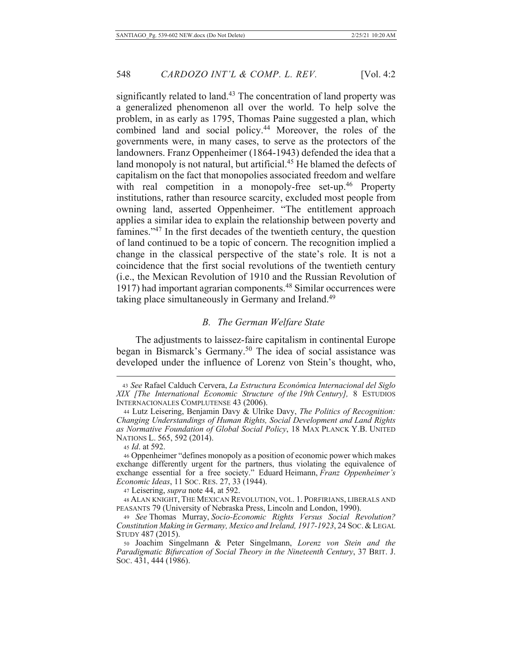significantly related to land.<sup>43</sup> The concentration of land property was a generalized phenomenon all over the world. To help solve the problem, in as early as 1795, Thomas Paine suggested a plan, which combined land and social policy.<sup>44</sup> Moreover, the roles of the governments were, in many cases, to serve as the protectors of the landowners. Franz Oppenheimer (1864-1943) defended the idea that a land monopoly is not natural, but artificial.<sup>45</sup> He blamed the defects of capitalism on the fact that monopolies associated freedom and welfare with real competition in a monopoly-free set-up.<sup>46</sup> Property institutions, rather than resource scarcity, excluded most people from owning land, asserted Oppenheimer. "The entitlement approach applies a similar idea to explain the relationship between poverty and famines."<sup>47</sup> In the first decades of the twentieth century, the question of land continued to be a topic of concern. The recognition implied a change in the classical perspective of the state's role. It is not a coincidence that the first social revolutions of the twentieth century (i.e., the Mexican Revolution of 1910 and the Russian Revolution of 1917) had important agrarian components.<sup>48</sup> Similar occurrences were taking place simultaneously in Germany and Ireland.<sup>49</sup>

### **B.** The German Welfare State

The adjustments to laissez-faire capitalism in continental Europe began in Bismarck's Germany.<sup>50</sup> The idea of social assistance was developed under the influence of Lorenz von Stein's thought, who,

45 *Id.* at 592.

<sup>43</sup> See Rafael Calduch Cervera, La Estructura Económica Internacional del Siglo XIX [The International Economic Structure of the 19th Century], 8 ESTUDIOS INTERNACIONALES COMPLUTENSE 43 (2006).

<sup>44</sup> Lutz Leisering, Benjamin Davy & Ulrike Davy, The Politics of Recognition: Changing Understandings of Human Rights, Social Development and Land Rights as Normative Foundation of Global Social Policy, 18 MAX PLANCK Y.B. UNITED NATIONS L. 565, 592 (2014).

<sup>46</sup> Oppenheimer "defines monopoly as a position of economic power which makes exchange differently urgent for the partners, thus violating the equivalence of exchange essential for a free society." Eduard Heimann, Franz Oppenheimer's Economic Ideas, 11 Soc. RES. 27, 33 (1944).

<sup>47</sup> Leisering, *supra* note 44, at 592.

<sup>48</sup> ALAN KNIGHT, THE MEXICAN REVOLUTION, VOL. 1. PORFIRIANS, LIBERALS AND PEASANTS 79 (University of Nebraska Press, Lincoln and London, 1990).

<sup>49</sup> See Thomas Murray, Socio-Economic Rights Versus Social Revolution? Constitution Making in Germany, Mexico and Ireland, 1917-1923, 24 Soc. & LEGAL STUDY 487 (2015).

<sup>50</sup> Joachim Singelmann & Peter Singelmann, Lorenz von Stein and the Paradigmatic Bifurcation of Social Theory in the Nineteenth Century, 37 BRIT. J. Soc. 431, 444 (1986).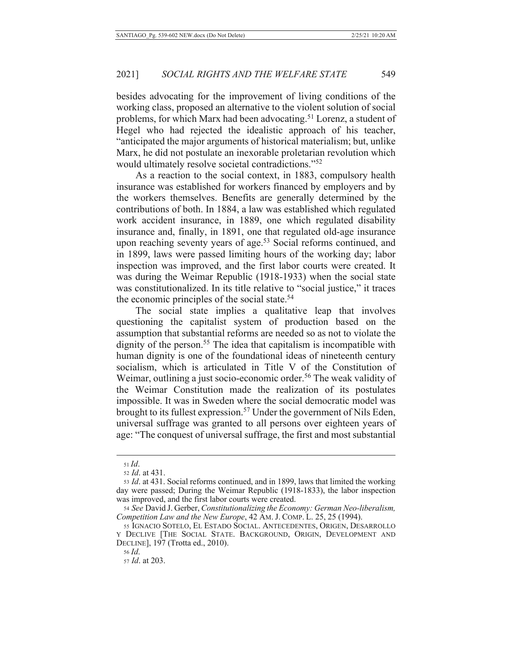besides advocating for the improvement of living conditions of the working class, proposed an alternative to the violent solution of social problems, for which Marx had been advocating.<sup>51</sup> Lorenz, a student of Hegel who had rejected the idealistic approach of his teacher, "anticipated the major arguments of historical materialism; but, unlike Marx, he did not postulate an inexorable proletarian revolution which would ultimately resolve societal contradictions."<sup>52</sup>

As a reaction to the social context, in 1883, compulsory health insurance was established for workers financed by employers and by the workers themselves. Benefits are generally determined by the contributions of both. In 1884, a law was established which regulated work accident insurance, in 1889, one which regulated disability insurance and, finally, in 1891, one that regulated old-age insurance upon reaching seventy years of age.<sup>53</sup> Social reforms continued, and in 1899, laws were passed limiting hours of the working day; labor inspection was improved, and the first labor courts were created. It was during the Weimar Republic (1918-1933) when the social state was constitutionalized. In its title relative to "social justice," it traces the economic principles of the social state.<sup>54</sup>

The social state implies a qualitative leap that involves questioning the capitalist system of production based on the assumption that substantial reforms are needed so as not to violate the dignity of the person.<sup>55</sup> The idea that capitalism is incompatible with human dignity is one of the foundational ideas of nineteenth century socialism, which is articulated in Title V of the Constitution of Weimar, outlining a just socio-economic order.<sup>56</sup> The weak validity of the Weimar Constitution made the realization of its postulates impossible. It was in Sweden where the social democratic model was brought to its fullest expression.<sup>57</sup> Under the government of Nils Eden, universal suffrage was granted to all persons over eighteen years of age: "The conquest of universal suffrage, the first and most substantial

 $51$  Id.

<sup>52</sup> *Id.* at 431.

<sup>53</sup> *Id.* at 431. Social reforms continued, and in 1899, laws that limited the working day were passed; During the Weimar Republic (1918-1833), the labor inspection was improved, and the first labor courts were created.

<sup>54</sup> See David J. Gerber, Constitutionalizing the Economy: German Neo-liberalism, Competition Law and the New Europe, 42 AM. J. COMP. L. 25, 25 (1994).

<sup>55</sup> IGNACIO SOTELO, EL ESTADO SOCIAL. ANTECEDENTES, ORIGEN, DESARROLLO Y DECLIVE [THE SOCIAL STATE. BACKGROUND, ORIGIN, DEVELOPMENT AND DECLINE], 197 (Trotta ed., 2010).

 $56$  *Id.* 

<sup>57</sup> *Id.* at 203.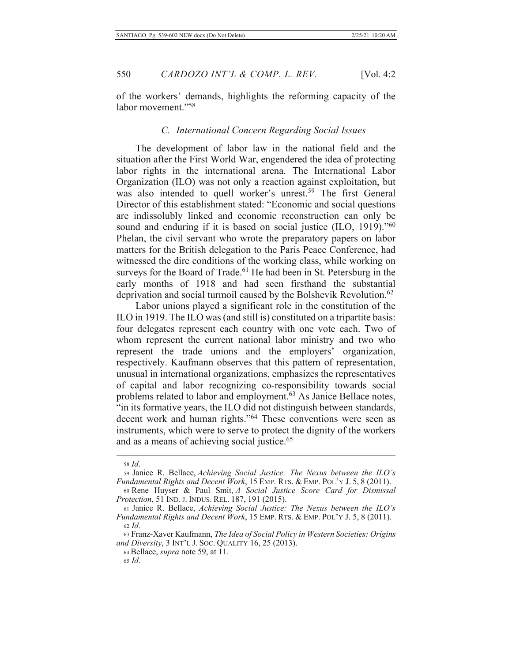of the workers' demands, highlights the reforming capacity of the labor movement."58

# C. International Concern Regarding Social Issues

The development of labor law in the national field and the situation after the First World War, engendered the idea of protecting labor rights in the international arena. The International Labor Organization (ILO) was not only a reaction against exploitation, but was also intended to quell worker's unrest.<sup>59</sup> The first General Director of this establishment stated: "Economic and social questions are indissolubly linked and economic reconstruction can only be sound and enduring if it is based on social justice (ILO, 1919)."<sup>60</sup> Phelan, the civil servant who wrote the preparatory papers on labor matters for the British delegation to the Paris Peace Conference, had witnessed the dire conditions of the working class, while working on surveys for the Board of Trade.<sup>61</sup> He had been in St. Petersburg in the early months of 1918 and had seen firsthand the substantial deprivation and social turmoil caused by the Bolshevik Revolution.<sup>62</sup>

Labor unions played a significant role in the constitution of the ILO in 1919. The ILO was (and still is) constituted on a tripartite basis: four delegates represent each country with one vote each. Two of whom represent the current national labor ministry and two who represent the trade unions and the employers' organization, respectively. Kaufmann observes that this pattern of representation, unusual in international organizations, emphasizes the representatives of capital and labor recognizing co-responsibility towards social problems related to labor and employment.<sup>63</sup> As Janice Bellace notes, "in its formative years, the ILO did not distinguish between standards, decent work and human rights."<sup>64</sup> These conventions were seen as instruments, which were to serve to protect the dignity of the workers and as a means of achieving social justice.<sup>65</sup>

<sup>58</sup> *Id.* 

<sup>59</sup> Janice R. Bellace, Achieving Social Justice: The Nexus between the ILO's Fundamental Rights and Decent Work, 15 EMP. RTS. & EMP. POL'Y J. 5, 8 (2011).

<sup>60</sup> Rene Huyser & Paul Smit, A Social Justice Score Card for Dismissal Protection, 51 IND. J. INDUS. REL. 187, 191 (2015).

<sup>61</sup> Janice R. Bellace, Achieving Social Justice: The Nexus between the ILO's Fundamental Rights and Decent Work, 15 EMP. RTS. & EMP. POL'Y J. 5, 8 (2011).  $62$  *Id.* 

<sup>63</sup> Franz-Xaver Kaufmann, The Idea of Social Policy in Western Societies: Origins and Diversity, 3 INT'L J. SOC. QUALITY 16, 25 (2013).

<sup>64</sup> Bellace, *supra* note 59, at 11.

 $65$  *Id.*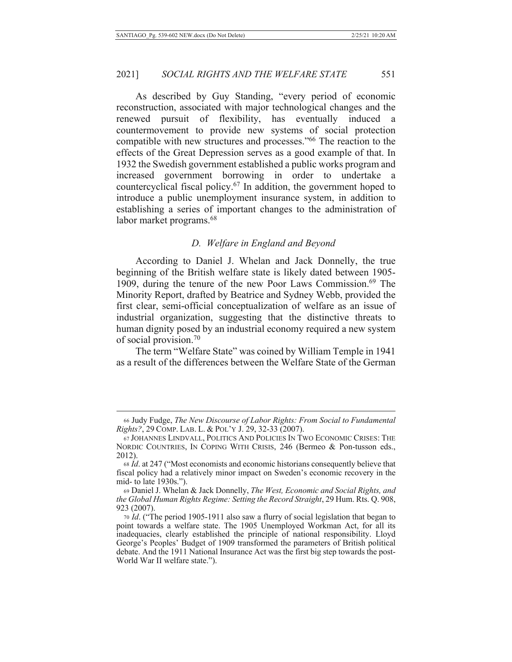As described by Guy Standing, "every period of economic reconstruction, associated with major technological changes and the renewed pursuit of flexibility, has eventually induced a countermovement to provide new systems of social protection compatible with new structures and processes."<sup>66</sup> The reaction to the effects of the Great Depression serves as a good example of that. In 1932 the Swedish government established a public works program and increased government borrowing in order to undertake a countercyclical fiscal policy.<sup>67</sup> In addition, the government hoped to introduce a public unemployment insurance system, in addition to establishing a series of important changes to the administration of labor market programs.<sup>68</sup>

# D. Welfare in England and Beyond

According to Daniel J. Whelan and Jack Donnelly, the true beginning of the British welfare state is likely dated between 1905-1909, during the tenure of the new Poor Laws Commission.<sup>69</sup> The Minority Report, drafted by Beatrice and Sydney Webb, provided the first clear, semi-official conceptualization of welfare as an issue of industrial organization, suggesting that the distinctive threats to human dignity posed by an industrial economy required a new system of social provision.<sup>70</sup>

The term "Welfare State" was coined by William Temple in 1941 as a result of the differences between the Welfare State of the German

<sup>66</sup> Judy Fudge, The New Discourse of Labor Rights: From Social to Fundamental Rights?, 29 COMP. LAB. L. & POL'Y J. 29, 32-33 (2007).

<sup>67</sup> JOHANNES LINDVALL, POLITICS AND POLICIES IN TWO ECONOMIC CRISES: THE NORDIC COUNTRIES, IN COPING WITH CRISIS, 246 (Bermeo & Pon-tusson eds., 2012).

<sup>68</sup> Id. at 247 ("Most economists and economic historians consequently believe that fiscal policy had a relatively minor impact on Sweden's economic recovery in the mid- to late 1930s.").

<sup>69</sup> Daniel J. Whelan & Jack Donnelly, The West, Economic and Social Rights, and the Global Human Rights Regime: Setting the Record Straight, 29 Hum. Rts. Q. 908, 923 (2007).

<sup>70</sup> Id. ("The period 1905-1911 also saw a flurry of social legislation that began to point towards a welfare state. The 1905 Unemployed Workman Act, for all its inadequacies, clearly established the principle of national responsibility. Lloyd George's Peoples' Budget of 1909 transformed the parameters of British political debate. And the 1911 National Insurance Act was the first big step towards the post-World War II welfare state.").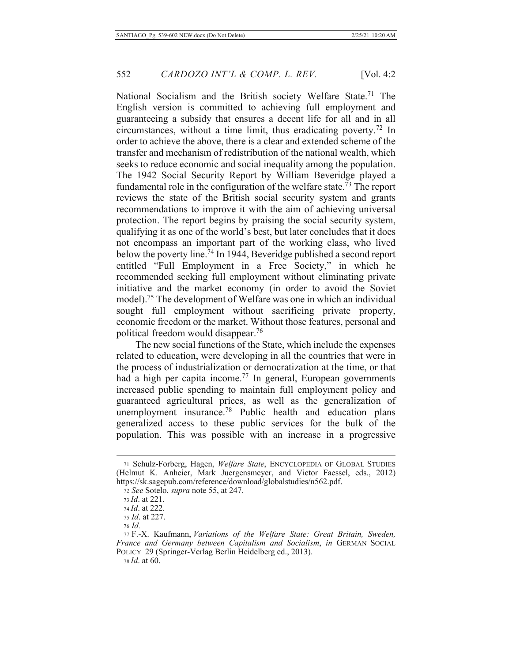National Socialism and the British society Welfare State.<sup>71</sup> The English version is committed to achieving full employment and guaranteeing a subsidy that ensures a decent life for all and in all circumstances, without a time limit, thus eradicating poverty.<sup>72</sup> In order to achieve the above, there is a clear and extended scheme of the transfer and mechanism of redistribution of the national wealth, which seeks to reduce economic and social inequality among the population. The 1942 Social Security Report by William Beveridge played a fundamental role in the configuration of the welfare state.<sup> $\overline{73}$ </sup> The report reviews the state of the British social security system and grants recommendations to improve it with the aim of achieving universal protection. The report begins by praising the social security system, qualifying it as one of the world's best, but later concludes that it does not encompass an important part of the working class, who lived below the poverty line.<sup>74</sup> In 1944, Beveridge published a second report entitled "Full Employment in a Free Society," in which he recommended seeking full employment without eliminating private initiative and the market economy (in order to avoid the Soviet model).<sup>75</sup> The development of Welfare was one in which an individual sought full employment without sacrificing private property, economic freedom or the market. Without those features, personal and political freedom would disappear.<sup>76</sup>

The new social functions of the State, which include the expenses related to education, were developing in all the countries that were in the process of industrialization or democratization at the time, or that had a high per capita income.<sup>77</sup> In general, European governments increased public spending to maintain full employment policy and guaranteed agricultural prices, as well as the generalization of unemployment insurance.<sup>78</sup> Public health and education plans generalized access to these public services for the bulk of the population. This was possible with an increase in a progressive

<sup>71</sup> Schulz-Forberg, Hagen, Welfare State, ENCYCLOPEDIA OF GLOBAL STUDIES (Helmut K. Anheier, Mark Juergensmeyer, and Victor Faessel, eds., 2012) https://sk.sagepub.com/reference/download/globalstudies/n562.pdf.

<sup>72</sup> See Sotelo, *supra* note 55, at 247.

<sup>73</sup> *Id.* at 221.

<sup>74</sup> Id. at 222.

<sup>75</sup> *Id.* at 227.

<sup>76</sup> Id.

<sup>77</sup> F.-X. Kaufmann, Variations of the Welfare State: Great Britain, Sweden, France and Germany between Capitalism and Socialism, in GERMAN SOCIAL POLICY 29 (Springer-Verlag Berlin Heidelberg ed., 2013).

<sup>78</sup> *Id.* at 60.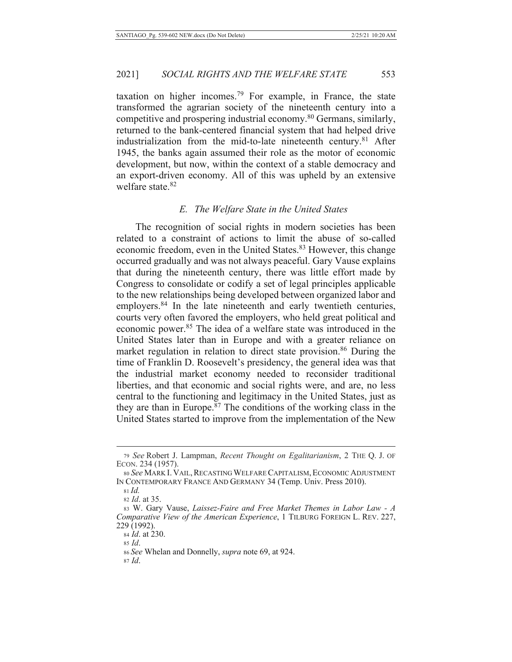taxation on higher incomes.<sup>79</sup> For example, in France, the state transformed the agrarian society of the nineteenth century into a competitive and prospering industrial economy.<sup>80</sup> Germans, similarly, returned to the bank-centered financial system that had helped drive industrialization from the mid-to-late nineteenth century.<sup>81</sup> After 1945, the banks again assumed their role as the motor of economic development, but now, within the context of a stable democracy and an export-driven economy. All of this was upheld by an extensive welfare state.<sup>82</sup>

#### E. The Welfare State in the United States

The recognition of social rights in modern societies has been related to a constraint of actions to limit the abuse of so-called economic freedom, even in the United States.<sup>83</sup> However, this change occurred gradually and was not always peaceful. Gary Vause explains that during the nineteenth century, there was little effort made by Congress to consolidate or codify a set of legal principles applicable to the new relationships being developed between organized labor and employers.<sup>84</sup> In the late nineteenth and early twentieth centuries, courts very often favored the employers, who held great political and economic power.<sup>85</sup> The idea of a welfare state was introduced in the United States later than in Europe and with a greater reliance on market regulation in relation to direct state provision.<sup>86</sup> During the time of Franklin D. Roosevelt's presidency, the general idea was that the industrial market economy needed to reconsider traditional liberties, and that economic and social rights were, and are, no less central to the functioning and legitimacy in the United States, just as they are than in Europe.<sup>87</sup> The conditions of the working class in the United States started to improve from the implementation of the New

84 *Id.* at 230.

<sup>79</sup> See Robert J. Lampman, Recent Thought on Egalitarianism, 2 THE Q. J. OF ECON. 234 (1957).

<sup>80</sup> See MARK I. VAIL, RECASTING WELFARE CAPITALISM, ECONOMIC ADJUSTMENT IN CONTEMPORARY FRANCE AND GERMANY 34 (Temp. Univ. Press 2010).

 $81$  Id.

<sup>82</sup> *Id.* at 35.

<sup>83</sup> W. Gary Vause, Laissez-Faire and Free Market Themes in Labor Law - A Comparative View of the American Experience, 1 TILBURG FOREIGN L. REV. 227, 229 (1992).

 $85$  *Id.* 

<sup>86</sup> See Whelan and Donnelly, *supra* note 69, at 924.

 $87$  *Id.*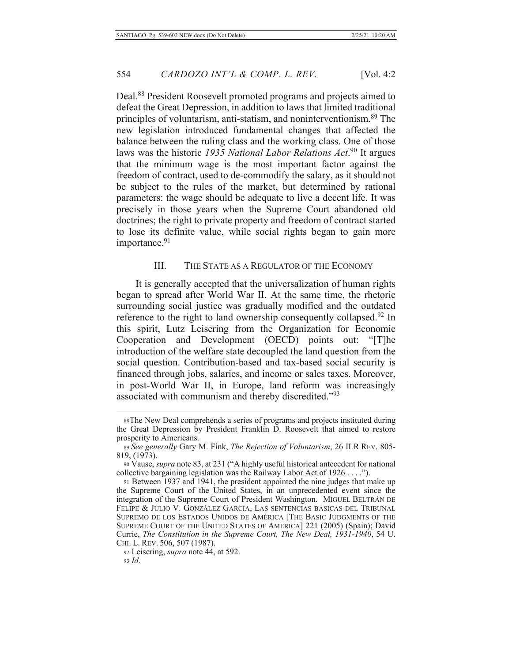Deal.<sup>88</sup> President Roosevelt promoted programs and projects aimed to defeat the Great Depression, in addition to laws that limited traditional principles of voluntarism, anti-statism, and noninterventionism.<sup>89</sup> The new legislation introduced fundamental changes that affected the balance between the ruling class and the working class. One of those laws was the historic 1935 National Labor Relations Act.<sup>90</sup> It argues that the minimum wage is the most important factor against the freedom of contract, used to de-commodify the salary, as it should not be subject to the rules of the market, but determined by rational parameters: the wage should be adequate to live a decent life. It was precisely in those years when the Supreme Court abandoned old doctrines; the right to private property and freedom of contract started to lose its definite value, while social rights began to gain more importance.<sup>91</sup>

#### THE STATE AS A REGULATOR OF THE ECONOMY III.

It is generally accepted that the universalization of human rights began to spread after World War II. At the same time, the rhetoric surrounding social justice was gradually modified and the outdated reference to the right to land ownership consequently collapsed.<sup>92</sup> In this spirit, Lutz Leisering from the Organization for Economic Cooperation and Development (OECD) points out: "[T]he introduction of the welfare state decoupled the land question from the social question. Contribution-based and tax-based social security is financed through jobs, salaries, and income or sales taxes. Moreover, in post-World War II, in Europe, land reform was increasingly associated with communism and thereby discredited."93

92 Leisering, *supra* note 44, at 592.

<sup>88</sup> The New Deal comprehends a series of programs and projects instituted during the Great Depression by President Franklin D. Roosevelt that aimed to restore prosperity to Americans.

<sup>89</sup> See generally Gary M. Fink, The Rejection of Voluntarism, 26 ILR REV. 805-819, (1973).

<sup>90</sup> Vause, *supra* note 83, at 231 ("A highly useful historical antecedent for national collective bargaining legislation was the Railway Labor Act of 1926 . . . .").

<sup>91</sup> Between 1937 and 1941, the president appointed the nine judges that make up the Supreme Court of the United States, in an unprecedented event since the integration of the Supreme Court of President Washington. MIGUEL BELTRÁN DE FELIPE & JULIO V. GONZÁLEZ GARCÍA, LAS SENTENCIAS BÁSICAS DEL TRIBUNAL SUPREMO DE LOS ESTADOS UNIDOS DE AMÉRICA [THE BASIC JUDGMENTS OF THE SUPREME COURT OF THE UNITED STATES OF AMERICA] 221 (2005) (Spain); David Currie, The Constitution in the Supreme Court, The New Deal, 1931-1940, 54 U. CHI. L. REV. 506, 507 (1987).

 $93$  *Id.*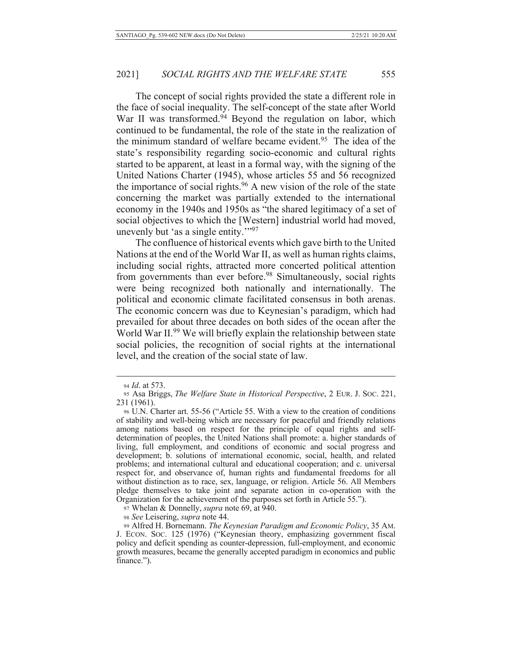The concept of social rights provided the state a different role in the face of social inequality. The self-concept of the state after World War II was transformed.<sup>94</sup> Beyond the regulation on labor, which continued to be fundamental, the role of the state in the realization of the minimum standard of welfare became evident.<sup>95</sup> The idea of the state's responsibility regarding socio-economic and cultural rights started to be apparent, at least in a formal way, with the signing of the United Nations Charter (1945), whose articles 55 and 56 recognized the importance of social rights.<sup>96</sup> A new vision of the role of the state concerning the market was partially extended to the international economy in the 1940s and 1950s as "the shared legitimacy of a set of social objectives to which the [Western] industrial world had moved, unevenly but 'as a single entity.""97

The confluence of historical events which gave birth to the United Nations at the end of the World War II, as well as human rights claims, including social rights, attracted more concerted political attention from governments than ever before.<sup>98</sup> Simultaneously, social rights were being recognized both nationally and internationally. The political and economic climate facilitated consensus in both arenas. The economic concern was due to Keynesian's paradigm, which had prevailed for about three decades on both sides of the ocean after the World War II.<sup>99</sup> We will briefly explain the relationship between state social policies, the recognition of social rights at the international level, and the creation of the social state of law.

97 Whelan & Donnelly, *supra* note 69, at 940.

98 See Leisering, *supra* note 44.

<sup>94</sup> Id. at 573.

<sup>95</sup> Asa Briggs, The Welfare State in Historical Perspective, 2 EUR. J. Soc. 221, 231 (1961).

<sup>96</sup> U.N. Charter art. 55-56 ("Article 55. With a view to the creation of conditions of stability and well-being which are necessary for peaceful and friendly relations among nations based on respect for the principle of equal rights and selfdetermination of peoples, the United Nations shall promote: a. higher standards of living, full employment, and conditions of economic and social progress and development; b. solutions of international economic, social, health, and related problems; and international cultural and educational cooperation; and c. universal respect for, and observance of, human rights and fundamental freedoms for all without distinction as to race, sex, language, or religion. Article 56. All Members pledge themselves to take joint and separate action in co-operation with the Organization for the achievement of the purposes set forth in Article 55.").

<sup>99</sup> Alfred H. Bornemann. The Keynesian Paradigm and Economic Policy, 35 AM. J. ECON. SOC. 125 (1976) ("Keynesian theory, emphasizing government fiscal policy and deficit spending as counter-depression, full-employment, and economic growth measures, became the generally accepted paradigm in economics and public finance.").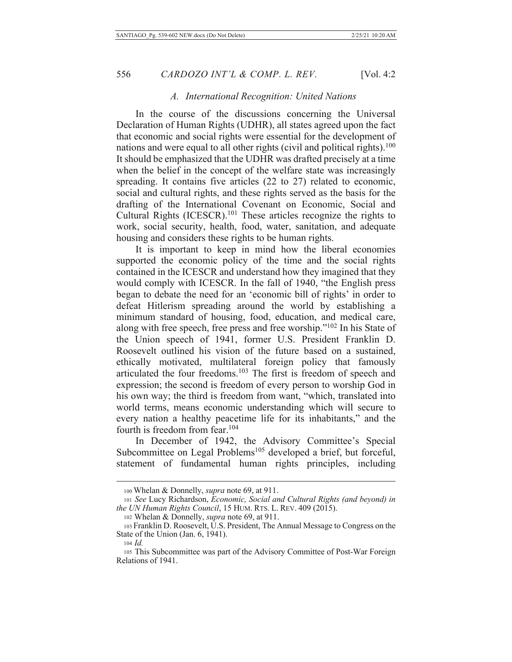### A. International Recognition: United Nations

In the course of the discussions concerning the Universal Declaration of Human Rights (UDHR), all states agreed upon the fact that economic and social rights were essential for the development of nations and were equal to all other rights (civil and political rights).<sup>100</sup> It should be emphasized that the UDHR was drafted precisely at a time when the belief in the concept of the welfare state was increasingly spreading. It contains five articles (22 to 27) related to economic, social and cultural rights, and these rights served as the basis for the drafting of the International Covenant on Economic, Social and Cultural Rights (ICESCR).<sup>101</sup> These articles recognize the rights to work, social security, health, food, water, sanitation, and adequate housing and considers these rights to be human rights.

It is important to keep in mind how the liberal economies supported the economic policy of the time and the social rights contained in the ICESCR and understand how they imagined that they would comply with ICESCR. In the fall of 1940, "the English press began to debate the need for an 'economic bill of rights' in order to defeat Hitlerism spreading around the world by establishing a minimum standard of housing, food, education, and medical care, along with free speech, free press and free worship."<sup>102</sup> In his State of the Union speech of 1941, former U.S. President Franklin D. Roosevelt outlined his vision of the future based on a sustained. ethically motivated, multilateral foreign policy that famously articulated the four freedoms.<sup>103</sup> The first is freedom of speech and expression; the second is freedom of every person to worship God in his own way; the third is freedom from want, "which, translated into world terms, means economic understanding which will secure to every nation a healthy peacetime life for its inhabitants," and the fourth is freedom from fear.<sup>104</sup>

In December of 1942, the Advisory Committee's Special Subcommittee on Legal Problems<sup>105</sup> developed a brief, but forceful, statement of fundamental human rights principles, including

<sup>100</sup> Whelan & Donnelly, *supra* note 69, at 911.

<sup>101</sup> See Lucy Richardson, Economic, Social and Cultural Rights (and beyond) in the UN Human Rights Council, 15 HUM. RTS. L. REV. 409 (2015).

<sup>102</sup> Whelan & Donnelly, *supra* note 69, at 911.

<sup>103</sup> Franklin D. Roosevelt, U.S. President, The Annual Message to Congress on the State of the Union (Jan. 6, 1941).

 $104$  *Id.* 

<sup>105</sup> This Subcommittee was part of the Advisory Committee of Post-War Foreign Relations of 1941.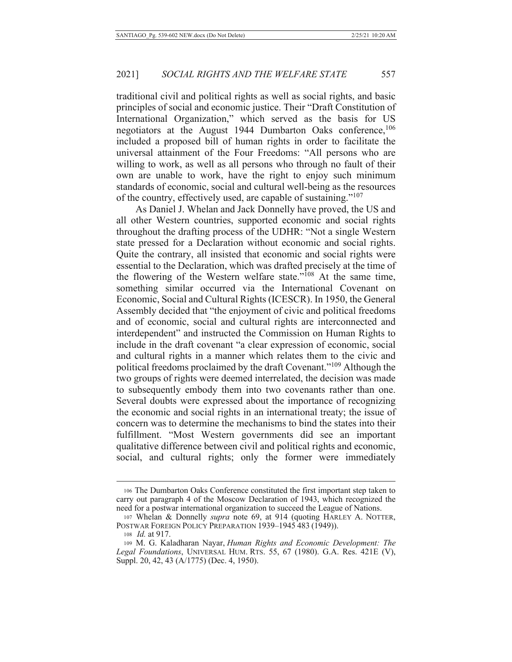traditional civil and political rights as well as social rights, and basic principles of social and economic justice. Their "Draft Constitution of International Organization," which served as the basis for US negotiators at the August 1944 Dumbarton Oaks conference, 106 included a proposed bill of human rights in order to facilitate the universal attainment of the Four Freedoms: "All persons who are willing to work, as well as all persons who through no fault of their own are unable to work, have the right to enjoy such minimum standards of economic, social and cultural well-being as the resources of the country, effectively used, are capable of sustaining."<sup>107</sup>

As Daniel J. Whelan and Jack Donnelly have proved, the US and all other Western countries, supported economic and social rights throughout the drafting process of the UDHR: "Not a single Western state pressed for a Declaration without economic and social rights. Quite the contrary, all insisted that economic and social rights were essential to the Declaration, which was drafted precisely at the time of the flowering of the Western welfare state."<sup>108</sup> At the same time, something similar occurred via the International Covenant on Economic, Social and Cultural Rights (ICESCR). In 1950, the General Assembly decided that "the enjoyment of civic and political freedoms and of economic, social and cultural rights are interconnected and interdependent" and instructed the Commission on Human Rights to include in the draft covenant "a clear expression of economic, social and cultural rights in a manner which relates them to the civic and political freedoms proclaimed by the draft Covenant."<sup>109</sup> Although the two groups of rights were deemed interrelated, the decision was made to subsequently embody them into two covenants rather than one. Several doubts were expressed about the importance of recognizing the economic and social rights in an international treaty; the issue of concern was to determine the mechanisms to bind the states into their fulfillment. "Most Western governments did see an important qualitative difference between civil and political rights and economic, social, and cultural rights; only the former were immediately

<sup>106</sup> The Dumbarton Oaks Conference constituted the first important step taken to carry out paragraph 4 of the Moscow Declaration of 1943, which recognized the need for a postwar international organization to succeed the League of Nations.

<sup>107</sup> Whelan & Donnelly *supra* note 69, at 914 (quoting HARLEY A. NOTTER, POSTWAR FOREIGN POLICY PREPARATION 1939-1945 483 (1949)).

<sup>108</sup> *Id.* at 917.

<sup>109</sup> M. G. Kaladharan Nayar, Human Rights and Economic Development: The Legal Foundations, UNIVERSAL HUM. RTS. 55, 67 (1980). G.A. Res. 421E (V), Suppl. 20, 42, 43 (A/1775) (Dec. 4, 1950).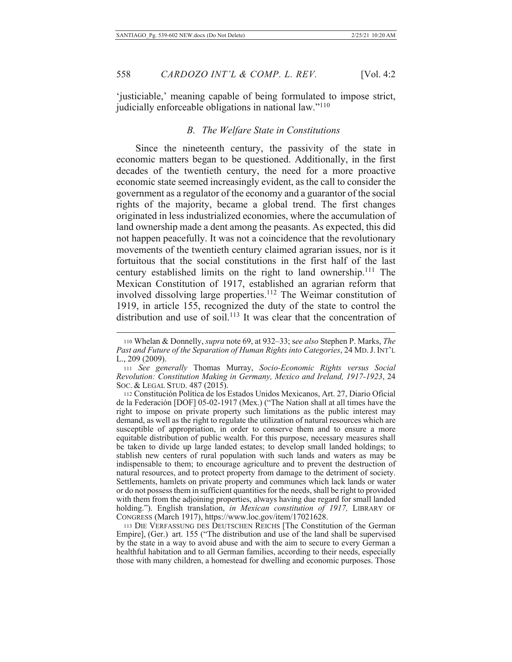'justiciable,' meaning capable of being formulated to impose strict, judicially enforceable obligations in national law."<sup>110</sup>

# **B.** The Welfare State in Constitutions

Since the nineteenth century, the passivity of the state in economic matters began to be questioned. Additionally, in the first decades of the twentieth century, the need for a more proactive economic state seemed increasingly evident, as the call to consider the government as a regulator of the economy and a guarantor of the social rights of the majority, became a global trend. The first changes originated in less industrialized economies, where the accumulation of land ownership made a dent among the peasants. As expected, this did not happen peacefully. It was not a coincidence that the revolutionary movements of the twentieth century claimed agrarian issues, nor is it fortuitous that the social constitutions in the first half of the last century established limits on the right to land ownership.<sup>111</sup> The Mexican Constitution of 1917, established an agrarian reform that involved dissolving large properties.<sup>112</sup> The Weimar constitution of 1919, in article 155, recognized the duty of the state to control the distribution and use of soil.<sup>113</sup> It was clear that the concentration of

<sup>110</sup> Whelan & Donnelly, *supra* note 69, at 932–33; see also Stephen P. Marks, The Past and Future of the Separation of Human Rights into Categories, 24 MD. J. INT'L L., 209 (2009).

<sup>111</sup> See generally Thomas Murray, Socio-Economic Rights versus Social Revolution: Constitution Making in Germany, Mexico and Ireland, 1917-1923, 24 Soc. & LEGAL STUD. 487 (2015).

<sup>112</sup> Constitución Política de los Estados Unidos Mexicanos, Art. 27, Diario Oficial de la Federación [DOF] 05-02-1917 (Mex.) ("The Nation shall at all times have the right to impose on private property such limitations as the public interest may demand, as well as the right to regulate the utilization of natural resources which are susceptible of appropriation, in order to conserve them and to ensure a more equitable distribution of public wealth. For this purpose, necessary measures shall be taken to divide up large landed estates; to develop small landed holdings; to stablish new centers of rural population with such lands and waters as may be indispensable to them; to encourage agriculture and to prevent the destruction of natural resources, and to protect property from damage to the detriment of society. Settlements, hamlets on private property and communes which lack lands or water or do not possess them in sufficient quantities for the needs, shall be right to provided with them from the adjoining properties, always having due regard for small landed holding."). English translation, in Mexican constitution of 1917, LIBRARY OF CONGRESS (March 1917), https://www.loc.gov/item/17021628.

<sup>113</sup> DIE VERFASSUNG DES DEUTSCHEN REICHS [The Constitution of the German Empire], (Ger.) art. 155 ("The distribution and use of the land shall be supervised by the state in a way to avoid abuse and with the aim to secure to every German a healthful habitation and to all German families, according to their needs, especially those with many children, a homestead for dwelling and economic purposes. Those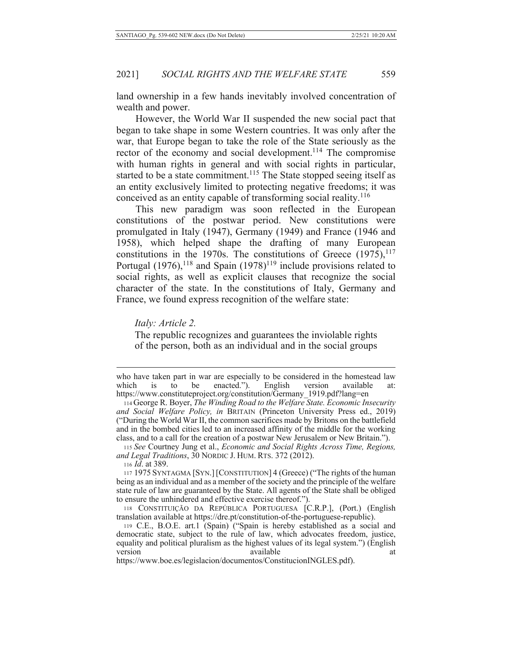land ownership in a few hands inevitably involved concentration of wealth and power.

However, the World War II suspended the new social pact that began to take shape in some Western countries. It was only after the war, that Europe began to take the role of the State seriously as the rector of the economy and social development.<sup>114</sup> The compromise with human rights in general and with social rights in particular, started to be a state commitment.<sup>115</sup> The State stopped seeing itself as an entity exclusively limited to protecting negative freedoms; it was conceived as an entity capable of transforming social reality.<sup>116</sup>

This new paradigm was soon reflected in the European constitutions of the postwar period. New constitutions were promulgated in Italy (1947), Germany (1949) and France (1946 and 1958), which helped shape the drafting of many European constitutions in the 1970s. The constitutions of Greece  $(1975)$ ,  $^{117}$ Portugal  $(1976)$ ,<sup>118</sup> and Spain  $(1978)$ <sup>119</sup> include provisions related to social rights, as well as explicit clauses that recognize the social character of the state. In the constitutions of Italy, Germany and France, we found express recognition of the welfare state:

Italy: Article 2.

The republic recognizes and guarantees the inviolable rights of the person, both as an individual and in the social groups

who have taken part in war are especially to be considered in the homestead law enacted."). which  $is$ to be English version available at: https://www.constituteproject.org/constitution/Germany\_1919.pdf?lang=en

<sup>114</sup> George R. Boyer, The Winding Road to the Welfare State. Economic Insecurity and Social Welfare Policy, in BRITAIN (Princeton University Press ed., 2019) ("During the World War II, the common sacrifices made by Britons on the battlefield and in the bombed cities led to an increased affinity of the middle for the working class, and to a call for the creation of a postwar New Jerusalem or New Britain.").

<sup>115</sup> See Courtney Jung et al., Economic and Social Rights Across Time, Regions, and Legal Traditions, 30 NORDIC J. HUM. RTS. 372 (2012).

<sup>116</sup> *Id.* at 389.

<sup>117 1975</sup> SYNTAGMA [SYN.] [CONSTITUTION] 4 (Greece) ("The rights of the human being as an individual and as a member of the society and the principle of the welfare state rule of law are guaranteed by the State. All agents of the State shall be obliged to ensure the unhindered and effective exercise thereof.").

<sup>118</sup> CONSTITUIÇÃO DA REPÚBLICA PORTUGUESA [C.R.P.], (Port.) (English translation available at https://dre.pt/constitution-of-the-portuguese-republic).

<sup>119</sup> C.E., B.O.E. art.1 (Spain) ("Spain is hereby established as a social and democratic state, subject to the rule of law, which advocates freedom, justice, equality and political pluralism as the highest values of its legal system.") (English version available at.

https://www.boe.es/legislacion/documentos/ConstitucionINGLES.pdf).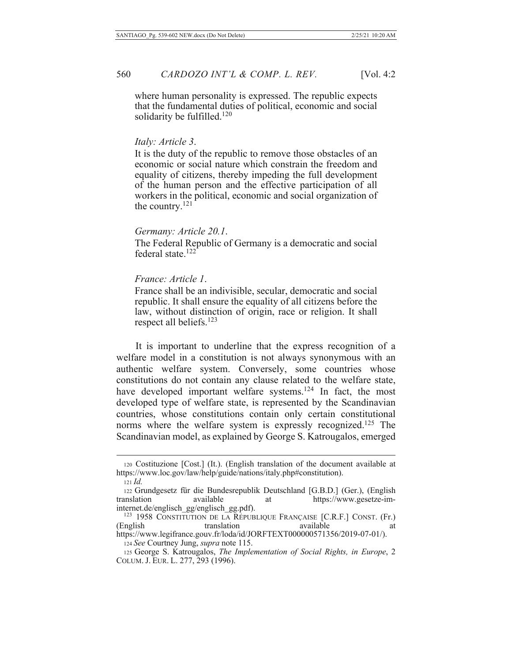where human personality is expressed. The republic expects that the fundamental duties of political, economic and social solidarity be fulfilled. $120$ 

# Italv: Article 3.

It is the duty of the republic to remove those obstacles of an economic or social nature which constrain the freedom and equality of citizens, thereby impeding the full development of the human person and the effective participation of all workers in the political, economic and social organization of the country.<sup>121</sup>

# Germany: Article 20.1.

The Federal Republic of Germany is a democratic and social federal state.<sup>122</sup>

# France: Article 1.

France shall be an indivisible, secular, democratic and social republic. It shall ensure the equality of all citizens before the law, without distinction of origin, race or religion. It shall respect all beliefs. $123$ 

It is important to underline that the express recognition of a welfare model in a constitution is not always synonymous with an authentic welfare system. Conversely, some countries whose constitutions do not contain any clause related to the welfare state, have developed important welfare systems.<sup>124</sup> In fact, the most developed type of welfare state, is represented by the Scandinavian countries, whose constitutions contain only certain constitutional norms where the welfare system is expressly recognized.<sup>125</sup> The Scandinavian model, as explained by George S. Katrougalos, emerged

124 See Courtney Jung, supra note 115.

<sup>120</sup> Costituzione [Cost.] (It.). (English translation of the document available at https://www.loc.gov/law/help/guide/nations/italy.php#constitution).

 $121$  *Id.* 

<sup>122</sup> Grundgesetz für die Bundesrepublik Deutschland [G.B.D.] (Ger.), (English translation available at https://www.gesetze-iminternet.de/englisch\_gg/englisch\_gg.pdf).

<sup>&</sup>lt;sup>123</sup> 1958 CONSTITUTION DE LA RÉPUBLIQUE FRANÇAISE [C.R.F.] CONST. (Fr.) translation (English) available at https://www.legifrance.gouv.fr/loda/id/JORFTEXT000000571356/2019-07-01/).

<sup>125</sup> George S. Katrougalos, The Implementation of Social Rights, in Europe, 2 COLUM. J. EUR. L. 277, 293 (1996).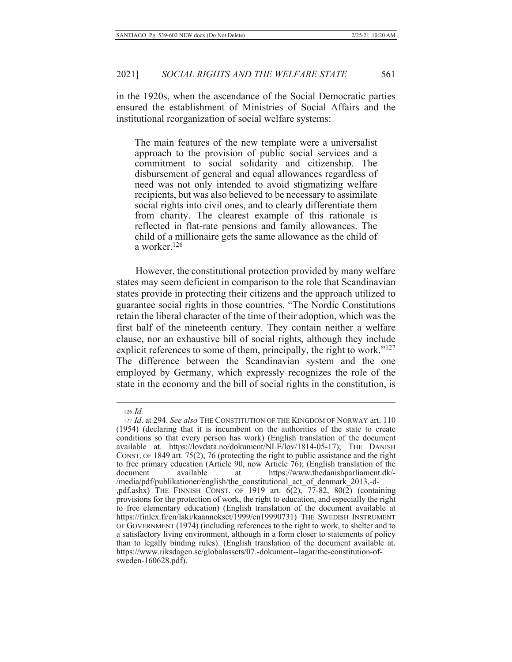in the 1920s, when the ascendance of the Social Democratic parties ensured the establishment of Ministries of Social Affairs and the institutional reorganization of social welfare systems:

The main features of the new template were a universalist approach to the provision of public social services and a commitment to social solidarity and citizenship. The disbursement of general and equal allowances regardless of need was not only intended to avoid stigmatizing welfare recipients, but was also believed to be necessary to assimilate social rights into civil ones, and to clearly differentiate them from charity. The clearest example of this rationale is reflected in flat-rate pensions and family allowances. The child of a millionaire gets the same allowance as the child of a worker. $126$ 

However, the constitutional protection provided by many welfare states may seem deficient in comparison to the role that Scandinavian states provide in protecting their citizens and the approach utilized to guarantee social rights in those countries. "The Nordic Constitutions retain the liberal character of the time of their adoption, which was the first half of the nineteenth century. They contain neither a welfare clause, nor an exhaustive bill of social rights, although they include explicit references to some of them, principally, the right to work."<sup>127</sup> The difference between the Scandinavian system and the one employed by Germany, which expressly recognizes the role of the state in the economy and the bill of social rights in the constitution, is

 $126$  *Id.* 

<sup>127</sup> Id. at 294. See also THE CONSTITUTION OF THE KINGDOM OF NORWAY art. 110 (1954) (declaring that it is incumbent on the authorities of the state to create conditions so that every person has work) (English translation of the document available at. https://lovdata.no/dokument/NLE/lov/1814-05-17); THE DANISH CONST. OF 1849 art. 75(2), 76 (protecting the right to public assistance and the right to free primary education (Article 90, now Article 76); (English translation of the available https://www.thedanishparliament.dk/document at /media/pdf/publikationer/english/the\_constitutional\_act\_of\_denmark\_2013,-d-<br>,pdf.ashx)\_THE\_FINNISH\_CONST.\_OF\_1919\_art.  $6(2)$ , 77-82, 80(2)\_(containing provisions for the protection of work, the right to education, and especially the right to free elementary education) (English translation of the document available at https://finlex.fi/en/laki/kaannokset/1999/en19990731) THE SWEDISH INSTRUMENT OF GOVERNMENT (1974) (including references to the right to work, to shelter and to a satisfactory living environment, although in a form closer to statements of policy than to legally binding rules). (English translation of the document available at. https://www.riksdagen.se/globalassets/07.-dokument--lagar/the-constitution-ofsweden-160628.pdf).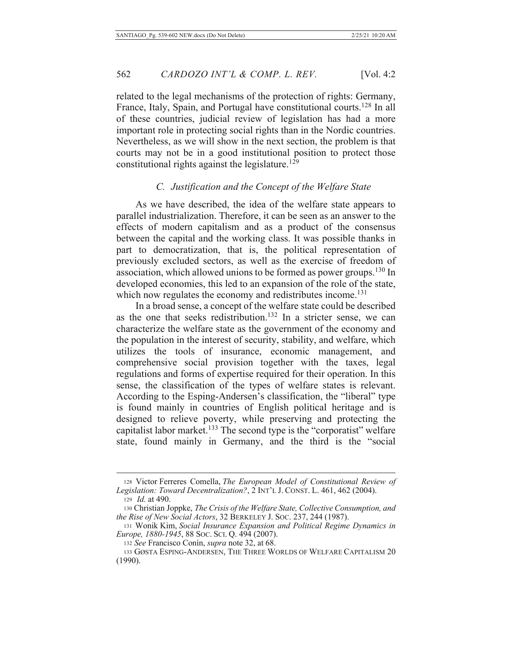related to the legal mechanisms of the protection of rights: Germany, France, Italy, Spain, and Portugal have constitutional courts.<sup>128</sup> In all of these countries, judicial review of legislation has had a more important role in protecting social rights than in the Nordic countries. Nevertheless, as we will show in the next section, the problem is that courts may not be in a good institutional position to protect those constitutional rights against the legislature.<sup>129</sup>

# C. Justification and the Concept of the Welfare State

As we have described, the idea of the welfare state appears to parallel industrialization. Therefore, it can be seen as an answer to the effects of modern capitalism and as a product of the consensus between the capital and the working class. It was possible thanks in part to democratization, that is, the political representation of previously excluded sectors, as well as the exercise of freedom of association, which allowed unions to be formed as power groups.<sup>130</sup> In developed economies, this led to an expansion of the role of the state, which now regulates the economy and redistributes income.<sup>131</sup>

In a broad sense, a concept of the welfare state could be described as the one that seeks redistribution.<sup>132</sup> In a stricter sense, we can characterize the welfare state as the government of the economy and the population in the interest of security, stability, and welfare, which utilizes the tools of insurance, economic management, and comprehensive social provision together with the taxes, legal regulations and forms of expertise required for their operation. In this sense, the classification of the types of welfare states is relevant. According to the Esping-Andersen's classification, the "liberal" type is found mainly in countries of English political heritage and is designed to relieve poverty, while preserving and protecting the capitalist labor market.<sup>133</sup> The second type is the "corporatist" welfare state, found mainly in Germany, and the third is the "social

<sup>128</sup> Victor Ferreres Comella, The European Model of Constitutional Review of Legislation: Toward Decentralization?, 2 INT'L J. CONST. L. 461, 462 (2004).

<sup>129</sup> *Id.* at 490.

<sup>130</sup> Christian Joppke, The Crisis of the Welfare State, Collective Consumption, and the Rise of New Social Actors, 32 BERKELEY J. Soc. 237, 244 (1987).

<sup>131</sup> Wonik Kim, Social Insurance Expansion and Political Regime Dynamics in *Europe, 1880-1945, 88 Soc. Sci. Q. 494 (2007).* 

<sup>132</sup> See Francisco Conín, *supra* note 32, at 68.

<sup>133</sup> GØSTA ESPING-ANDERSEN, THE THREE WORLDS OF WELFARE CAPITALISM 20  $(1990).$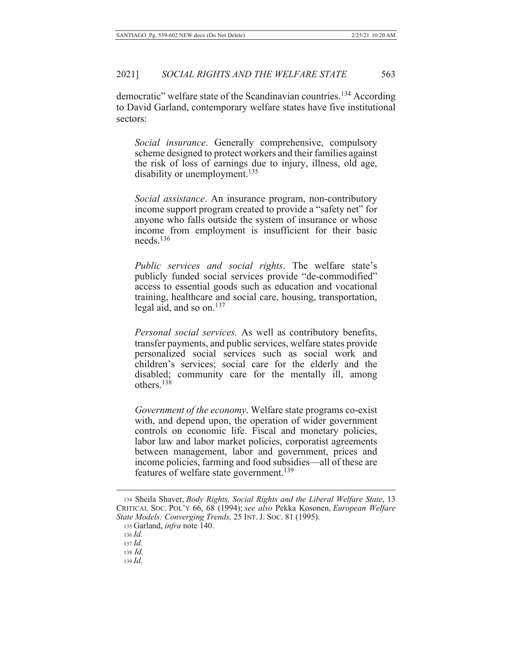democratic" welfare state of the Scandinavian countries.<sup>134</sup> According to David Garland, contemporary welfare states have five institutional sectors:

Social insurance. Generally comprehensive, compulsory scheme designed to protect workers and their families against the risk of loss of earnings due to injury, illness, old age, disability or unemployment.<sup>135</sup>

Social assistance. An insurance program, non-contributory income support program created to provide a "safety net" for anyone who falls outside the system of insurance or whose income from employment is insufficient for their basic  $needs$ <sup>136</sup>

Public services and social rights. The welfare state's publicly funded social services provide "de-commodified" access to essential goods such as education and vocational training, healthcare and social care, housing, transportation, legal aid, and so on. $137$ 

Personal social services. As well as contributory benefits, transfer payments, and public services, welfare states provide personalized social services such as social work and children's services; social care for the elderly and the disabled; community care for the mentally ill, among others  $138$ 

*Government of the economy.* Welfare state programs co-exist with, and depend upon, the operation of wider government controls on economic life. Fiscal and monetary policies, labor law and labor market policies, corporatist agreements between management, labor and government, prices and income policies, farming and food subsidies-all of these are features of welfare state government.<sup>139</sup>

134 Sheila Shaver, Body Rights, Social Rights and the Liberal Welfare State, 13 CRITICAL SOC. POL'Y 66, 68 (1994); see also Pekka Kosonen, European Welfare State Models: Converging Trends, 25 INT. J. Soc. 81 (1995).

 $136$  *Id.* 

 $137$  *Id.* 

 $138$  *Id.*  $139$  Id.

<sup>135</sup> Garland, infra note 140.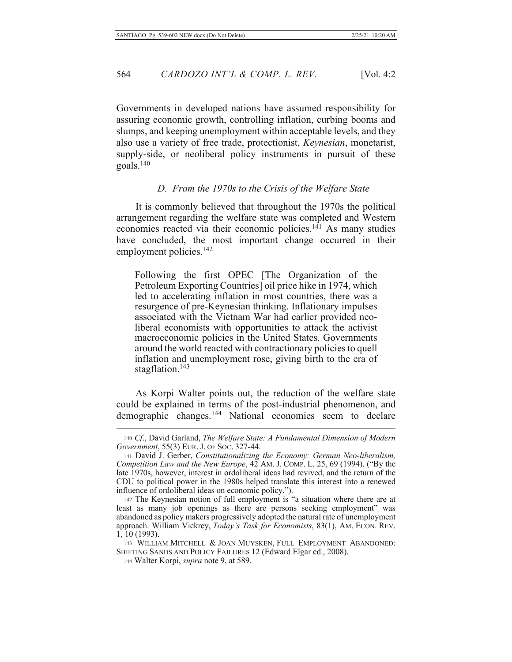Governments in developed nations have assumed responsibility for assuring economic growth, controlling inflation, curbing booms and slumps, and keeping unemployment within acceptable levels, and they also use a variety of free trade, protectionist, *Keynesian*, monetarist, supply-side, or neoliberal policy instruments in pursuit of these  $\text{goals.}^{140}$ 

# D. From the 1970s to the Crisis of the Welfare State

It is commonly believed that throughout the 1970s the political arrangement regarding the welfare state was completed and Western economies reacted via their economic policies.<sup>141</sup> As many studies have concluded, the most important change occurred in their employment policies.<sup>142</sup>

Following the first OPEC [The Organization of the Petroleum Exporting Countries] oil price hike in 1974, which led to accelerating inflation in most countries, there was a resurgence of pre-Keynesian thinking. Inflationary impulses associated with the Vietnam War had earlier provided neoliberal economists with opportunities to attack the activist macroeconomic policies in the United States. Governments around the world reacted with contractionary policies to quell inflation and unemployment rose, giving birth to the era of stagflation. $143$ 

As Korpi Walter points out, the reduction of the welfare state could be explained in terms of the post-industrial phenomenon, and demographic changes.<sup>144</sup> National economies seem to declare

<sup>140</sup> Cf., David Garland, The Welfare State: A Fundamental Dimension of Modern Government, 55(3) EUR. J. OF Soc. 327-44.

<sup>141</sup> David J. Gerber, Constitutionalizing the Economy: German Neo-liberalism, Competition Law and the New Europe, 42 AM. J. COMP. L. 25, 69 (1994). ("By the late 1970s, however, interest in ordoliberal ideas had revived, and the return of the CDU to political power in the 1980s helped translate this interest into a renewed influence of ordoliberal ideas on economic policy.").

<sup>142</sup> The Keynesian notion of full employment is "a situation where there are at least as many job openings as there are persons seeking employment" was abandoned as policy makers progressively adopted the natural rate of unemployment approach. William Vickrey, Today's Task for Economists, 83(1), AM. ECON. REV.  $1, 10(1993)$ .

<sup>143</sup> WILLIAM MITCHELL & JOAN MUYSKEN, FULL EMPLOYMENT ABANDONED: SHIFTING SANDS AND POLICY FAILURES 12 (Edward Elgar ed., 2008).

<sup>144</sup> Walter Korpi, *supra* note 9, at 589.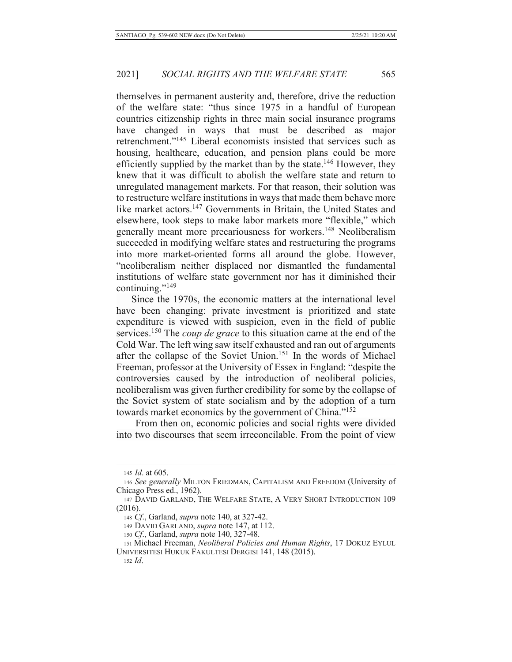themselves in permanent austerity and, therefore, drive the reduction of the welfare state: "thus since 1975 in a handful of European countries citizenship rights in three main social insurance programs have changed in ways that must be described as major retrenchment."<sup>145</sup> Liberal economists insisted that services such as housing, healthcare, education, and pension plans could be more efficiently supplied by the market than by the state.<sup>146</sup> However, they knew that it was difficult to abolish the welfare state and return to unregulated management markets. For that reason, their solution was to restructure welfare institutions in ways that made them behave more like market actors.<sup>147</sup> Governments in Britain, the United States and elsewhere, took steps to make labor markets more "flexible," which generally meant more precariousness for workers.<sup>148</sup> Neoliberalism succeeded in modifying welfare states and restructuring the programs into more market-oriented forms all around the globe. However, "neoliberalism neither displaced nor dismantled the fundamental institutions of welfare state government nor has it diminished their continuing."149

Since the 1970s, the economic matters at the international level have been changing: private investment is prioritized and state expenditure is viewed with suspicion, even in the field of public services.<sup>150</sup> The *coup de grace* to this situation came at the end of the Cold War. The left wing saw itself exhausted and ran out of arguments after the collapse of the Soviet Union.<sup>151</sup> In the words of Michael Freeman, professor at the University of Essex in England: "despite the controversies caused by the introduction of neoliberal policies, neoliberalism was given further credibility for some by the collapse of the Soviet system of state socialism and by the adoption of a turn towards market economics by the government of China."152

From then on, economic policies and social rights were divided into two discourses that seem irreconcilable. From the point of view

<sup>145</sup> *Id.* at 605.

<sup>146</sup> See generally MILTON FRIEDMAN, CAPITALISM AND FREEDOM (University of Chicago Press ed., 1962).

<sup>147</sup> DAVID GARLAND, THE WELFARE STATE, A VERY SHORT INTRODUCTION 109  $(2016).$ 

<sup>148</sup> Cf., Garland, *supra* note 140, at 327-42.

<sup>149</sup> DAVID GARLAND, *supra* note 147, at 112.

<sup>150</sup> Cf., Garland, *supra* note 140, 327-48.

<sup>151</sup> Michael Freeman, Neoliberal Policies and Human Rights, 17 DOKUZ EYLUL UNIVERSITESI HUKUK FAKULTESI DERGISI 141, 148 (2015).

 $152$  *Id.*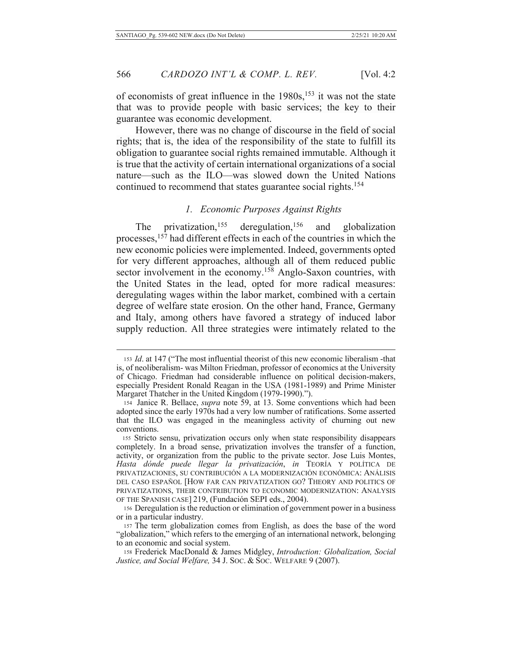of economists of great influence in the 1980s,<sup>153</sup> it was not the state that was to provide people with basic services; the key to their guarantee was economic development.

However, there was no change of discourse in the field of social rights; that is, the idea of the responsibility of the state to fulfill its obligation to guarantee social rights remained immutable. Although it is true that the activity of certain international organizations of a social nature—such as the ILO—was slowed down the United Nations continued to recommend that states guarantee social rights.<sup>154</sup>

#### 1. Economic Purposes Against Rights

privatization,  $155$  deregulation,  $156$  and globalization The processes,<sup>157</sup> had different effects in each of the countries in which the new economic policies were implemented. Indeed, governments opted for very different approaches, although all of them reduced public sector involvement in the economy.<sup>158</sup> Anglo-Saxon countries, with the United States in the lead, opted for more radical measures: deregulating wages within the labor market, combined with a certain degree of welfare state erosion. On the other hand, France, Germany and Italy, among others have favored a strategy of induced labor supply reduction. All three strategies were intimately related to the

566

<sup>153</sup> Id. at 147 ("The most influential theorist of this new economic liberalism -that is, of neoliberalism- was Milton Friedman, professor of economics at the University of Chicago. Friedman had considerable influence on political decision-makers, especially President Ronald Reagan in the USA (1981-1989) and Prime Minister Margaret Thatcher in the United Kingdom (1979-1990).").

<sup>154</sup> Janice R. Bellace, *supra* note 59, at 13. Some conventions which had been adopted since the early 1970s had a very low number of ratifications. Some asserted that the ILO was engaged in the meaningless activity of churning out new conventions.

<sup>155</sup> Stricto sensu, privatization occurs only when state responsibility disappears completely. In a broad sense, privatization involves the transfer of a function, activity, or organization from the public to the private sector. Jose Luis Montes, Hasta dónde puede llegar la privatización, in TEORÍA Y POLÍTICA DE PRIVATIZACIONES, SU CONTRIBUCIÓN A LA MODERNIZACIÓN ECONÓMICA: ANÁLISIS DEL CASO ESPAÑOL [HOW FAR CAN PRIVATIZATION GO? THEORY AND POLITICS OF PRIVATIZATIONS, THEIR CONTRIBUTION TO ECONOMIC MODERNIZATION: ANALYSIS OF THE SPANISH CASE] 219, (Fundación SEPI eds., 2004).

<sup>156</sup> Deregulation is the reduction or elimination of government power in a business or in a particular industry.

<sup>157</sup> The term globalization comes from English, as does the base of the word "globalization," which refers to the emerging of an international network, belonging to an economic and social system.

<sup>158</sup> Frederick MacDonald & James Midgley, Introduction: Globalization, Social Justice, and Social Welfare, 34 J. Soc. & Soc. WELFARE 9 (2007).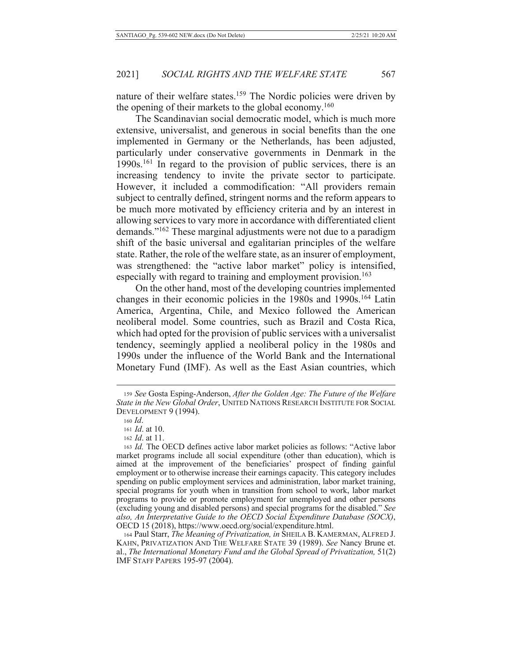nature of their welfare states.<sup>159</sup> The Nordic policies were driven by the opening of their markets to the global economy.<sup>160</sup>

The Scandinavian social democratic model, which is much more extensive, universalist, and generous in social benefits than the one implemented in Germany or the Netherlands, has been adjusted, particularly under conservative governments in Denmark in the  $1990s$ .<sup>161</sup> In regard to the provision of public services, there is an increasing tendency to invite the private sector to participate. However, it included a commodification: "All providers remain subject to centrally defined, stringent norms and the reform appears to be much more motivated by efficiency criteria and by an interest in allowing services to vary more in accordance with differentiated client demands."<sup>162</sup> These marginal adjustments were not due to a paradigm shift of the basic universal and egalitarian principles of the welfare state. Rather, the role of the welfare state, as an insurer of employment, was strengthened: the "active labor market" policy is intensified, especially with regard to training and employment provision.<sup>163</sup>

On the other hand, most of the developing countries implemented changes in their economic policies in the 1980s and 1990s.<sup>164</sup> Latin America, Argentina, Chile, and Mexico followed the American neoliberal model. Some countries, such as Brazil and Costa Rica, which had opted for the provision of public services with a universalist tendency, seemingly applied a neoliberal policy in the 1980s and 1990s under the influence of the World Bank and the International Monetary Fund (IMF). As well as the East Asian countries, which

<sup>159</sup> See Gosta Esping-Anderson, After the Golden Age: The Future of the Welfare State in the New Global Order, UNITED NATIONS RESEARCH INSTITUTE FOR SOCIAL DEVELOPMENT 9 (1994).

 $160$  *Id.* 

<sup>161</sup> *Id.* at 10.

<sup>162</sup> *Id.* at 11.

<sup>163</sup> Id. The OECD defines active labor market policies as follows: "Active labor market programs include all social expenditure (other than education), which is aimed at the improvement of the beneficiaries' prospect of finding gainful employment or to otherwise increase their earnings capacity. This category includes spending on public employment services and administration, labor market training, special programs for youth when in transition from school to work, labor market programs to provide or promote employment for unemployed and other persons (excluding young and disabled persons) and special programs for the disabled." See also, An Interpretative Guide to the OECD Social Expenditure Database (SOCX), OECD 15 (2018), https://www.oecd.org/social/expenditure.html.

<sup>164</sup> Paul Starr, The Meaning of Privatization, in SHEILA B. KAMERMAN, ALFRED J. KAHN, PRIVATIZATION AND THE WELFARE STATE 39 (1989). See Nancy Brune et. al., The International Monetary Fund and the Global Spread of Privatization,  $51(2)$ IMF STAFF PAPERS 195-97 (2004).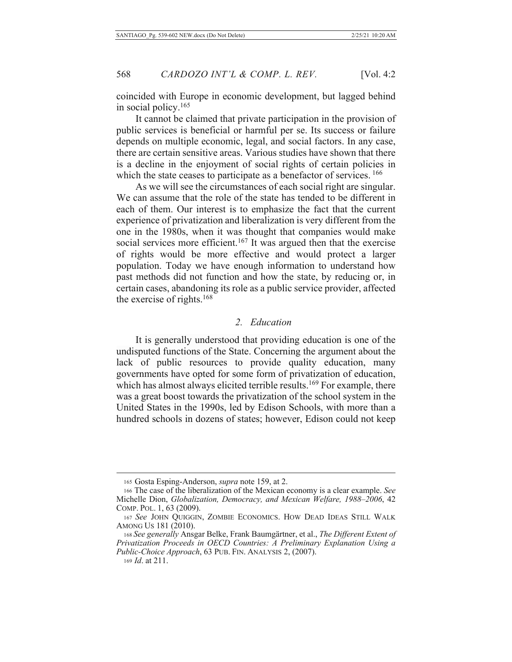coincided with Europe in economic development, but lagged behind in social policy.<sup>165</sup>

It cannot be claimed that private participation in the provision of public services is beneficial or harmful per se. Its success or failure depends on multiple economic, legal, and social factors. In any case, there are certain sensitive areas. Various studies have shown that there is a decline in the enjoyment of social rights of certain policies in which the state ceases to participate as a benefactor of services. 166

As we will see the circumstances of each social right are singular. We can assume that the role of the state has tended to be different in each of them. Our interest is to emphasize the fact that the current experience of privatization and liberalization is very different from the one in the 1980s, when it was thought that companies would make social services more efficient.<sup>167</sup> It was argued then that the exercise of rights would be more effective and would protect a larger population. Today we have enough information to understand how past methods did not function and how the state, by reducing or, in certain cases, abandoning its role as a public service provider, affected the exercise of rights.<sup>168</sup>

# 2. Education

It is generally understood that providing education is one of the undisputed functions of the State. Concerning the argument about the lack of public resources to provide quality education, many governments have opted for some form of privatization of education, which has almost always elicited terrible results.<sup>169</sup> For example, there was a great boost towards the privatization of the school system in the United States in the 1990s, led by Edison Schools, with more than a hundred schools in dozens of states; however, Edison could not keep

<sup>165</sup> Gosta Esping-Anderson, *supra* note 159, at 2.

<sup>166</sup> The case of the liberalization of the Mexican economy is a clear example. See Michelle Dion, Globalization, Democracy, and Mexican Welfare, 1988-2006, 42 COMP. POL. 1, 63 (2009).

<sup>167</sup> See JOHN QUIGGIN, ZOMBIE ECONOMICS. HOW DEAD IDEAS STILL WALK AMONG US 181 (2010).

<sup>168</sup> See generally Ansgar Belke, Frank Baumgärtner, et al., The Different Extent of Privatization Proceeds in OECD Countries: A Preliminary Explanation Using a Public-Choice Approach, 63 PUB. FIN. ANALYSIS 2, (2007).

<sup>169</sup> *Id.* at 211.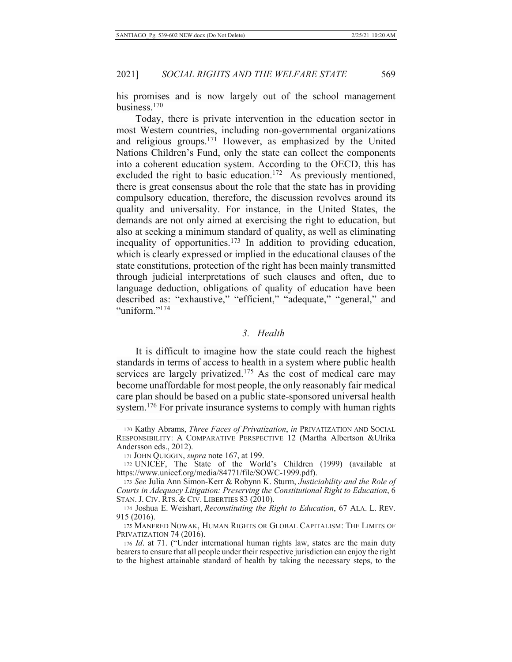his promises and is now largely out of the school management business.<sup>170</sup>

Today, there is private intervention in the education sector in most Western countries, including non-governmental organizations and religious groups.<sup>171</sup> However, as emphasized by the United Nations Children's Fund, only the state can collect the components into a coherent education system. According to the OECD, this has excluded the right to basic education.<sup>172</sup> As previously mentioned, there is great consensus about the role that the state has in providing compulsory education, therefore, the discussion revolves around its quality and universality. For instance, in the United States, the demands are not only aimed at exercising the right to education, but also at seeking a minimum standard of quality, as well as eliminating inequality of opportunities.<sup>173</sup> In addition to providing education, which is clearly expressed or implied in the educational clauses of the state constitutions, protection of the right has been mainly transmitted through judicial interpretations of such clauses and often, due to language deduction, obligations of quality of education have been described as: "exhaustive," "efficient," "adequate," "general," and "uniform."<sup>174</sup>

# 3. Health

It is difficult to imagine how the state could reach the highest standards in terms of access to health in a system where public health services are largely privatized.<sup>175</sup> As the cost of medical care may become unaffordable for most people, the only reasonably fair medical care plan should be based on a public state-sponsored universal health system.<sup>176</sup> For private insurance systems to comply with human rights

171 JOHN QUIGGIN, *supra* note 167, at 199.

<sup>170</sup> Kathy Abrams, Three Faces of Privatization, in PRIVATIZATION AND SOCIAL RESPONSIBILITY: A COMPARATIVE PERSPECTIVE 12 (Martha Albertson & Ulrika Andersson eds., 2012).

<sup>172</sup> UNICEF, The State of the World's Children (1999) (available at https://www.unicef.org/media/84771/file/SOWC-1999.pdf).

<sup>173</sup> See Julia Ann Simon-Kerr & Robynn K. Sturm, Justiciability and the Role of Courts in Adequacy Litigation: Preserving the Constitutional Right to Education, 6 STAN. J. CIV. RTS. & CIV. LIBERTIES 83 (2010).

<sup>174</sup> Joshua E. Weishart, Reconstituting the Right to Education, 67 ALA. L. REV. 915 (2016).

<sup>175</sup> MANFRED NOWAK, HUMAN RIGHTS OR GLOBAL CAPITALISM: THE LIMITS OF PRIVATIZATION 74 (2016).

<sup>176</sup> Id. at 71. ("Under international human rights law, states are the main duty bearers to ensure that all people under their respective jurisdiction can enjoy the right to the highest attainable standard of health by taking the necessary steps, to the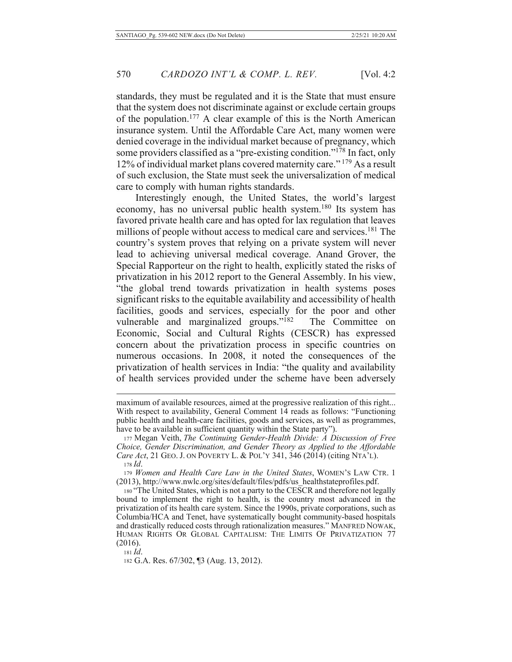standards, they must be regulated and it is the State that must ensure that the system does not discriminate against or exclude certain groups of the population.<sup>177</sup> A clear example of this is the North American insurance system. Until the Affordable Care Act, many women were denied coverage in the individual market because of pregnancy, which some providers classified as a "pre-existing condition."<sup>178</sup> In fact, only 12% of individual market plans covered maternity care."<sup>179</sup> As a result of such exclusion, the State must seek the universalization of medical care to comply with human rights standards.

Interestingly enough, the United States, the world's largest economy, has no universal public health system.<sup>180</sup> Its system has favored private health care and has opted for lax regulation that leaves millions of people without access to medical care and services.<sup>181</sup> The country's system proves that relying on a private system will never lead to achieving universal medical coverage. Anand Grover, the Special Rapporteur on the right to health, explicitly stated the risks of privatization in his 2012 report to the General Assembly. In his view, "the global trend towards privatization in health systems poses significant risks to the equitable availability and accessibility of health facilities, goods and services, especially for the poor and other vulnerable and marginalized groups." $182$ The Committee on Economic, Social and Cultural Rights (CESCR) has expressed concern about the privatization process in specific countries on numerous occasions. In 2008, it noted the consequences of the privatization of health services in India: "the quality and availability of health services provided under the scheme have been adversely

maximum of available resources, aimed at the progressive realization of this right... With respect to availability, General Comment 14 reads as follows: "Functioning" public health and health-care facilities, goods and services, as well as programmes, have to be available in sufficient quantity within the State party").

<sup>177</sup> Megan Veith, The Continuing Gender-Health Divide: A Discussion of Free *Choice, Gender Discrimination, and Gender Theory as Applied to the Affordable Care Act*, 21 GEO. J. ON POVERTY L. & POL'Y 341, 346 (2014) (citing NTA'L). 178 *Id*.

<sup>179</sup> Women and Health Care Law in the United States, WOMEN'S LAW CTR. 1  $(2013)$ , http://www.nwlc.org/sites/default/files/pdfs/us healthstateprofiles.pdf.

<sup>180 &</sup>quot;The United States, which is not a party to the CESCR and therefore not legally bound to implement the right to health, is the country most advanced in the privatization of its health care system. Since the 1990s, private corporations, such as Columbia/HCA and Tenet, have systematically bought community-based hospitals and drastically reduced costs through rationalization measures." MANFRED NOWAK, HUMAN RIGHTS OR GLOBAL CAPITALISM: THE LIMITS OF PRIVATIZATION 77  $(2016).$ 

 $181$  *Id.* 

<sup>182</sup> G.A. Res. 67/302, ¶3 (Aug. 13, 2012).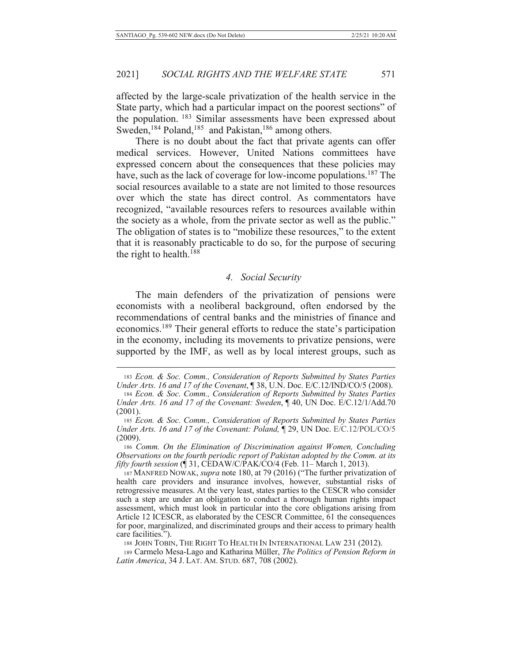affected by the large-scale privatization of the health service in the State party, which had a particular impact on the poorest sections" of the population. <sup>183</sup> Similar assessments have been expressed about Sweden,  $^{184}$  Poland,  $^{185}$  and Pakistan,  $^{186}$  among others.

There is no doubt about the fact that private agents can offer medical services. However, United Nations committees have expressed concern about the consequences that these policies may have, such as the lack of coverage for low-income populations.<sup>187</sup> The social resources available to a state are not limited to those resources over which the state has direct control. As commentators have recognized, "available resources refers to resources available within the society as a whole, from the private sector as well as the public." The obligation of states is to "mobilize these resources," to the extent that it is reasonably practicable to do so, for the purpose of securing the right to health. $188$ 

#### 4. Social Security

The main defenders of the privatization of pensions were economists with a neoliberal background, often endorsed by the recommendations of central banks and the ministries of finance and economics.<sup>189</sup> Their general efforts to reduce the state's participation in the economy, including its movements to privatize pensions, were supported by the IMF, as well as by local interest groups, such as

188 JOHN TOBIN, THE RIGHT TO HEALTH IN INTERNATIONAL LAW 231 (2012).

189 Carmelo Mesa-Lago and Katharina Müller, The Politics of Pension Reform in Latin America, 34 J. LAT. AM. STUD. 687, 708 (2002).

<sup>183</sup> Econ. & Soc. Comm., Consideration of Reports Submitted by States Parties *Under Arts. 16 and 17 of the Covenant,* [938, U.N. Doc. E/C.12/IND/CO/5 (2008). 184 Econ. & Soc. Comm., Consideration of Reports Submitted by States Parties

Under Arts. 16 and 17 of the Covenant: Sweden, ¶ 40, UN Doc. E/C.12/1/Add.70  $(2001).$ 

<sup>185</sup> Econ. & Soc. Comm., Consideration of Reports Submitted by States Parties *Under Arts. 16 and 17 of the Covenant: Poland,* 129, UN Doc. E/C.12/POL/CO/5  $(2009).$ 

<sup>186</sup> Comm. On the Elimination of Discrimination against Women, Concluding *Abservations on the fourth periodic report of Pakistan adopted by the Comm. at its fifty fourth session* (¶ 31, CEDAW/C/PAK/CO/4 (Feb. 11– March 1, 2013).

<sup>187</sup> MANFRED NOWAK, *supra* note 180, at 79 (2016) ("The further privatization of health care providers and insurance involves, however, substantial risks of retrogressive measures. At the very least, states parties to the CESCR who consider such a step are under an obligation to conduct a thorough human rights impact assessment, which must look in particular into the core obligations arising from Article 12 ICESCR, as elaborated by the CESCR Committee, 61 the consequences for poor, marginalized, and discriminated groups and their access to primary health care facilities.").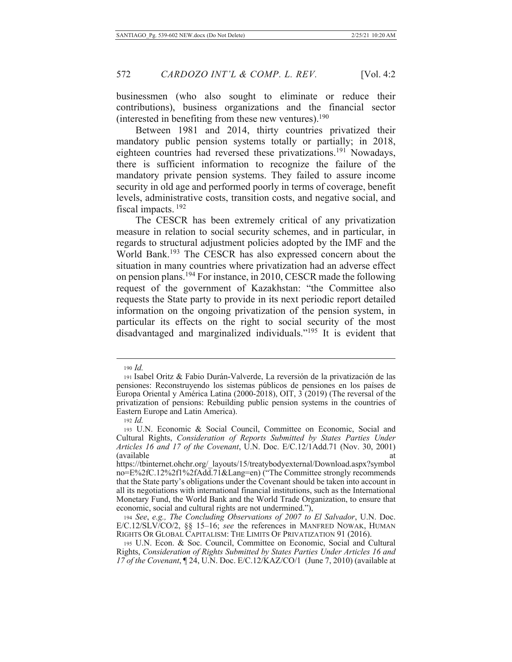businessmen (who also sought to eliminate or reduce their contributions), business organizations and the financial sector (interested in benefiting from these new ventures).  $190$ 

Between 1981 and 2014, thirty countries privatized their mandatory public pension systems totally or partially; in 2018, eighteen countries had reversed these privatizations.<sup>191</sup> Nowadays, there is sufficient information to recognize the failure of the mandatory private pension systems. They failed to assure income security in old age and performed poorly in terms of coverage, benefit levels, administrative costs, transition costs, and negative social, and fiscal impacts.<sup>192</sup>

The CESCR has been extremely critical of any privatization measure in relation to social security schemes, and in particular, in regards to structural adjustment policies adopted by the IMF and the World Bank.<sup>193</sup> The CESCR has also expressed concern about the situation in many countries where privatization had an adverse effect on pension plans.<sup>194</sup> For instance, in 2010, CESCR made the following request of the government of Kazakhstan: "the Committee also requests the State party to provide in its next periodic report detailed information on the ongoing privatization of the pension system, in particular its effects on the right to social security of the most disadvantaged and marginalized individuals."<sup>195</sup> It is evident that

 $190$  *Id.* 

<sup>191</sup> Isabel Oritz & Fabio Durán-Valverde, La reversión de la privatización de las pensiones: Reconstruyendo los sistemas públicos de pensiones en los países de Europa Oriental y América Latina (2000-2018), OIT, 3 (2019) (The reversal of the privatization of pensions: Rebuilding public pension systems in the countries of Eastern Europe and Latin America).

 $192$  *Id.* 

<sup>193</sup> U.N. Economic & Social Council, Committee on Economic, Social and Cultural Rights, Consideration of Reports Submitted by States Parties Under Articles 16 and 17 of the Covenant, U.N. Doc. E/C.12/1Add.71 (Nov. 30, 2001) (available) at

https://tbinternet.ohchr.org/\_layouts/15/treatybodyexternal/Download.aspx?symbol no=E%2fC.12%2f1%2fAdd.71&Lang=en) ("The Committee strongly recommends that the State party's obligations under the Covenant should be taken into account in all its negotiations with international financial institutions, such as the International Monetary Fund, the World Bank and the World Trade Organization, to ensure that economic, social and cultural rights are not undermined."),

<sup>194</sup> See, e.g., The Concluding Observations of 2007 to El Salvador, U.N. Doc.  $E/C.12/SLV/CO/2$ , §§ 15-16; see the references in MANFRED NOWAK, HUMAN RIGHTS OR GLOBAL CAPITALISM: THE LIMITS OF PRIVATIZATION 91 (2016).

<sup>195</sup> U.N. Econ. & Soc. Council, Committee on Economic, Social and Cultural Rights, Consideration of Rights Submitted by States Parties Under Articles 16 and 17 of the Covenant, 124, U.N. Doc. E/C.12/KAZ/CO/1 (June 7, 2010) (available at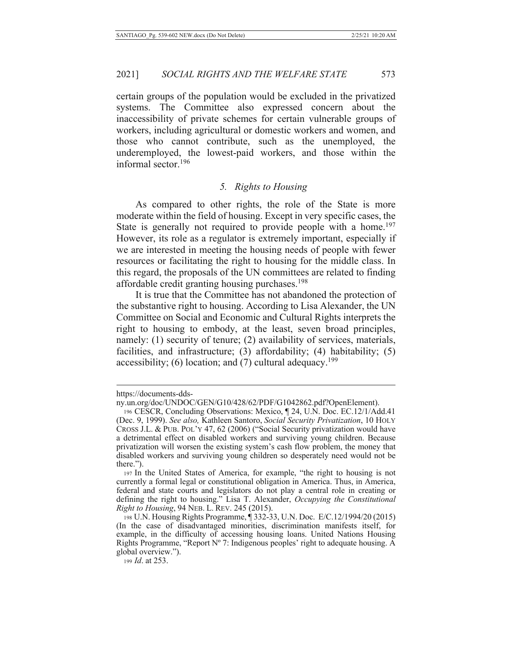certain groups of the population would be excluded in the privatized systems. The Committee also expressed concern about the inaccessibility of private schemes for certain vulnerable groups of workers, including agricultural or domestic workers and women, and those who cannot contribute, such as the unemployed, the underemployed, the lowest-paid workers, and those within the informal sector. $196$ 

# *5. Rights to Housing*

As compared to other rights, the role of the State is more moderate within the field of housing. Except in very specific cases, the State is generally not required to provide people with a home.<sup>197</sup> However, its role as a regulator is extremely important, especially if we are interested in meeting the housing needs of people with fewer resources or facilitating the right to housing for the middle class. In this regard, the proposals of the UN committees are related to finding affordable credit granting housing purchases.<sup>198</sup>

It is true that the Committee has not abandoned the protection of the substantive right to housing. According to Lisa Alexander, the UN Committee on Social and Economic and Cultural Rights interprets the right to housing to embody, at the least, seven broad principles, namely: (1) security of tenure; (2) availability of services, materials, facilities, and infrastructure; (3) affordability; (4) habitability; (5) accessibility; (6) location; and  $(7)$  cultural adequacy.<sup>199</sup>

199 *Id.* at 253.

https://documents-dds-

ny.un.org/doc/UNDOC/GEN/G10/428/62/PDF/G1042862.pdf?OpenElement).

<sup>196</sup> CESCR, Concluding Observations: Mexico, ¶ 24, U.N. Doc. EC.12/1/Add.41 (Dec. 9, 1999). See also, Kathleen Santoro, Social Security Privatization, 10 HOLY CROSS J.L. & PUB. POL'Y 47, 62 (2006) ("Social Security privatization would have a detrimental effect on disabled workers and surviving young children. Because privatization will worsen the existing system's cash flow problem, the money that disabled workers and surviving young children so desperately need would not be there.").

<sup>197</sup> In the United States of America, for example, "the right to housing is not currently a formal legal or constitutional obligation in America. Thus, in America, federal and state courts and legislators do not play a central role in creating or defining the right to housing." Lisa T. Alexander, *Occupying the Constitutional Right to Housing, 94 NEB. L. REV. 245 (2015).* 

<sup>198</sup> U.N. Housing Rights Programme, ¶ 332-33, U.N. Doc. E/C.12/1994/20 (2015) (In the case of disadvantaged minorities, discrimination manifests itself, for example, in the difficulty of accessing housing loans. United Nations Housing Rights Programme, "Report Nº 7: Indigenous peoples' right to adequate housing. A global overview.").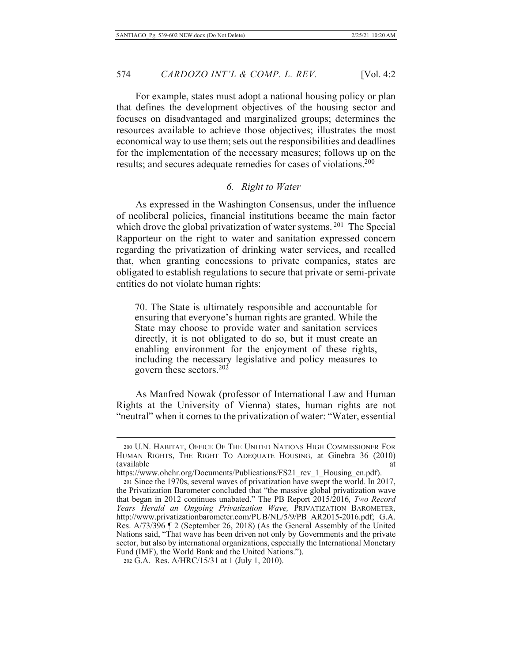For example, states must adopt a national housing policy or plan that defines the development objectives of the housing sector and focuses on disadvantaged and marginalized groups; determines the resources available to achieve those objectives; illustrates the most economical way to use them; sets out the responsibilities and deadlines for the implementation of the necessary measures; follows up on the results; and secures adequate remedies for cases of violations.<sup>200</sup>

### 6. Right to Water

As expressed in the Washington Consensus, under the influence of neoliberal policies, financial institutions became the main factor which drove the global privatization of water systems.<sup>201</sup> The Special Rapporteur on the right to water and sanitation expressed concern regarding the privatization of drinking water services, and recalled that, when granting concessions to private companies, states are obligated to establish regulations to secure that private or semi-private entities do not violate human rights:

70. The State is ultimately responsible and accountable for ensuring that everyone's human rights are granted. While the State may choose to provide water and sanitation services directly, it is not obligated to do so, but it must create an enabling environment for the enjoyment of these rights, including the necessary legislative and policy measures to govern these sectors.<sup>202</sup>

As Manfred Nowak (professor of International Law and Human Rights at the University of Vienna) states, human rights are not "neutral" when it comes to the privatization of water: "Water, essential

<sup>200</sup> U.N. HABITAT, OFFICE OF THE UNITED NATIONS HIGH COMMISSIONER FOR HUMAN RIGHTS, THE RIGHT TO ADEQUATE HOUSING, at Ginebra 36 (2010) (available) at

https://www.ohchr.org/Documents/Publications/FS21\_rev\_1\_Housing\_en.pdf). 201 Since the 1970s, several waves of privatization have swept the world. In 2017, the Privatization Barometer concluded that "the massive global privatization wave that began in 2012 continues unabated." The PB Report 2015/2016, Two Record Years Herald an Ongoing Privatization Wave, PRIVATIZATION BAROMETER, http://www.privatizationbarometer.com/PUB/NL/5/9/PB AR2015-2016.pdf; G.A. Res. A/73/396 ¶ 2 (September 26, 2018) (As the General Assembly of the United Nations said, "That wave has been driven not only by Governments and the private sector, but also by international organizations, especially the International Monetary Fund (IMF), the World Bank and the United Nations.").

<sup>202</sup> G.A. Res. A/HRC/15/31 at 1 (July 1, 2010).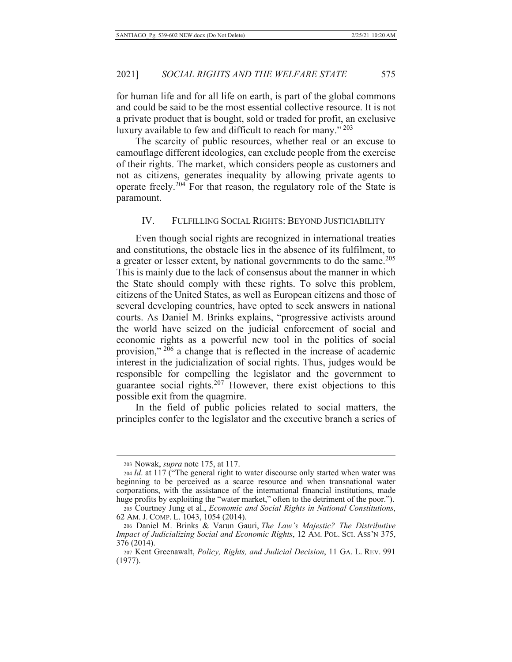for human life and for all life on earth, is part of the global commons and could be said to be the most essential collective resource. It is not a private product that is bought, sold or traded for profit, an exclusive luxury available to few and difficult to reach for many."<sup>203</sup>

The scarcity of public resources, whether real or an excuse to camouflage different ideologies, can exclude people from the exercise of their rights. The market, which considers people as customers and not as citizens, generates inequality by allowing private agents to operate freely.<sup>204</sup> For that reason, the regulatory role of the State is paramount.

# IV. FULFILLING SOCIAL RIGHTS: BEYOND JUSTICIABILITY

Even though social rights are recognized in international treaties and constitutions, the obstacle lies in the absence of its fulfilment, to a greater or lesser extent, by national governments to do the same.<sup>205</sup> This is mainly due to the lack of consensus about the manner in which the State should comply with these rights. To solve this problem, citizens of the United States, as well as European citizens and those of several developing countries, have opted to seek answers in national courts. As Daniel M. Brinks explains, "progressive activists around the world have seized on the judicial enforcement of social and economic rights as a powerful new tool in the politics of social provision," 206 a change that is reflected in the increase of academic interest in the judicialization of social rights. Thus, judges would be responsible for compelling the legislator and the government to guarantee social rights.<sup>207</sup> However, there exist objections to this possible exit from the quagmire.

In the field of public policies related to social matters, the principles confer to the legislator and the executive branch a series of

<sup>203</sup> Nowak, *supra* note 175, at 117.

 $204$  *Id.* at 117 ("The general right to water discourse only started when water was beginning to be perceived as a scarce resource and when transnational water corporations, with the assistance of the international financial institutions, made huge profits by exploiting the "water market," often to the detriment of the poor.").

<sup>205</sup> Courtney Jung et al., *Economic and Social Rights in National Constitutions*, 62 AM. J. COMP. L. 1043, 1054 (2014).

<sup>206</sup> Daniel M. Brinks & Varun Gauri, *The Law's Majestic? The Distributive Impact of Judicializing Social and Economic Rights, 12 AM. POL. SCI. Ass'N 375,* 376 (2014).

<sup>207</sup> Kent Greenawalt, *Policy, Rights, and Judicial Decision*, 11 GA. L. REV. 991  $(1977)$ .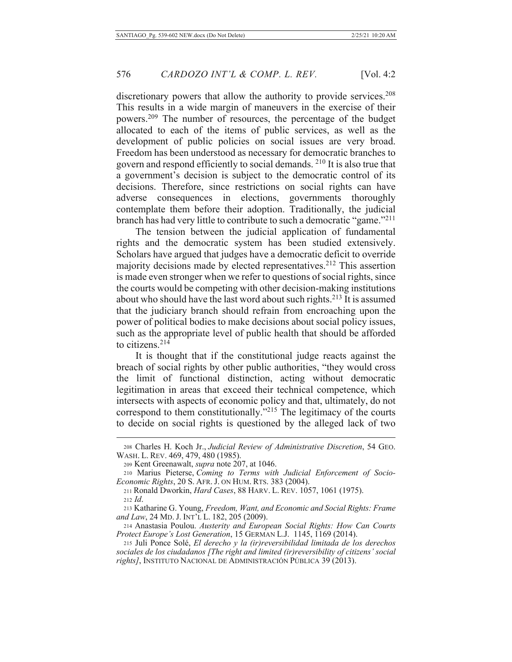discretionary powers that allow the authority to provide services.<sup>208</sup> This results in a wide margin of maneuvers in the exercise of their powers.<sup>209</sup> The number of resources, the percentage of the budget allocated to each of the items of public services, as well as the development of public policies on social issues are very broad. Freedom has been understood as necessary for democratic branches to govern and respond efficiently to social demands. <sup>210</sup> It is also true that a government's decision is subject to the democratic control of its decisions. Therefore, since restrictions on social rights can have adverse consequences in elections, governments thoroughly contemplate them before their adoption. Traditionally, the judicial branch has had very little to contribute to such a democratic "game."<sup>211</sup>

The tension between the judicial application of fundamental rights and the democratic system has been studied extensively. Scholars have argued that judges have a democratic deficit to override majority decisions made by elected representatives.<sup>212</sup> This assertion is made even stronger when we refer to questions of social rights, since the courts would be competing with other decision-making institutions about who should have the last word about such rights.<sup>213</sup> It is assumed that the judiciary branch should refrain from encroaching upon the power of political bodies to make decisions about social policy issues, such as the appropriate level of public health that should be afforded to citizens. $214$ 

It is thought that if the constitutional judge reacts against the breach of social rights by other public authorities, "they would cross the limit of functional distinction, acting without democratic legitimation in areas that exceed their technical competence, which intersects with aspects of economic policy and that, ultimately, do not correspond to them constitutionally."<sup>215</sup> The legitimacy of the courts to decide on social rights is questioned by the alleged lack of two

<sup>208</sup> Charles H. Koch Jr., Judicial Review of Administrative Discretion, 54 GEO. WASH. L. REV. 469, 479, 480 (1985).

<sup>209</sup> Kent Greenawalt, *supra* note 207, at 1046.

<sup>210</sup> Marius Pieterse, Coming to Terms with Judicial Enforcement of Socio-*Economic Rights, 20 S. AFR. J. ON HUM. RTS. 383 (2004).* 

<sup>211</sup> Ronald Dworkin, *Hard Cases*, 88 HARV. L. REV. 1057, 1061 (1975).

<sup>212</sup> *Id.* 

<sup>213</sup> Katharine G. Young, *Freedom, Want, and Economic and Social Rights: Frame* and Law, 24 MD. J. INT'L L. 182, 205 (2009).

<sup>214</sup> Anastasia Poulou. Austerity and European Social Rights: How Can Courts *Protect Europe's Lost Generation, 15 GERMAN L.J. 1145, 1169 (2014).* 

<sup>215</sup> Juli Ponce Solé, El derecho y la (ir)reversibilidad limitada de los derechos sociales de los ciudadanos [The right and limited (ir)reversibility of citizens' social rights], INSTITUTO NACIONAL DE ADMINISTRACIÓN PÚBLICA 39 (2013).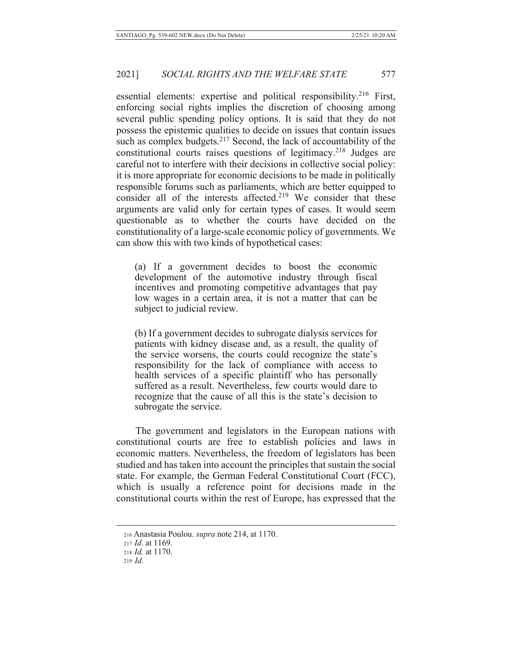essential elements: expertise and political responsibility.<sup>216</sup> First, enforcing social rights implies the discretion of choosing among several public spending policy options. It is said that they do not possess the epistemic qualities to decide on issues that contain issues such as complex budgets.<sup>217</sup> Second, the lack of accountability of the constitutional courts raises questions of legitimacy.<sup>218</sup> Judges are careful not to interfere with their decisions in collective social policy: it is more appropriate for economic decisions to be made in politically responsible forums such as parliaments, which are better equipped to consider all of the interests affected.<sup>219</sup> We consider that these arguments are valid only for certain types of cases. It would seem questionable as to whether the courts have decided on the constitutionality of a large-scale economic policy of governments. We can show this with two kinds of hypothetical cases:

(a) If a government decides to boost the economic development of the automotive industry through fiscal incentives and promoting competitive advantages that pay low wages in a certain area, it is not a matter that can be subject to judicial review.

(b) If a government decides to subrogate dialysis services for patients with kidney disease and, as a result, the quality of the service worsens, the courts could recognize the state's responsibility for the lack of compliance with access to health services of a specific plaintiff who has personally suffered as a result. Nevertheless, few courts would dare to recognize that the cause of all this is the state's decision to subrogate the service.

The government and legislators in the European nations with constitutional courts are free to establish policies and laws in economic matters. Nevertheless, the freedom of legislators has been studied and has taken into account the principles that sustain the social state. For example, the German Federal Constitutional Court (FCC), which is usually a reference point for decisions made in the constitutional courts within the rest of Europe, has expressed that the

<sup>216</sup> Anastasia Poulou. *supra* note 214, at 1170.

<sup>217</sup> *Id.* at 1169.

<sup>218</sup> *Id.* at 1170.

 $219$  *Id.*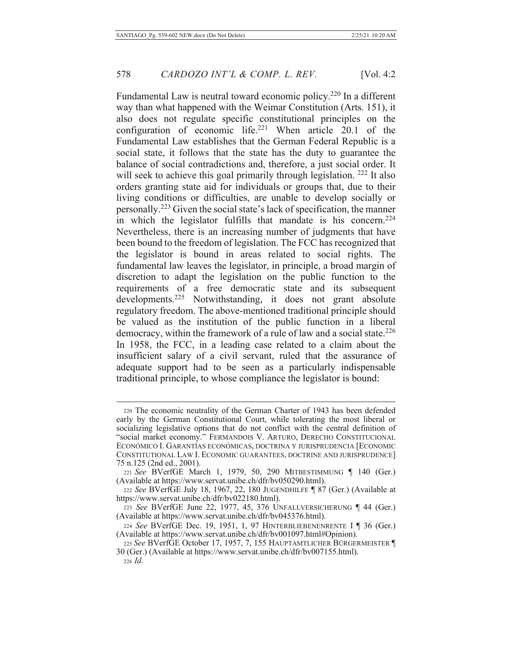Fundamental Law is neutral toward economic policy.<sup>220</sup> In a different way than what happened with the Weimar Constitution (Arts. 151), it also does not regulate specific constitutional principles on the configuration of economic life.<sup>221</sup> When article 20.1 of the Fundamental Law establishes that the German Federal Republic is a social state, it follows that the state has the duty to guarantee the balance of social contradictions and, therefore, a just social order. It will seek to achieve this goal primarily through legislation.  $222$  It also orders granting state aid for individuals or groups that, due to their living conditions or difficulties, are unable to develop socially or personally.<sup>223</sup> Given the social state's lack of specification, the manner in which the legislator fulfills that mandate is his concern.<sup>224</sup> Nevertheless, there is an increasing number of judgments that have been bound to the freedom of legislation. The FCC has recognized that the legislator is bound in areas related to social rights. The fundamental law leaves the legislator, in principle, a broad margin of discretion to adapt the legislation on the public function to the requirements of a free democratic state and its subsequent  $developments.<sup>225</sup>$  Notwithstanding, it does not grant absolute regulatory freedom. The above-mentioned traditional principle should be valued as the institution of the public function in a liberal democracy, within the framework of a rule of law and a social state.<sup>226</sup> In 1958, the FCC, in a leading case related to a claim about the insufficient salary of a civil servant, ruled that the assurance of adequate support had to be seen as a particularly indispensable traditional principle, to whose compliance the legislator is bound:

<sup>220</sup> The economic neutrality of the German Charter of 1943 has been defended early by the German Constitutional Court, while tolerating the most liberal or socializing legislative options that do not conflict with the central definition of "social market economy." FERMANDOIS V. ARTURO, DERECHO CONSTITUCIONAL ECONÓMICO I. GARANTÍAS ECONÓMICAS, DOCTRINA Y JURISPRUDENCIA [ECONOMIC CONSTITUTIONAL LAW I. ECONOMIC GUARANTEES, DOCTRINE AND JURISPRUDENCE] 75 n.125 (2nd ed., 2001).

<sup>221</sup> See BVerfGE March 1, 1979, 50, 290 MITBESTIMMUNG | 140 (Ger.) (Available at https://www.servat.unibe.ch/dfr/bv050290.html).

<sup>222</sup> See BVerfGE July 18, 1967, 22, 180 JUGENDHILFE | 87 (Ger.) (Available at https://www.servat.unibe.ch/dfr/bv022180.html).

<sup>223</sup> See BVerfGE June 22, 1977, 45, 376 UNFALLVERSICHERUNG ¶ 44 (Ger.) (Available at https://www.servat.unibe.ch/dfr/bv045376.html).

<sup>224</sup> See BVerfGE Dec. 19, 1951, 1, 97 HINTERBLIEBENENRENTE I ¶ 36 (Ger.) (Available at https://www.servat.unibe.ch/dfr/bv001097.html#Opinion).

<sup>225</sup> See BVerfGE October 17, 1957, 7, 155 HAUPTAMTLICHER BÜRGERMEISTER ¶ 30 (Ger.) (Available at https://www.servat.unibe.ch/dfr/bv007155.html).  $226$  *Id.*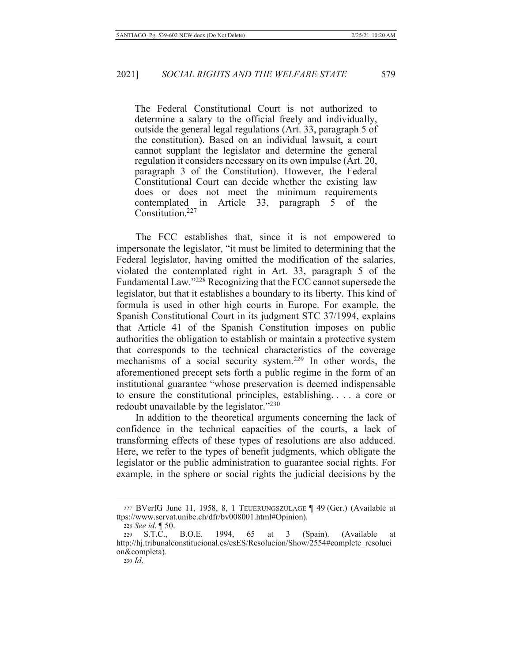The Federal Constitutional Court is not authorized to determine a salary to the official freely and individually, outside the general legal regulations (Art. 33, paragraph 5 of the constitution). Based on an individual lawsuit, a court cannot supplant the legislator and determine the general regulation it considers necessary on its own impulse (Art. 20, paragraph 3 of the Constitution). However, the Federal Constitutional Court can decide whether the existing law does or does not meet the minimum requirements Article contemplated in 33, paragraph 5 of the Constitution.<sup>227</sup>

The FCC establishes that, since it is not empowered to impersonate the legislator, "it must be limited to determining that the Federal legislator, having omitted the modification of the salaries, violated the contemplated right in Art. 33, paragraph 5 of the Fundamental Law."<sup>228</sup> Recognizing that the FCC cannot supersede the legislator, but that it establishes a boundary to its liberty. This kind of formula is used in other high courts in Europe. For example, the Spanish Constitutional Court in its judgment STC 37/1994, explains that Article 41 of the Spanish Constitution imposes on public authorities the obligation to establish or maintain a protective system that corresponds to the technical characteristics of the coverage mechanisms of a social security system.<sup>229</sup> In other words, the aforementioned precept sets forth a public regime in the form of an institutional guarantee "whose preservation is deemed indispensable to ensure the constitutional principles, establishing.... a core or redoubt unavailable by the legislator."230

In addition to the theoretical arguments concerning the lack of confidence in the technical capacities of the courts, a lack of transforming effects of these types of resolutions are also adduced. Here, we refer to the types of benefit judgments, which obligate the legislator or the public administration to guarantee social rights. For example, in the sphere or social rights the judicial decisions by the

<sup>227</sup> BVerfG June 11, 1958, 8, 1 TEUERUNGSZULAGE 149 (Ger.) (Available at ttps://www.servat.unibe.ch/dfr/bv008001.html#Opinion).

<sup>228</sup> See id. ¶ 50.

<sup>229</sup> S.T.C., B.O.E. 1994, 65 at 3 (Spain). (Available) at http://hj.tribunalconstitucional.es/esES/Resolucion/Show/2554#complete resoluci on&completa).

 $230$  *Id.*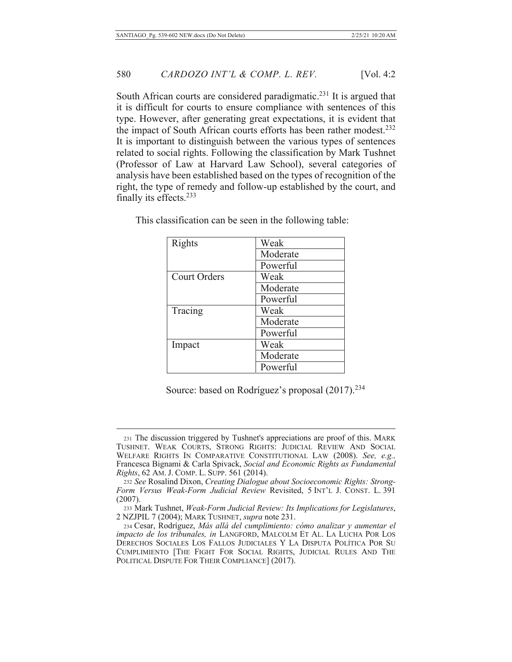South African courts are considered paradigmatic.<sup>231</sup> It is argued that it is difficult for courts to ensure compliance with sentences of this type. However, after generating great expectations, it is evident that the impact of South African courts efforts has been rather modest.<sup>232</sup> It is important to distinguish between the various types of sentences related to social rights. Following the classification by Mark Tushnet (Professor of Law at Harvard Law School), several categories of analysis have been established based on the types of recognition of the right, the type of remedy and follow-up established by the court, and finally its effects.<sup>233</sup>

| Rights              | Weak     |
|---------------------|----------|
|                     | Moderate |
|                     | Powerful |
| <b>Court Orders</b> | Weak     |
|                     | Moderate |
|                     | Powerful |
| Tracing             | Weak     |
|                     | Moderate |
|                     | Powerful |
| Impact              | Weak     |
|                     | Moderate |
|                     | Powerful |

This classification can be seen in the following table:

Source: based on Rodríguez's proposal (2017).<sup>234</sup>

<sup>231</sup> The discussion triggered by Tushnet's appreciations are proof of this. MARK TUSHNET. WEAK COURTS, STRONG RIGHTS: JUDICIAL REVIEW AND SOCIAL WELFARE RIGHTS IN COMPARATIVE CONSTITUTIONAL LAW (2008). See, e.g., Francesca Bignami & Carla Spivack, Social and Economic Rights as Fundamental Rights, 62 AM. J. COMP. L. SUPP. 561 (2014).

<sup>232</sup> See Rosalind Dixon, Creating Dialogue about Socioeconomic Rights: Strong-Form Versus Weak-Form Judicial Review Revisited, 5 INT'L J. CONST. L. 391  $(2007).$ 

<sup>233</sup> Mark Tushnet, Weak-Form Judicial Review: Its Implications for Legislatures, 2 NZJPIL 7 (2004); MARK TUSHNET, supra note 231.

<sup>234</sup> Cesar, Rodríguez, Más allá del cumplimiento: cómo analizar y aumentar el impacto de los tribunales, in LANGFORD, MALCOLM ET AL. LA LUCHA POR LOS DERECHOS SOCIALES LOS FALLOS JUDICIALES Y LA DISPUTA POLÍTICA POR SU CUMPLIMIENTO [THE FIGHT FOR SOCIAL RIGHTS, JUDICIAL RULES AND THE POLITICAL DISPUTE FOR THEIR COMPLIANCE] (2017).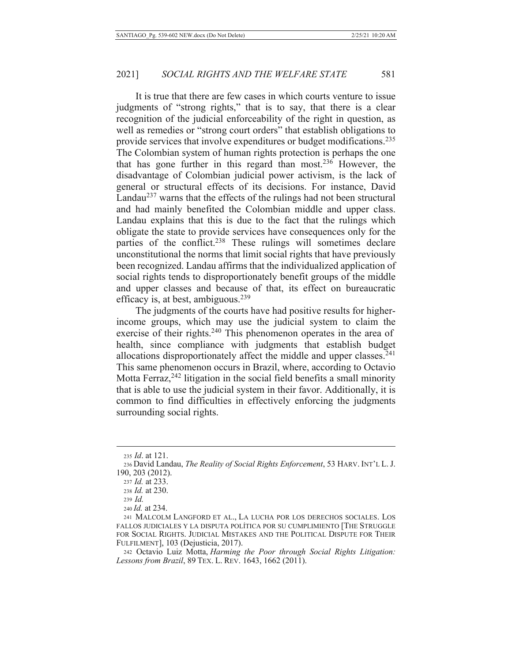It is true that there are few cases in which courts venture to issue judgments of "strong rights," that is to say, that there is a clear recognition of the judicial enforceability of the right in question, as well as remedies or "strong court orders" that establish obligations to provide services that involve expenditures or budget modifications.<sup>235</sup> The Colombian system of human rights protection is perhaps the one that has gone further in this regard than most.<sup>236</sup> However, the disadvantage of Colombian judicial power activism, is the lack of general or structural effects of its decisions. For instance, David Landau<sup>237</sup> warns that the effects of the rulings had not been structural and had mainly benefited the Colombian middle and upper class. Landau explains that this is due to the fact that the rulings which obligate the state to provide services have consequences only for the parties of the conflict.<sup>238</sup> These rulings will sometimes declare unconstitutional the norms that limit social rights that have previously been recognized. Landau affirms that the individualized application of social rights tends to disproportionately benefit groups of the middle and upper classes and because of that, its effect on bureaucratic efficacy is, at best, ambiguous.<sup>239</sup>

The judgments of the courts have had positive results for higherincome groups, which may use the judicial system to claim the exercise of their rights.<sup>240</sup> This phenomenon operates in the area of health, since compliance with judgments that establish budget allocations disproportionately affect the middle and upper classes.<sup>241</sup> This same phenomenon occurs in Brazil, where, according to Octavio Motta Ferraz,<sup>242</sup> litigation in the social field benefits a small minority that is able to use the judicial system in their favor. Additionally, it is common to find difficulties in effectively enforcing the judgments surrounding social rights.

242 Octavio Luiz Motta, Harming the Poor through Social Rights Litigation: Lessons from Brazil, 89 TEX. L. REV. 1643, 1662 (2011).

<sup>235</sup> Id. at 121.

<sup>236</sup> David Landau, The Reality of Social Rights Enforcement, 53 HARV. INT'L L. J. 190, 203 (2012).

<sup>237</sup> Id. at 233.

<sup>238</sup> Id. at 230.

 $239$  *Id.* 

<sup>240</sup> *Id.* at 234.

<sup>241</sup> MALCOLM LANGFORD ET AL., LA LUCHA POR LOS DERECHOS SOCIALES. LOS FALLOS JUDICIALES Y LA DISPUTA POLÍTICA POR SU CUMPLIMIENTO [THE STRUGGLE FOR SOCIAL RIGHTS. JUDICIAL MISTAKES AND THE POLITICAL DISPUTE FOR THEIR FULFILMENT], 103 (Dejusticia, 2017).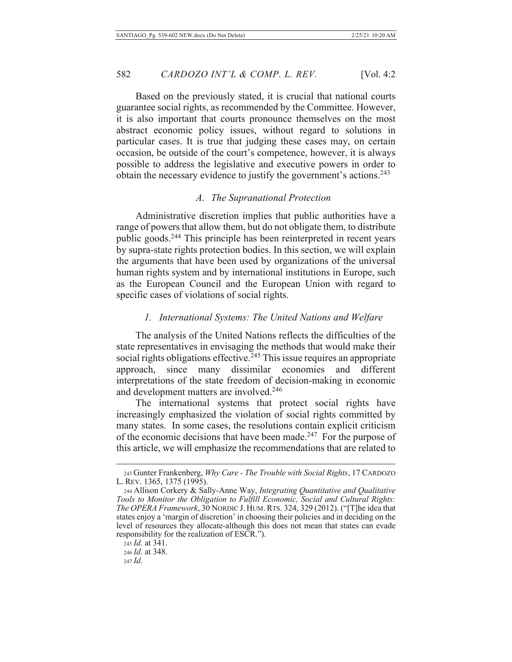Based on the previously stated, it is crucial that national courts guarantee social rights, as recommended by the Committee. However, it is also important that courts pronounce themselves on the most abstract economic policy issues, without regard to solutions in particular cases. It is true that judging these cases may, on certain occasion, be outside of the court's competence, however, it is always possible to address the legislative and executive powers in order to obtain the necessary evidence to justify the government's actions.<sup>243</sup>

#### A. The Supranational Protection

Administrative discretion implies that public authorities have a range of powers that allow them, but do not obligate them, to distribute public goods.<sup>244</sup> This principle has been reinterpreted in recent years by supra-state rights protection bodies. In this section, we will explain the arguments that have been used by organizations of the universal human rights system and by international institutions in Europe, such as the European Council and the European Union with regard to specific cases of violations of social rights.

# 1. International Systems: The United Nations and Welfare

The analysis of the United Nations reflects the difficulties of the state representatives in envisaging the methods that would make their social rights obligations effective.<sup>245</sup> This issue requires an appropriate since many dissimilar economies and different approach, interpretations of the state freedom of decision-making in economic and development matters are involved.<sup>246</sup>

The international systems that protect social rights have increasingly emphasized the violation of social rights committed by many states. In some cases, the resolutions contain explicit criticism of the economic decisions that have been made.<sup>247</sup> For the purpose of this article, we will emphasize the recommendations that are related to

246 *Id.* at 348.

<sup>243</sup> Gunter Frankenberg, Why Care - The Trouble with Social Rights, 17 CARDOZO L. REV. 1365, 1375 (1995).

<sup>244</sup> Allison Corkery & Sally-Anne Way, Integrating Quantitative and Qualitative Tools to Monitor the Obligation to Fulfill Economic, Social and Cultural Rights: The OPERA Framework, 30 NORDIC J. HUM. RTS. 324, 329 (2012). ("[T]he idea that states enjoy a 'margin of discretion' in choosing their policies and in deciding on the level of resources they allocate-although this does not mean that states can evade responsibility for the realization of ESCR.").

<sup>245</sup> *Id.* at 341.

 $247$  *Id.*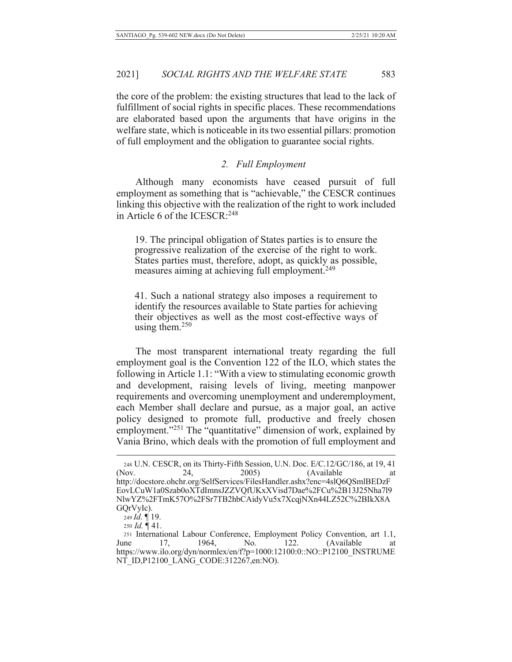the core of the problem: the existing structures that lead to the lack of fulfillment of social rights in specific places. These recommendations are elaborated based upon the arguments that have origins in the welfare state, which is noticeable in its two essential pillars: promotion of full employment and the obligation to guarantee social rights.

### 2. Full Employment

Although many economists have ceased pursuit of full employment as something that is "achievable," the CESCR continues linking this objective with the realization of the right to work included in Article 6 of the ICESCR:<sup>248</sup>

19. The principal obligation of States parties is to ensure the progressive realization of the exercise of the right to work. States parties must, therefore, adopt, as quickly as possible, measures aiming at achieving full employment.<sup>249</sup>

41. Such a national strategy also imposes a requirement to identify the resources available to State parties for achieving their objectives as well as the most cost-effective ways of using them. $250$ 

The most transparent international treaty regarding the full employment goal is the Convention 122 of the ILO, which states the following in Article 1.1: "With a view to stimulating economic growth and development, raising levels of living, meeting manpower requirements and overcoming unemployment and underemployment, each Member shall declare and pursue, as a major goal, an active policy designed to promote full, productive and freely chosen employment."<sup>251</sup> The "quantitative" dimension of work, explained by Vania Brino, which deals with the promotion of full employment and

<sup>248</sup> U.N. CESCR, on its Thirty-Fifth Session, U.N. Doc. E/C.12/GC/186, at 19, 41 24, (Nov. 2005) (Available http://docstore.ohchr.org/SelfServices/FilesHandler.ashx?enc=4slQ6QSmlBEDzF EovLCuW1a0Szab0oXTdImnsJZZVQfUKxXVisd7Dae%2FCu%2B13J25Nha7l9 NlwYZ%2FTmK57O%2FSr7TB2hbCAidyVu5x7XcqjNXn44LZ52C%2BIkX8A GQrVyIc).

<sup>249</sup> Id. 19.

<sup>250</sup> *Id.*  $\P$  41.

<sup>251</sup> International Labour Conference, Employment Policy Convention, art 1.1, 1964, No. 122. (Available) June 17, at https://www.ilo.org/dyn/normlex/en/f?p=1000:12100:0::NO::P12100 INSTRUME NT ID, P12100 LANG CODE: 312267, en: NO).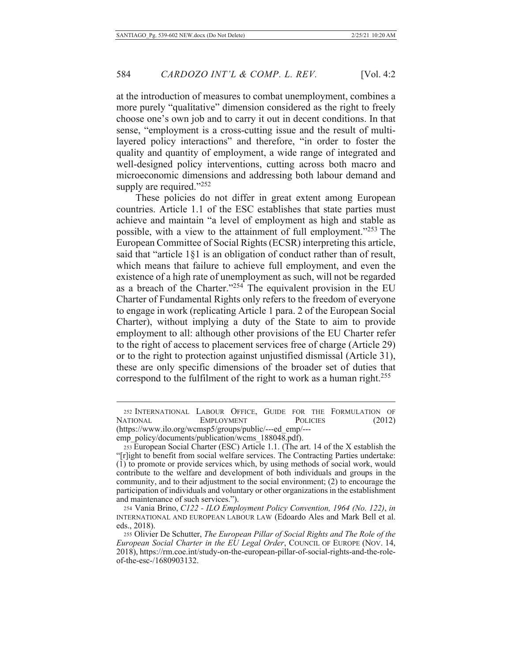at the introduction of measures to combat unemployment, combines a more purely "qualitative" dimension considered as the right to freely choose one's own job and to carry it out in decent conditions. In that sense, "employment is a cross-cutting issue and the result of multilayered policy interactions" and therefore, "in order to foster the quality and quantity of employment, a wide range of integrated and well-designed policy interventions, cutting across both macro and microeconomic dimensions and addressing both labour demand and supply are required."252

These policies do not differ in great extent among European countries. Article 1.1 of the ESC establishes that state parties must achieve and maintain "a level of employment as high and stable as possible, with a view to the attainment of full employment."253 The European Committee of Social Rights (ECSR) interpreting this article, said that "article  $1§1$  is an obligation of conduct rather than of result, which means that failure to achieve full employment, and even the existence of a high rate of unemployment as such, will not be regarded as a breach of the Charter."<sup>254</sup> The equivalent provision in the EU Charter of Fundamental Rights only refers to the freedom of everyone to engage in work (replicating Article 1 para. 2 of the European Social Charter), without implying a duty of the State to aim to provide employment to all: although other provisions of the EU Charter refer to the right of access to placement services free of charge (Article 29) or to the right to protection against unjustified dismissal (Article 31), these are only specific dimensions of the broader set of duties that correspond to the fulfilment of the right to work as a human right.<sup>255</sup>

<sup>252</sup> INTERNATIONAL LABOUR OFFICE, GUIDE FOR THE FORMULATION OF NATIONAL EMPLOYMENT POLICIES (2012) (https://www.ilo.org/wcmsp5/groups/public/---ed\_emp/---

emp\_policy/documents/publication/wcms\_188048.pdf).

<sup>253</sup> European Social Charter (ESC) Article 1.1. (The art. 14 of the X establish the "[r]ight to benefit from social welfare services. The Contracting Parties undertake:  $(1)$  to promote or provide services which, by using methods of social work, would contribute to the welfare and development of both individuals and groups in the community, and to their adjustment to the social environment; (2) to encourage the participation of individuals and voluntary or other organizations in the establishment and maintenance of such services.").

<sup>254</sup> Vania Brino, C122 - ILO Employment Policy Convention, 1964 (No. 122), in INTERNATIONAL AND EUROPEAN LABOUR LAW (Edoardo Ales and Mark Bell et al.  $eds., 2018.$ 

<sup>255</sup> Olivier De Schutter, The European Pillar of Social Rights and The Role of the *European Social Charter in the EU Legal Order, COUNCIL OF EUROPE (NOV. 14,* 2018), https://rm.coe.int/study-on-the-european-pillar-of-social-rights-and-the-roleof-the-esc-/1680903132.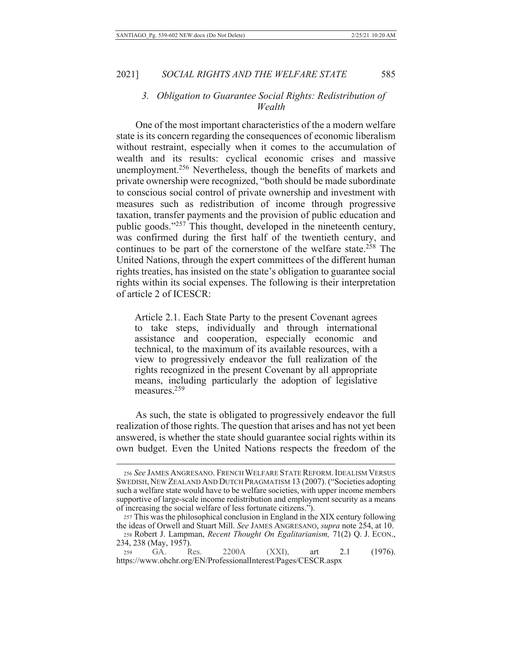# 3. Obligation to Guarantee Social Rights: Redistribution of Wealth

One of the most important characteristics of the a modern welfare state is its concern regarding the consequences of economic liberalism without restraint, especially when it comes to the accumulation of wealth and its results: cyclical economic crises and massive unemployment.<sup>256</sup> Nevertheless, though the benefits of markets and private ownership were recognized, "both should be made subordinate to conscious social control of private ownership and investment with measures such as redistribution of income through progressive taxation, transfer payments and the provision of public education and public goods."257 This thought, developed in the nineteenth century, was confirmed during the first half of the twentieth century, and continues to be part of the cornerstone of the welfare state.<sup>258</sup> The United Nations, through the expert committees of the different human rights treaties, has insisted on the state's obligation to guarantee social rights within its social expenses. The following is their interpretation of article 2 of ICESCR:

Article 2.1. Each State Party to the present Covenant agrees to take steps, individually and through international assistance and cooperation, especially economic and technical, to the maximum of its available resources, with a view to progressively endeavor the full realization of the rights recognized in the present Covenant by all appropriate means, including particularly the adoption of legislative measures.<sup>259</sup>

As such, the state is obligated to progressively endeavor the full realization of those rights. The question that arises and has not yet been answered, is whether the state should guarantee social rights within its own budget. Even the United Nations respects the freedom of the

<sup>256</sup> See JAMES ANGRESANO. FRENCH WELFARE STATE REFORM. IDEALISM VERSUS SWEDISH, NEW ZEALAND AND DUTCH PRAGMATISM 13 (2007). ("Societies adopting such a welfare state would have to be welfare societies, with upper income members supportive of large-scale income redistribution and employment security as a means of increasing the social welfare of less fortunate citizens.").

<sup>257</sup> This was the philosophical conclusion in England in the XIX century following the ideas of Orwell and Stuart Mill. See JAMES ANGRESANO, *supra* note 254, at 10.

<sup>258</sup> Robert J. Lampman, Recent Thought On Egalitarianism, 71(2) Q. J. ECON., 234, 238 (May, 1957).

<sup>259</sup> GA. Res. 2200A  $(XXI),$ art 2.1  $(1976).$ https://www.ohchr.org/EN/ProfessionalInterest/Pages/CESCR.aspx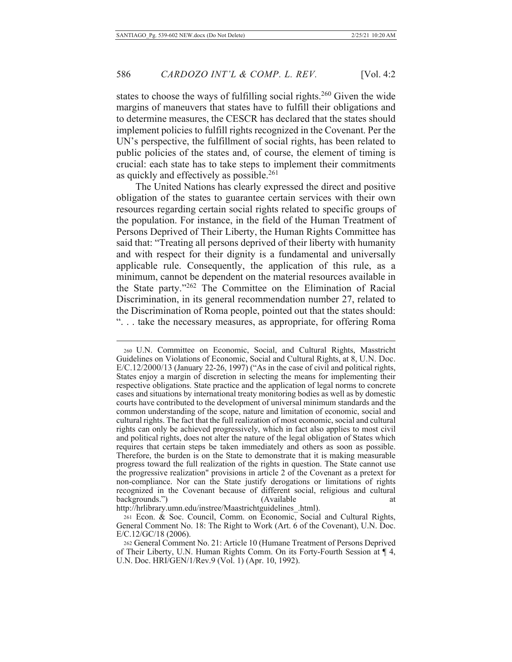states to choose the ways of fulfilling social rights.<sup>260</sup> Given the wide margins of maneuvers that states have to fulfill their obligations and to determine measures, the CESCR has declared that the states should implement policies to fulfill rights recognized in the Covenant. Per the UN's perspective, the fulfillment of social rights, has been related to public policies of the states and, of course, the element of timing is crucial: each state has to take steps to implement their commitments as quickly and effectively as possible.<sup>261</sup>

The United Nations has clearly expressed the direct and positive obligation of the states to guarantee certain services with their own resources regarding certain social rights related to specific groups of the population. For instance, in the field of the Human Treatment of Persons Deprived of Their Liberty, the Human Rights Committee has said that: "Treating all persons deprived of their liberty with humanity and with respect for their dignity is a fundamental and universally applicable rule. Consequently, the application of this rule, as a minimum, cannot be dependent on the material resources available in the State party."262 The Committee on the Elimination of Racial Discrimination, in its general recommendation number 27, related to the Discrimination of Roma people, pointed out that the states should: "... take the necessary measures, as appropriate, for offering Roma

260 U.N. Committee on Economic, Social, and Cultural Rights, Masstricht Guidelines on Violations of Economic, Social and Cultural Rights, at 8, U.N. Doc. E/C.12/2000/13 (January 22-26, 1997) ("As in the case of civil and political rights, States enjoy a margin of discretion in selecting the means for implementing their respective obligations. State practice and the application of legal norms to concrete cases and situations by international treaty monitoring bodies as well as by domestic courts have contributed to the development of universal minimum standards and the common understanding of the scope, nature and limitation of economic, social and cultural rights. The fact that the full realization of most economic, social and cultural rights can only be achieved progressively, which in fact also applies to most civil and political rights, does not alter the nature of the legal obligation of States which requires that certain steps be taken immediately and others as soon as possible. Therefore, the burden is on the State to demonstrate that it is making measurable progress toward the full realization of the rights in question. The State cannot use the progressive realization" provisions in article 2 of the Covenant as a pretext for non-compliance. Nor can the State justify derogations or limitations of rights recognized in the Covenant because of different social, religious and cultural backgrounds.") (Available) http://hrlibrary.umn.edu/instree/Maastrichtguidelines .html).

<sup>261</sup> Econ. & Soc. Council, Comm. on Economic, Social and Cultural Rights, General Comment No. 18: The Right to Work (Art. 6 of the Covenant), U.N. Doc.  $E/C.12/GC/18$  (2006).

<sup>262</sup> General Comment No. 21: Article 10 (Humane Treatment of Persons Deprived of Their Liberty, U.N. Human Rights Comm. On its Forty-Fourth Session at  $\P$  4, U.N. Doc. HRI/GEN/1/Rev.9 (Vol. 1) (Apr. 10, 1992).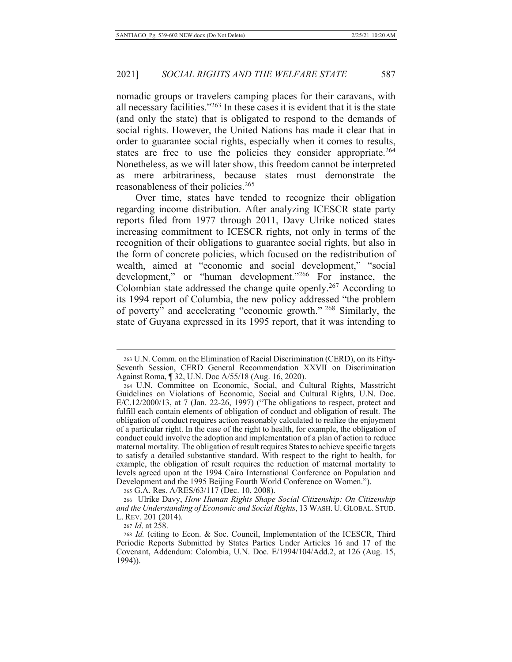nomadic groups or travelers camping places for their caravans, with all necessary facilities."263 In these cases it is evident that it is the state (and only the state) that is obligated to respond to the demands of social rights. However, the United Nations has made it clear that in order to guarantee social rights, especially when it comes to results, states are free to use the policies they consider appropriate.<sup>264</sup> Nonetheless, as we will later show, this freedom cannot be interpreted mere arbitrariness, because states must demonstrate the as a reasonableness of their policies.<sup>265</sup>

Over time, states have tended to recognize their obligation regarding income distribution. After analyzing ICESCR state party reports filed from 1977 through 2011, Davy Ulrike noticed states increasing commitment to ICESCR rights, not only in terms of the recognition of their obligations to guarantee social rights, but also in the form of concrete policies, which focused on the redistribution of wealth, aimed at "economic and social development," "social development," or "human development."266 For instance, the Colombian state addressed the change quite openly.<sup>267</sup> According to its 1994 report of Columbia, the new policy addressed "the problem of poverty" and accelerating "economic growth." <sup>268</sup> Similarly, the state of Guyana expressed in its 1995 report, that it was intending to

265 G.A. Res. A/RES/63/117 (Dec. 10, 2008).

266 Ulrike Davy, How Human Rights Shape Social Citizenship: On Citizenship and the Understanding of Economic and Social Rights, 13 WASH. U. GLOBAL. STUD. L. REV. 201 (2014).

267 *Id.* at 258.

<sup>263</sup> U.N. Comm. on the Elimination of Racial Discrimination (CERD), on its Fifty-Seventh Session, CERD General Recommendation XXVII on Discrimination Against Roma, ¶ 32, U.N. Doc A/55/18 (Aug. 16, 2020).

<sup>264</sup> U.N. Committee on Economic, Social, and Cultural Rights, Masstricht Guidelines on Violations of Economic, Social and Cultural Rights, U.N. Doc. E/C.12/2000/13, at 7 (Jan. 22-26, 1997) ("The obligations to respect, protect and fulfill each contain elements of obligation of conduct and obligation of result. The obligation of conduct requires action reasonably calculated to realize the enjoyment of a particular right. In the case of the right to health, for example, the obligation of conduct could involve the adoption and implementation of a plan of action to reduce maternal mortality. The obligation of result requires States to achieve specific targets to satisfy a detailed substantive standard. With respect to the right to health, for example, the obligation of result requires the reduction of maternal mortality to levels agreed upon at the 1994 Cairo International Conference on Population and Development and the 1995 Beijing Fourth World Conference on Women.").

<sup>268</sup> Id. (citing to Econ. & Soc. Council, Implementation of the ICESCR, Third Periodic Reports Submitted by States Parties Under Articles 16 and 17 of the Covenant, Addendum: Colombia, U.N. Doc. E/1994/104/Add.2, at 126 (Aug. 15,  $1994$ ).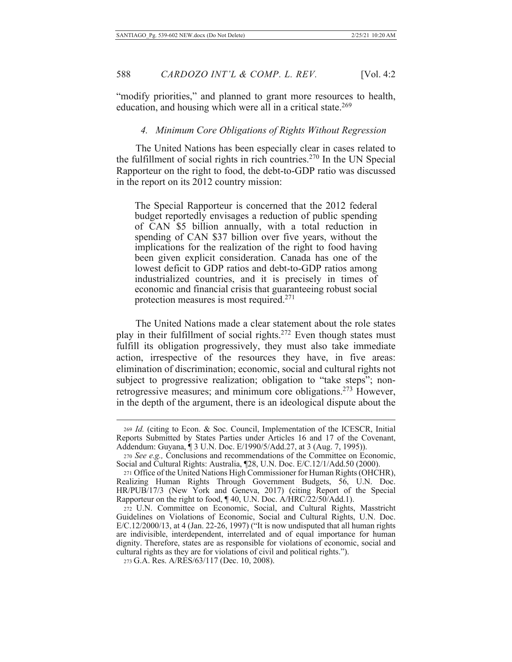"modify priorities," and planned to grant more resources to health, education, and housing which were all in a critical state.<sup>269</sup>

# 4. Minimum Core Obligations of Rights Without Regression

The United Nations has been especially clear in cases related to the fulfillment of social rights in rich countries.<sup>270</sup> In the UN Special Rapporteur on the right to food, the debt-to-GDP ratio was discussed in the report on its 2012 country mission:

The Special Rapporteur is concerned that the 2012 federal budget reportedly envisages a reduction of public spending of CAN \$5 billion annually, with a total reduction in spending of CAN \$37 billion over five years, without the implications for the realization of the right to food having been given explicit consideration. Canada has one of the lowest deficit to GDP ratios and debt-to-GDP ratios among industrialized countries, and it is precisely in times of economic and financial crisis that guaranteeing robust social protection measures is most required.<sup>271</sup>

The United Nations made a clear statement about the role states play in their fulfillment of social rights.<sup>272</sup> Even though states must fulfill its obligation progressively, they must also take immediate action, irrespective of the resources they have, in five areas: elimination of discrimination; economic, social and cultural rights not subject to progressive realization; obligation to "take steps"; nonretrogressive measures; and minimum core obligations.<sup>273</sup> However, in the depth of the argument, there is an ideological dispute about the

<sup>269</sup> Id. (citing to Econ. & Soc. Council, Implementation of the ICESCR, Initial Reports Submitted by States Parties under Articles 16 and 17 of the Covenant, Addendum: Guyana, ¶ 3 U.N. Doc. E/1990/5/Add.27, at 3 (Aug. 7, 1995)).

<sup>270</sup> See e.g., Conclusions and recommendations of the Committee on Economic, Social and Cultural Rights: Australia, [28, U.N. Doc. E/C.12/1/Add.50 (2000).

<sup>271</sup> Office of the United Nations High Commissioner for Human Rights (OHCHR), Realizing Human Rights Through Government Budgets, 56, U.N. Doc.<br>HR/PUB/17/3 (New York and Geneva, 2017) (citing Report of the Special Rapporteur on the right to food, ¶40, U.N. Doc. A/HRC/22/50/Add.1).

<sup>272</sup> U.N. Committee on Economic, Social, and Cultural Rights, Masstricht Guidelines on Violations of Economic, Social and Cultural Rights, U.N. Doc.  $E/C.12/2000/13$ , at 4 (Jan. 22-26, 1997) ("It is now undisputed that all human rights are indivisible, interdependent, interrelated and of equal importance for human dignity. Therefore, states are as responsible for violations of economic, social and cultural rights as they are for violations of civil and political rights.").

<sup>273</sup> G.A. Res. A/RES/63/117 (Dec. 10, 2008).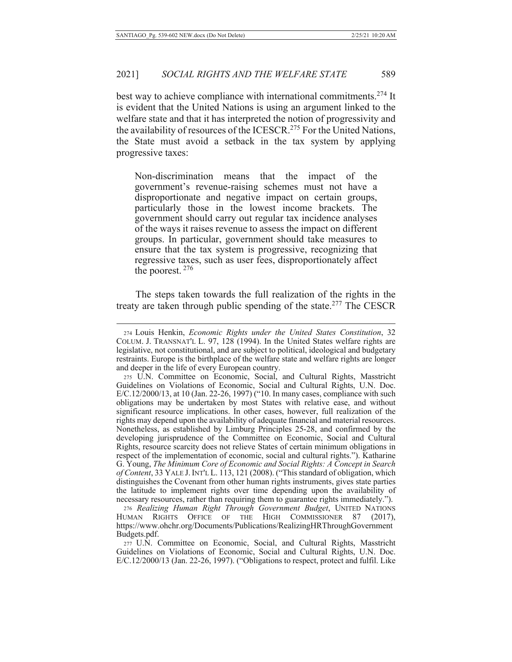best way to achieve compliance with international commitments.<sup>274</sup> It is evident that the United Nations is using an argument linked to the welfare state and that it has interpreted the notion of progressivity and the availability of resources of the ICESCR.<sup>275</sup> For the United Nations, the State must avoid a setback in the tax system by applying progressive taxes:

Non-discrimination means that the impact of the government's revenue-raising schemes must not have a disproportionate and negative impact on certain groups, particularly those in the lowest income brackets. The government should carry out regular tax incidence analyses of the ways it raises revenue to assess the impact on different groups. In particular, government should take measures to ensure that the tax system is progressive, recognizing that regressive taxes, such as user fees, disproportionately affect the poorest.  $276$ 

The steps taken towards the full realization of the rights in the treaty are taken through public spending of the state.<sup>277</sup> The CESCR

<sup>274</sup> Louis Henkin, Economic Rights under the United States Constitution, 32 COLUM. J. TRANSNAT'L L. 97, 128 (1994). In the United States welfare rights are legislative, not constitutional, and are subject to political, ideological and budgetary restraints. Europe is the birthplace of the welfare state and welfare rights are longer and deeper in the life of every European country.

<sup>275</sup> U.N. Committee on Economic, Social, and Cultural Rights, Masstricht Guidelines on Violations of Economic, Social and Cultural Rights, U.N. Doc. E/C.12/2000/13, at 10 (Jan. 22-26, 1997) ("10. In many cases, compliance with such obligations may be undertaken by most States with relative ease, and without significant resource implications. In other cases, however, full realization of the rights may depend upon the availability of adequate financial and material resources. Nonetheless, as established by Limburg Principles 25-28, and confirmed by the developing jurisprudence of the Committee on Economic, Social and Cultural Rights, resource scarcity does not relieve States of certain minimum obligations in respect of the implementation of economic, social and cultural rights."). Katharine G. Young, The Minimum Core of Economic and Social Rights: A Concept in Search of Content, 33 YALE J. INT'L L. 113, 121 (2008). ("This standard of obligation, which distinguishes the Covenant from other human rights instruments, gives state parties the latitude to implement rights over time depending upon the availability of necessary resources, rather than requiring them to guarantee rights immediately.").

<sup>276</sup> Realizing Human Right Through Government Budget, UNITED NATIONS HUMAN RIGHTS OFFICE OF THE HIGH COMMISSIONER 87  $(2017),$ https://www.ohchr.org/Documents/Publications/RealizingHRThroughGovernment Budgets.pdf.

<sup>277</sup> U.N. Committee on Economic, Social, and Cultural Rights, Masstricht Guidelines on Violations of Economic, Social and Cultural Rights, U.N. Doc. E/C.12/2000/13 (Jan. 22-26, 1997). ("Obligations to respect, protect and fulfil. Like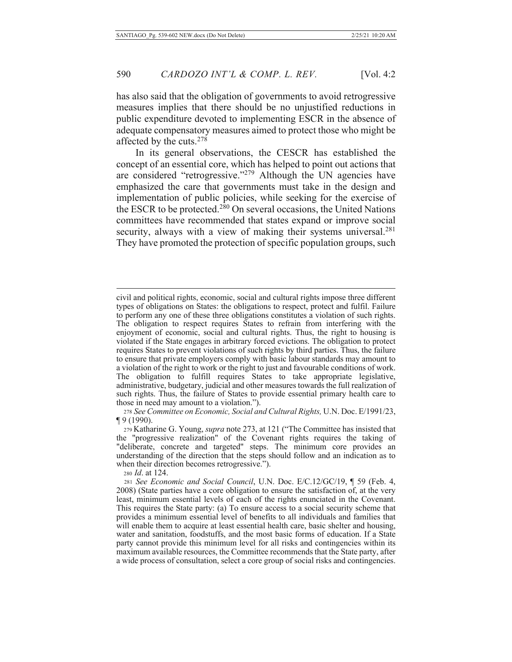has also said that the obligation of governments to avoid retrogressive measures implies that there should be no unjustified reductions in public expenditure devoted to implementing ESCR in the absence of adequate compensatory measures aimed to protect those who might be affected by the cuts.<sup>278</sup>

In its general observations, the CESCR has established the concept of an essential core, which has helped to point out actions that are considered "retrogressive."<sup>279</sup> Although the UN agencies have emphasized the care that governments must take in the design and implementation of public policies, while seeking for the exercise of the ESCR to be protected.<sup>280</sup> On several occasions, the United Nations committees have recommended that states expand or improve social security, always with a view of making their systems universal.<sup>281</sup> They have promoted the protection of specific population groups, such

278 See Committee on Economic, Social and Cultural Rights, U.N. Doc. E/1991/23, ¶ 9 (1990).

279 Katharine G. Young, *supra* note 273, at 121 ("The Committee has insisted that the "progressive realization" of the Covenant rights requires the taking of "deliberate, concrete and targeted" steps. The minimum core provides an understanding of the direction that the steps should follow and an indication as to when their direction becomes retrogressive.").

280 Id. at 124.

281 See Economic and Social Council, U.N. Doc. E/C.12/GC/19, ¶ 59 (Feb. 4, 2008) (State parties have a core obligation to ensure the satisfaction of, at the very least, minimum essential levels of each of the rights enunciated in the Covenant. This requires the State party: (a) To ensure access to a social security scheme that provides a minimum essential level of benefits to all individuals and families that will enable them to acquire at least essential health care, basic shelter and housing, water and sanitation, foodstuffs, and the most basic forms of education. If a State party cannot provide this minimum level for all risks and contingencies within its maximum available resources, the Committee recommends that the State party, after a wide process of consultation, select a core group of social risks and contingencies.

civil and political rights, economic, social and cultural rights impose three different types of obligations on States: the obligations to respect, protect and fulfil. Failure to perform any one of these three obligations constitutes a violation of such rights. The obligation to respect requires States to refrain from interfering with the enjoyment of economic, social and cultural rights. Thus, the right to housing is violated if the State engages in arbitrary forced evictions. The obligation to protect requires States to prevent violations of such rights by third parties. Thus, the failure to ensure that private employers comply with basic labour standards may amount to a violation of the right to work or the right to just and favourable conditions of work. The obligation to fulfill requires States to take appropriate legislative, administrative, budgetary, judicial and other measures towards the full realization of such rights. Thus, the failure of States to provide essential primary health care to those in need may amount to a violation.").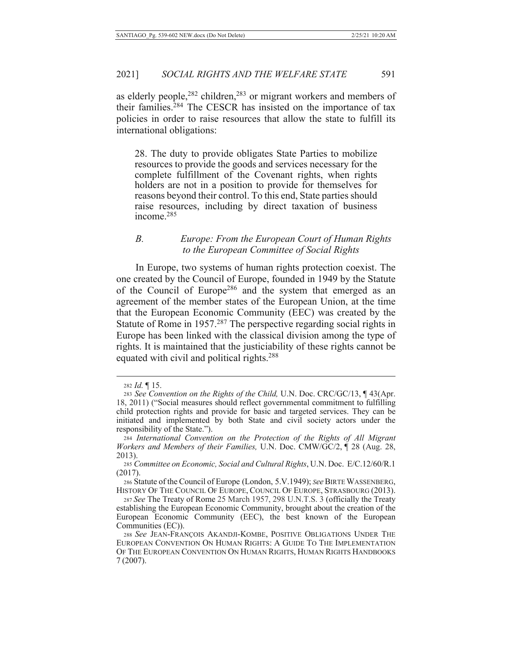as elderly people,  $282$  children,  $283$  or migrant workers and members of their families.<sup>284</sup> The CESCR has insisted on the importance of tax policies in order to raise resources that allow the state to fulfill its international obligations:

28. The duty to provide obligates State Parties to mobilize resources to provide the goods and services necessary for the complete fulfillment of the Covenant rights, when rights holders are not in a position to provide for themselves for reasons beyond their control. To this end, State parties should raise resources, including by direct taxation of business income.<sup>285</sup>

# *B. Europe: From the European Court of Human Rights 3/3 to the European Committee of Social Rights*

In Europe, two systems of human rights protection coexist. The one created by the Council of Europe, founded in 1949 by the Statute of the Council of Europe<sup>286</sup> and the system that emerged as an agreement of the member states of the European Union, at the time that the European Economic Community (EEC) was created by the Statute of Rome in 1957.<sup>287</sup> The perspective regarding social rights in Europe has been linked with the classical division among the type of rights. It is maintained that the justiciability of these rights cannot be equated with civil and political rights.<sup>288</sup>

<sup>282</sup> *Id.* 15.

<sup>283</sup> See Convention on the Rights of the Child, U.N. Doc. CRC/GC/13, ¶43(Apr. 18, 2011) ("Social measures should reflect governmental commitment to fulfilling child protection rights and provide for basic and targeted services. They can be initiated and implemented by both State and civil society actors under the responsibility of the State.").

<sup>&</sup>lt;sup>284</sup> International Convention on the Protection of the Rights of All Migrant *Workers and Members of their Families, U.N. Doc. CMW/GC/2,* 1 28 (Aug. 28, 2013).

<sup>285</sup> Committee on Economic, Social and Cultural Rights, U.N. Doc. E/C.12/60/R.1  $(2017).$ 

<sup>286</sup> Statute of the Council of Europe (London, 5.V.1949); See BIRTE WASSENBERG, HISTORY OF THE COUNCIL OF EUROPE, COUNCIL OF EUROPE, STRASBOURG (2013).

<sup>287</sup> See The Treaty of Rome 25 March 1957, 298 U.N.T.S. 3 (officially the Treaty establishing the European Economic Community, brought about the creation of the European Economic Community (EEC), the best known of the European Communities  $(EC)$ ).

<sup>288</sup> See JEAN-FRANÇOIS AKANDJI-KOMBE, POSITIVE OBLIGATIONS UNDER THE EUROPEAN CONVENTION ON HUMAN RIGHTS: A GUIDE TO THE IMPLEMENTATION OF THE EUROPEAN CONVENTION ON HUMAN RIGHTS, HUMAN RIGHTS HANDBOOKS  $7(2007).$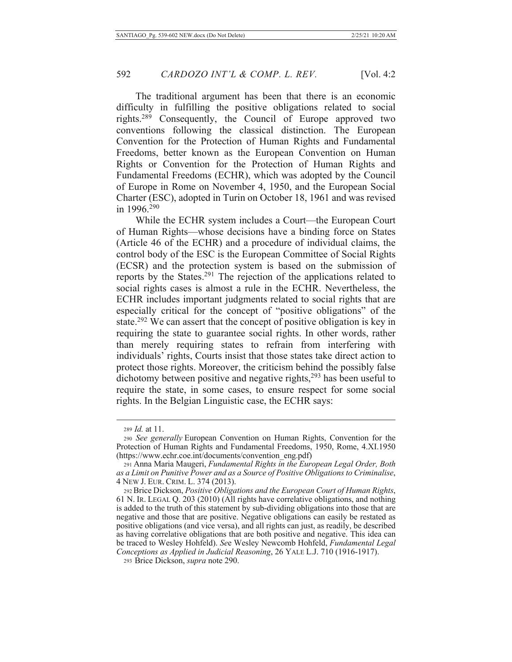The traditional argument has been that there is an economic difficulty in fulfilling the positive obligations related to social rights.<sup>289</sup> Consequently, the Council of Europe approved two conventions following the classical distinction. The European Convention for the Protection of Human Rights and Fundamental Freedoms, better known as the European Convention on Human Rights or Convention for the Protection of Human Rights and Fundamental Freedoms (ECHR), which was adopted by the Council of Europe in Rome on November 4, 1950, and the European Social Charter (ESC), adopted in Turin on October 18, 1961 and was revised in 1996.<sup>290</sup>

While the ECHR system includes a Court—the European Court of Human Rights—whose decisions have a binding force on States (Article 46 of the ECHR) and a procedure of individual claims, the control body of the ESC is the European Committee of Social Rights (ECSR) and the protection system is based on the submission of reports by the States.<sup>291</sup> The rejection of the applications related to social rights cases is almost a rule in the ECHR. Nevertheless, the ECHR includes important judgments related to social rights that are especially critical for the concept of "positive obligations" of the state.<sup>292</sup> We can assert that the concept of positive obligation is key in requiring the state to guarantee social rights. In other words, rather than merely requiring states to refrain from interfering with individuals' rights, Courts insist that those states take direct action to protect those rights. Moreover, the criticism behind the possibly false dichotomy between positive and negative rights,<sup>293</sup> has been useful to require the state, in some cases, to ensure respect for some social rights. In the Belgian Linguistic case, the ECHR says:

293 Brice Dickson, *supra* note 290.

<sup>289</sup> *Id.* at 11.

<sup>290</sup> See generally European Convention on Human Rights, Convention for the Protection of Human Rights and Fundamental Freedoms, 1950, Rome, 4.XI.1950 (https://www.echr.coe.int/documents/convention eng.pdf)

<sup>291</sup> Anna Maria Maugeri, Fundamental Rights in the European Legal Order, Both as a Limit on Punitive Power and as a Source of Positive Obligations to Criminalise, 4 NEW J. EUR. CRIM. L. 374 (2013).

<sup>292</sup> Brice Dickson, Positive Obligations and the European Court of Human Rights, 61 N. IR. LEGAL Q. 203 (2010) (All rights have correlative obligations, and nothing is added to the truth of this statement by sub-dividing obligations into those that are negative and those that are positive. Negative obligations can easily be restated as positive obligations (and vice versa), and all rights can just, as readily, be described as having correlative obligations that are both positive and negative. This idea can be traced to Wesley Hohfeld). See Wesley Newcomb Hohfeld, Fundamental Legal Conceptions as Applied in Judicial Reasoning, 26 YALE L.J. 710 (1916-1917).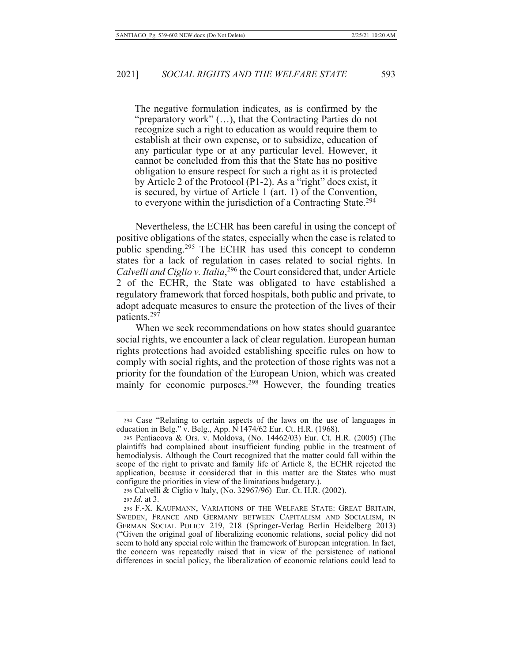The negative formulation indicates, as is confirmed by the "preparatory work" (...), that the Contracting Parties do not recognize such a right to education as would require them to establish at their own expense, or to subsidize, education of any particular type or at any particular level. However, it cannot be concluded from this that the State has no positive obligation to ensure respect for such a right as it is protected by Article 2 of the Protocol (P1-2). As a "right" does exist, it is secured, by virtue of Article 1 (art. 1) of the Convention, to everyone within the jurisdiction of a Contracting State.<sup>294</sup>

Nevertheless, the ECHR has been careful in using the concept of positive obligations of the states, especially when the case is related to public spending.<sup>295</sup> The ECHR has used this concept to condemn states for a lack of regulation in cases related to social rights. In Calvelli and Ciglio v. Italia,<sup>296</sup> the Court considered that, under Article 2 of the ECHR, the State was obligated to have established a regulatory framework that forced hospitals, both public and private, to adopt adequate measures to ensure the protection of the lives of their patients.<sup>297</sup>

When we seek recommendations on how states should guarantee social rights, we encounter a lack of clear regulation. European human rights protections had avoided establishing specific rules on how to comply with social rights, and the protection of those rights was not a priority for the foundation of the European Union, which was created mainly for economic purposes.<sup>298</sup> However, the founding treaties

296 Calvelli & Ciglio v Italy, (No. 32967/96) Eur. Ct. H.R. (2002).

<sup>294</sup> Case "Relating to certain aspects of the laws on the use of languages in education in Belg." v. Belg., App. N 1474/62 Eur. Ct. H.R. (1968).

<sup>295</sup> Pentiacova & Ors. v. Moldova, (No. 14462/03) Eur. Ct. H.R. (2005) (The plaintiffs had complained about insufficient funding public in the treatment of hemodialysis. Although the Court recognized that the matter could fall within the scope of the right to private and family life of Article 8, the ECHR rejected the application, because it considered that in this matter are the States who must configure the priorities in view of the limitations budgetary.).

<sup>297</sup> *Id.* at 3.

<sup>298</sup> F.-X. KAUFMANN, VARIATIONS OF THE WELFARE STATE: GREAT BRITAIN, SWEDEN, FRANCE AND GERMANY BETWEEN CAPITALISM AND SOCIALISM, IN GERMAN SOCIAL POLICY 219, 218 (Springer-Verlag Berlin Heidelberg 2013) ("Given the original goal of liberalizing economic relations, social policy did not seem to hold any special role within the framework of European integration. In fact, the concern was repeatedly raised that in view of the persistence of national differences in social policy, the liberalization of economic relations could lead to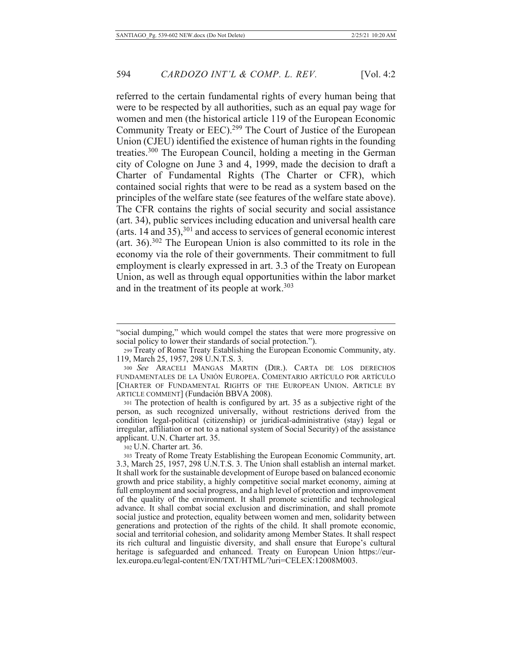referred to the certain fundamental rights of every human being that were to be respected by all authorities, such as an equal pay wage for women and men (the historical article 119 of the European Economic Community Treaty or EEC).<sup>299</sup> The Court of Justice of the European Union (CJEU) identified the existence of human rights in the founding treaties.<sup>300</sup> The European Council, holding a meeting in the German city of Cologne on June 3 and 4, 1999, made the decision to draft a Charter of Fundamental Rights (The Charter or CFR), which contained social rights that were to be read as a system based on the principles of the welfare state (see features of the welfare state above). The CFR contains the rights of social security and social assistance (art. 34), public services including education and universal health care (arts.  $14$  and  $35$ ),  $301$  and access to services of general economic interest (art. 36).<sup>302</sup> The European Union is also committed to its role in the economy via the role of their governments. Their commitment to full employment is clearly expressed in art. 3.3 of the Treaty on European Union, as well as through equal opportunities within the labor market and in the treatment of its people at work.<sup>303</sup>

301 The protection of health is configured by art. 35 as a subjective right of the person, as such recognized universally, without restrictions derived from the condition legal-political (citizenship) or juridical-administrative (stay) legal or irregular, affiliation or not to a national system of Social Security) of the assistance applicant. U.N. Charter art. 35.

302 U.N. Charter art. 36.

<sup>&</sup>quot;social dumping," which would compel the states that were more progressive on social policy to lower their standards of social protection.").

<sup>299</sup> Treaty of Rome Treaty Establishing the European Economic Community, aty. 119, March 25, 1957, 298 U.N.T.S. 3.

<sup>300</sup> See ARACELI MANGAS MARTIN (DIR.). CARTA DE LOS DERECHOS FUNDAMENTALES DE LA UNIÓN EUROPEA. COMENTARIO ARTÍCULO POR ARTÍCULO [CHARTER OF FUNDAMENTAL RIGHTS OF THE EUROPEAN UNION. ARTICLE BY ARTICLE COMMENT] (Fundación BBVA 2008).

<sup>303</sup> Treaty of Rome Treaty Establishing the European Economic Community, art. 3.3, March 25, 1957, 298 U.N.T.S. 3. The Union shall establish an internal market. It shall work for the sustainable development of Europe based on balanced economic growth and price stability, a highly competitive social market economy, aiming at full employment and social progress, and a high level of protection and improvement of the quality of the environment. It shall promote scientific and technological advance. It shall combat social exclusion and discrimination, and shall promote social justice and protection, equality between women and men, solidarity between generations and protection of the rights of the child. It shall promote economic, social and territorial cohesion, and solidarity among Member States. It shall respect its rich cultural and linguistic diversity, and shall ensure that Europe's cultural heritage is safeguarded and enhanced. Treaty on European Union https://eurlex.europa.eu/legal-content/EN/TXT/HTML/?uri=CELEX:12008M003.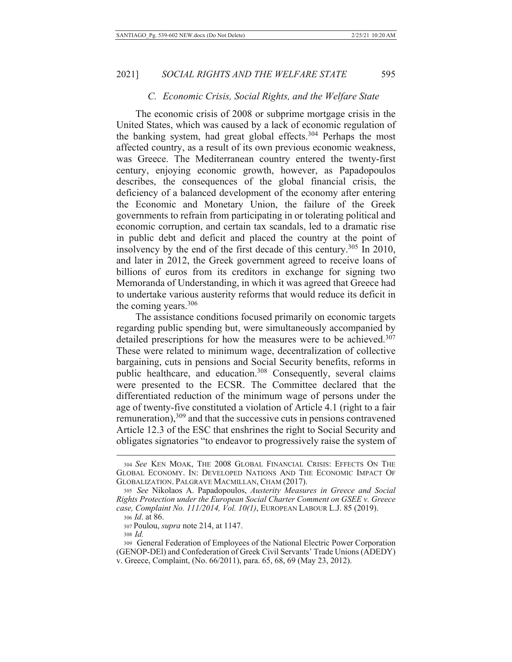#### C. Economic Crisis, Social Rights, and the Welfare State

The economic crisis of 2008 or subprime mortgage crisis in the United States, which was caused by a lack of economic regulation of the banking system, had great global effects.<sup>304</sup> Perhaps the most affected country, as a result of its own previous economic weakness, was Greece. The Mediterranean country entered the twenty-first century, enjoying economic growth, however, as Papadopoulos describes, the consequences of the global financial crisis, the deficiency of a balanced development of the economy after entering the Economic and Monetary Union, the failure of the Greek governments to refrain from participating in or tolerating political and economic corruption, and certain tax scandals, led to a dramatic rise in public debt and deficit and placed the country at the point of insolvency by the end of the first decade of this century.<sup>305</sup> In 2010, and later in 2012, the Greek government agreed to receive loans of billions of euros from its creditors in exchange for signing two Memoranda of Understanding, in which it was agreed that Greece had to undertake various austerity reforms that would reduce its deficit in the coming years.  $306$ 

The assistance conditions focused primarily on economic targets regarding public spending but, were simultaneously accompanied by detailed prescriptions for how the measures were to be achieved.<sup>307</sup> These were related to minimum wage, decentralization of collective bargaining, cuts in pensions and Social Security benefits, reforms in public healthcare, and education.<sup>308</sup> Consequently, several claims were presented to the ECSR. The Committee declared that the differentiated reduction of the minimum wage of persons under the age of twenty-five constituted a violation of Article 4.1 (right to a fair remuneration),  $309$  and that the successive cuts in pensions contravened Article 12.3 of the ESC that enshrines the right to Social Security and obligates signatories "to endeavor to progressively raise the system of

<sup>304</sup> See KEN MOAK, THE 2008 GLOBAL FINANCIAL CRISIS: EFFECTS ON THE GLOBAL ECONOMY. IN: DEVELOPED NATIONS AND THE ECONOMIC IMPACT OF GLOBALIZATION. PALGRAVE MACMILLAN, CHAM (2017).

<sup>305</sup> See Nikolaos A. Papadopoulos, Austerity Measures in Greece and Social Rights Protection under the European Social Charter Comment on GSEE v. Greece case, Complaint No. 111/2014, Vol. 10(1), EUROPEAN LABOUR L.J. 85 (2019).

<sup>306</sup> *Id.* at 86.

<sup>307</sup> Poulou, *supra* note 214, at 1147.

 $308$  *Id.* 

<sup>309</sup> General Federation of Employees of the National Electric Power Corporation (GENOP-DEI) and Confederation of Greek Civil Servants' Trade Unions (ADEDY) v. Greece, Complaint, (No. 66/2011), para. 65, 68, 69 (May 23, 2012).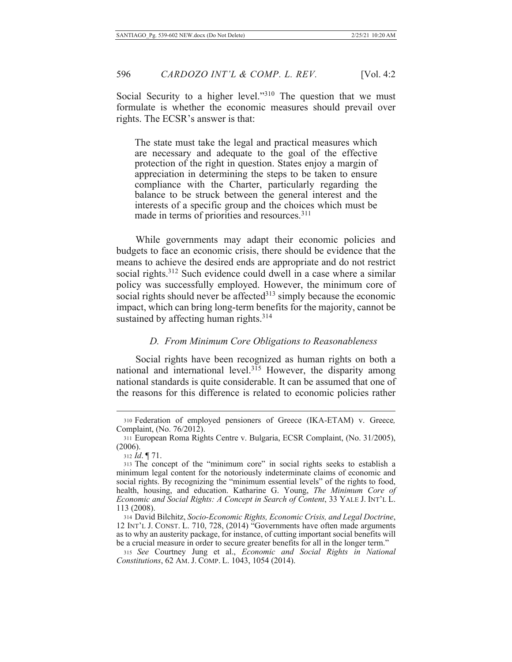Social Security to a higher level."<sup>310</sup> The question that we must formulate is whether the economic measures should prevail over rights. The ECSR's answer is that:

The state must take the legal and practical measures which are necessary and adequate to the goal of the effective protection of the right in question. States enjoy a margin of appreciation in determining the steps to be taken to ensure compliance with the Charter, particularly regarding the balance to be struck between the general interest and the interests of a specific group and the choices which must be made in terms of priorities and resources.<sup>311</sup>

While governments may adapt their economic policies and budgets to face an economic crisis, there should be evidence that the means to achieve the desired ends are appropriate and do not restrict social rights.<sup>312</sup> Such evidence could dwell in a case where a similar policy was successfully employed. However, the minimum core of social rights should never be affected  $313$  simply because the economic impact, which can bring long-term benefits for the majority, cannot be sustained by affecting human rights. $314$ 

# *D. From Minimum Core Obligations to Reasonableness*

Social rights have been recognized as human rights on both a national and international level.<sup>315</sup> However, the disparity among national standards is quite considerable. It can be assumed that one of the reasons for this difference is related to economic policies rather

<sup>310</sup> Federation of employed pensioners of Greece (IKA-ETAM) v. Greece, Complaint, (No.  $76/2012$ ).

<sup>311</sup> European Roma Rights Centre v. Bulgaria, ECSR Complaint, (No. 31/2005),  $(2006).$ 

<sup>312</sup> *Id.* 171.

<sup>313</sup> The concept of the "minimum core" in social rights seeks to establish a minimum legal content for the notoriously indeterminate claims of economic and social rights. By recognizing the "minimum essential levels" of the rights to food, health, housing, and education. Katharine G. Young, The Minimum Core of *Economic and Social Rights: A Concept in Search of Content, 33 YALE J. INT'L L.* 113 (2008).

<sup>314</sup> David Bilchitz, Socio-Economic Rights, Economic Crisis, and Legal Doctrine, 12 INT'L J. CONST. L. 710, 728, (2014) "Governments have often made arguments as to why an austerity package, for instance, of cutting important social benefits will be a crucial measure in order to secure greater benefits for all in the longer term."

 $315$  See Courtney Jung et al., *Economic and Social Rights in National* Constitutions, 62 AM. J. COMP. L. 1043, 1054 (2014).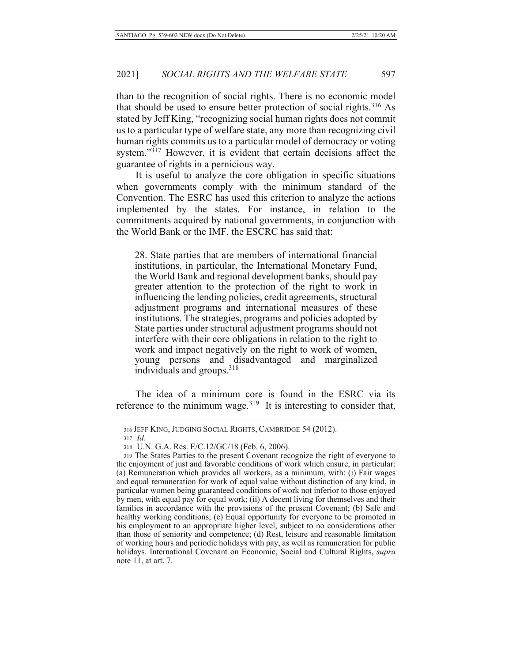than to the recognition of social rights. There is no economic model that should be used to ensure better protection of social rights.<sup>316</sup> As stated by Jeff King, "recognizing social human rights does not commit us to a particular type of welfare state, any more than recognizing civil human rights commits us to a particular model of democracy or voting system." $3\overline{17}$  However, it is evident that certain decisions affect the guarantee of rights in a pernicious way.

It is useful to analyze the core obligation in specific situations when governments comply with the minimum standard of the Convention. The ESRC has used this criterion to analyze the actions implemented by the states. For instance, in relation to the commitments acquired by national governments, in conjunction with the World Bank or the IMF, the ESCRC has said that:

28. State parties that are members of international financial institutions, in particular, the International Monetary Fund, the World Bank and regional development banks, should pay greater attention to the protection of the right to work in influencing the lending policies, credit agreements, structural adjustment programs and international measures of these institutions. The strategies, programs and policies adopted by State parties under structural adjustment programs should not interfere with their core obligations in relation to the right to work and impact negatively on the right to work of women, young persons and disadvantaged and marginalized individuals and groups.<sup>318</sup>

The idea of a minimum core is found in the ESRC via its reference to the minimum wage.<sup>319</sup> It is interesting to consider that,

<sup>316</sup> JEFF KING, JUDGING SOCIAL RIGHTS, CAMBRIDGE 54 (2012).

<sup>317</sup> *Id*.

<sup>318</sup> U.N. G.A. Res. E/C.12/GC/18 (Feb. 6, 2006).

<sup>319</sup> The States Parties to the present Covenant recognize the right of everyone to the enjoyment of just and favorable conditions of work which ensure, in particular: (a) Remuneration which provides all workers, as a minimum, with: (i) Fair wages and equal remuneration for work of equal value without distinction of any kind, in particular women being guaranteed conditions of work not inferior to those enjoyed by men, with equal pay for equal work; (ii) A decent living for themselves and their families in accordance with the provisions of the present Covenant; (b) Safe and healthy working conditions; (c) Equal opportunity for everyone to be promoted in his employment to an appropriate higher level, subject to no considerations other than those of seniority and competence; (d) Rest, leisure and reasonable limitation of working hours and periodic holidays with pay, as well as remuneration for public holidays. International Covenant on Economic, Social and Cultural Rights, *supra* note  $11$ , at art. 7.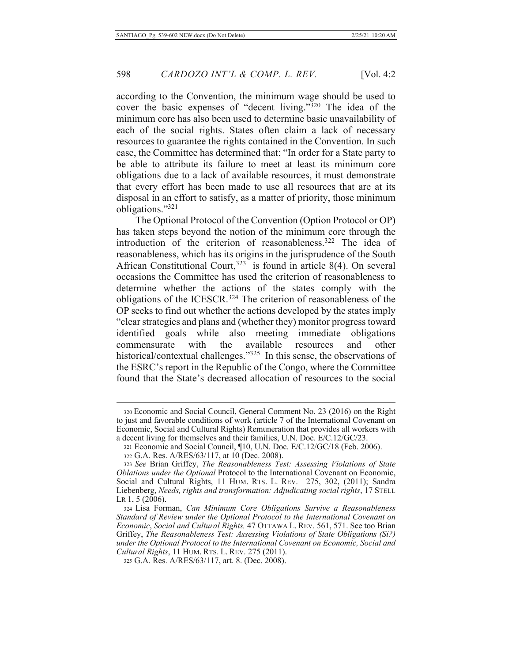according to the Convention, the minimum wage should be used to cover the basic expenses of "decent living."<sup>320</sup> The idea of the minimum core has also been used to determine basic unavailability of each of the social rights. States often claim a lack of necessary resources to guarantee the rights contained in the Convention. In such case, the Committee has determined that: "In order for a State party to be able to attribute its failure to meet at least its minimum core obligations due to a lack of available resources, it must demonstrate that every effort has been made to use all resources that are at its disposal in an effort to satisfy, as a matter of priority, those minimum obligations."321

The Optional Protocol of the Convention (Option Protocol or OP) has taken steps beyond the notion of the minimum core through the introduction of the criterion of reasonableness.<sup>322</sup> The idea of reasonableness, which has its origins in the jurisprudence of the South African Constitutional Court,  $323$  is found in article 8(4). On several occasions the Committee has used the criterion of reasonableness to determine whether the actions of the states comply with the obligations of the ICESCR.<sup>324</sup> The criterion of reasonableness of the OP seeks to find out whether the actions developed by the states imply "clear strategies and plans and (whether they) monitor progress toward identified goals while also meeting immediate obligations available commensurate with the resources and other historical/contextual challenges."<sup>325</sup> In this sense, the observations of the ESRC's report in the Republic of the Congo, where the Committee found that the State's decreased allocation of resources to the social

<sup>320</sup> Economic and Social Council, General Comment No. 23 (2016) on the Right to just and favorable conditions of work (article 7 of the International Covenant on Economic, Social and Cultural Rights) Remuneration that provides all workers with a decent living for themselves and their families, U.N. Doc. E/C.12/GC/23.

<sup>321</sup> Economic and Social Council, ¶10, U.N. Doc. E/C.12/GC/18 (Feb. 2006).

<sup>322</sup> G.A. Res. A/RES/63/117, at 10 (Dec. 2008).

<sup>323</sup> See Brian Griffey, The Reasonableness Test: Assessing Violations of State Oblations under the Optional Protocol to the International Covenant on Economic, Social and Cultural Rights, 11 HUM. RTS. L. REV. 275, 302, (2011); Sandra Liebenberg, Needs, rights and transformation: Adjudicating social rights, 17 STELL LR  $1, 5$  (2006).

<sup>324</sup> Lisa Forman, Can Minimum Core Obligations Survive a Reasonableness Standard of Review under the Optional Protocol to the International Covenant on Economic, Social and Cultural Rights, 47 OTTAWA L. REV. 561, 571. See too Brian Griffey, The Reasonableness Test: Assessing Violations of State Obligations (Si?) under the Optional Protocol to the International Covenant on Economic, Social and *Cultural Rights, 11 HUM. RTS. L. REV. 275 (2011).* 

<sup>325</sup> G.A. Res. A/RES/63/117, art. 8. (Dec. 2008).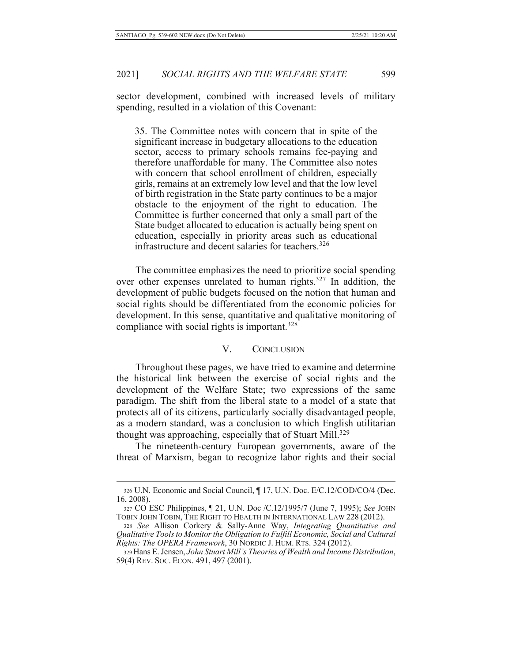sector development, combined with increased levels of military spending, resulted in a violation of this Covenant:

35. The Committee notes with concern that in spite of the significant increase in budgetary allocations to the education sector, access to primary schools remains fee-paying and therefore unaffordable for many. The Committee also notes with concern that school enrollment of children, especially girls, remains at an extremely low level and that the low level of birth registration in the State party continues to be a major obstacle to the enjoyment of the right to education. The Committee is further concerned that only a small part of the State budget allocated to education is actually being spent on education, especially in priority areas such as educational infrastructure and decent salaries for teachers.<sup>326</sup>

The committee emphasizes the need to prioritize social spending over other expenses unrelated to human rights.<sup>327</sup> In addition, the development of public budgets focused on the notion that human and social rights should be differentiated from the economic policies for development. In this sense, quantitative and qualitative monitoring of compliance with social rights is important.<sup>328</sup>

#### $V_{\cdot}$ **CONCLUSION**

Throughout these pages, we have tried to examine and determine the historical link between the exercise of social rights and the development of the Welfare State; two expressions of the same paradigm. The shift from the liberal state to a model of a state that protects all of its citizens, particularly socially disadvantaged people, as a modern standard, was a conclusion to which English utilitarian thought was approaching, especially that of Stuart Mill.<sup>329</sup>

The nineteenth-century European governments, aware of the threat of Marxism, began to recognize labor rights and their social

<sup>326</sup> U.N. Economic and Social Council, ¶ 17, U.N. Doc. E/C.12/COD/CO/4 (Dec.  $16, 2008$ ).

<sup>327</sup> CO ESC Philippines, ¶ 21, U.N. Doc /C.12/1995/7 (June 7, 1995); See JOHN TOBIN JOHN TOBIN, THE RIGHT TO HEALTH IN INTERNATIONAL LAW 228 (2012).

<sup>328</sup> See Allison Corkery & Sally-Anne Way, Integrating Quantitative and Qualitative Tools to Monitor the Obligation to Fulfill Economic, Social and Cultural Rights: The OPERA Framework, 30 NORDIC J. HUM. RTS. 324 (2012).

<sup>329</sup> Hans E. Jensen, John Stuart Mill's Theories of Wealth and Income Distribution, 59(4) REV. Soc. ECON. 491, 497 (2001).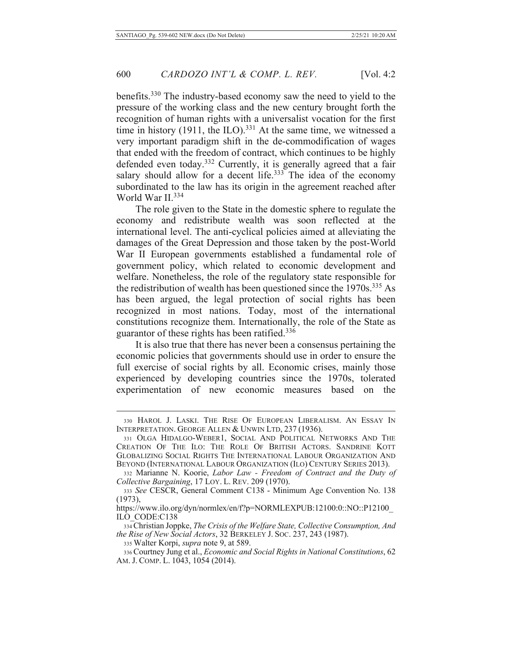benefits.<sup>330</sup> The industry-based economy saw the need to yield to the pressure of the working class and the new century brought forth the recognition of human rights with a universalist vocation for the first time in history (1911, the ILO).<sup>331</sup> At the same time, we witnessed a very important paradigm shift in the de-commodification of wages that ended with the freedom of contract, which continues to be highly defended even today.<sup>332</sup> Currently, it is generally agreed that a fair salary should allow for a decent life.<sup>333</sup> The idea of the economy subordinated to the law has its origin in the agreement reached after World War II.<sup>334</sup>

The role given to the State in the domestic sphere to regulate the economy and redistribute wealth was soon reflected at the international level. The anti-cyclical policies aimed at alleviating the damages of the Great Depression and those taken by the post-World War II European governments established a fundamental role of government policy, which related to economic development and welfare. Nonetheless, the role of the regulatory state responsible for the redistribution of wealth has been questioned since the 1970s.<sup>335</sup> As has been argued, the legal protection of social rights has been recognized in most nations. Today, most of the international constitutions recognize them. Internationally, the role of the State as guarantor of these rights has been ratified.<sup>336</sup>

It is also true that there has never been a consensus pertaining the economic policies that governments should use in order to ensure the full exercise of social rights by all. Economic crises, mainly those experienced by developing countries since the 1970s, tolerated experimentation of new economic measures based on the

<sup>330</sup> HAROL J. LASKI. THE RISE OF EUROPEAN LIBERALISM. AN ESSAY IN INTERPRETATION. GEORGE ALLEN & UNWIN LTD, 237 (1936).

<sup>331</sup> OLGA HIDALGO-WEBER1, SOCIAL AND POLITICAL NETWORKS AND THE CREATION OF THE ILO: THE ROLE OF BRITISH ACTORS. SANDRINE KOTT GLOBALIZING SOCIAL RIGHTS THE INTERNATIONAL LABOUR ORGANIZATION AND BEYOND (INTERNATIONAL LABOUR ORGANIZATION (ILO) CENTURY SERIES 2013).

<sup>332</sup> Marianne N. Koorie, Labor Law - Freedom of Contract and the Duty of Collective Bargaining, 17 LOY. L. REV. 209 (1970).

<sup>333</sup> See CESCR, General Comment C138 - Minimum Age Convention No. 138  $(1973),$ 

https://www.ilo.org/dyn/normlex/en/f?p=NORMLEXPUB:12100:0::NO::P12100\_ ILO CODE:C138

<sup>334</sup> Christian Joppke, The Crisis of the Welfare State, Collective Consumption, And the Rise of New Social Actors, 32 BERKELEY J. Soc. 237, 243 (1987).

<sup>335</sup> Walter Korpi, *supra* note 9, at 589.

<sup>336</sup> Courtney Jung et al., Economic and Social Rights in National Constitutions, 62 AM. J. COMP. L. 1043, 1054 (2014).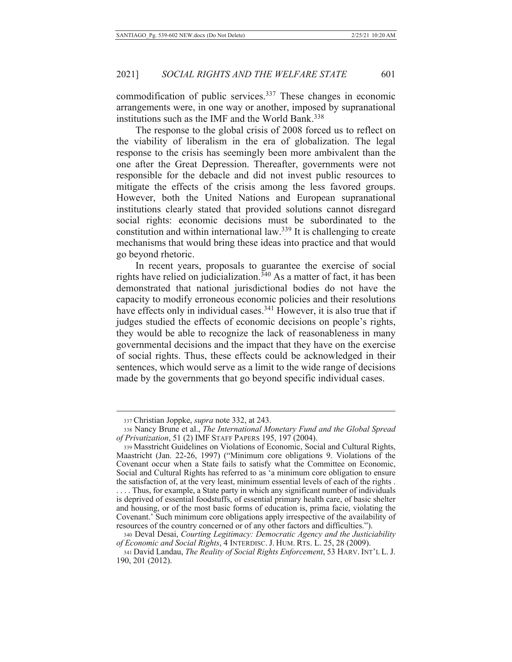commodification of public services.<sup>337</sup> These changes in economic arrangements were, in one way or another, imposed by supranational institutions such as the IMF and the World Bank.<sup>338</sup>

The response to the global crisis of 2008 forced us to reflect on the viability of liberalism in the era of globalization. The legal response to the crisis has seemingly been more ambivalent than the one after the Great Depression. Thereafter, governments were not responsible for the debacle and did not invest public resources to mitigate the effects of the crisis among the less favored groups. However, both the United Nations and European supranational institutions clearly stated that provided solutions cannot disregard social rights: economic decisions must be subordinated to the constitution and within international law.<sup>339</sup> It is challenging to create mechanisms that would bring these ideas into practice and that would go beyond rhetoric.

In recent years, proposals to guarantee the exercise of social<br>rights have relied on judicialization.<sup>340</sup> As a matter of fact, it has been demonstrated that national jurisdictional bodies do not have the capacity to modify erroneous economic policies and their resolutions have effects only in individual cases.<sup>341</sup> However, it is also true that if judges studied the effects of economic decisions on people's rights, they would be able to recognize the lack of reasonableness in many governmental decisions and the impact that they have on the exercise of social rights. Thus, these effects could be acknowledged in their sentences, which would serve as a limit to the wide range of decisions made by the governments that go beyond specific individual cases.

<sup>337</sup> Christian Joppke, *supra* note 332, at 243.

<sup>338</sup> Nancy Brune et al., The International Monetary Fund and the Global Spread of Privatization, 51 (2) IMF STAFF PAPERS 195, 197 (2004).

<sup>339</sup> Masstricht Guidelines on Violations of Economic, Social and Cultural Rights, Maastricht (Jan. 22-26, 1997) ("Minimum core obligations 9. Violations of the Covenant occur when a State fails to satisfy what the Committee on Economic, Social and Cultural Rights has referred to as 'a minimum core obligation to ensure the satisfaction of, at the very least, minimum essential levels of each of the rights. .... Thus, for example, a State party in which any significant number of individuals is deprived of essential foodstuffs, of essential primary health care, of basic shelter and housing, or of the most basic forms of education is, prima facie, violating the Covenant.' Such minimum core obligations apply irrespective of the availability of resources of the country concerned or of any other factors and difficulties.").

<sup>340</sup> Deval Desai, Courting Legitimacy: Democratic Agency and the Justiciability of Economic and Social Rights, 4 INTERDISC. J. HUM. RTS. L. 25, 28 (2009).

<sup>341</sup> David Landau, The Reality of Social Rights Enforcement, 53 HARV. INT'L L. J. 190, 201 (2012).